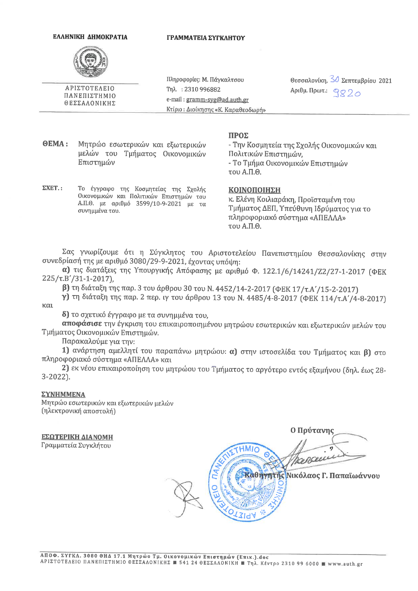## ΕΛΛΗΝΙΚΗ ΔΗΜΟΚΡΑΤΙΑ

## ΓΡΑΜΜΑΤΕΙΑ ΣΥΓΚΛΗΤΟΥ



ΑΡΙΣΤΟΤΕΛΕΙΟ

ΠΑΝΕΠΙΣΤΗΜΙΟ

ΘΕΣΣΑΛΟΝΙΚΗΣ

Πληροφορίες: Μ. Πάγκαλτσου Tηλ.: 2310 996882 e-mail: gramm-syg@ad.auth.gr Κτίριο: Διοίκησης «Κ. Καραθεοδωρή» Θεσσαλονίκη, 30 Σεπτεμβρίου 2021 Αριθμ. Πρωτ.: 9220

**OEMA:** Μητρώο εσωτερικών και εξωτερικών μελών του Τμήματος Οικονομικών Επιστημών

## ΠΡΟΣ

- Την Κοσμητεία της Σχολής Οικονομικών και Πολιτικών Επιστημών. - Το Τμήμα Οικονομικών Επιστημών  $T0U$  A.H. $\Theta$ .

 $\Sigma XET.$ : Το έγγραφο της Κοσμητείας της Σχολής Οικονομικών και Πολιτικών Επιστημών του Α.Π.Θ. με αριθμό 3599/10-9-2021 με τα συνημμένα του.

ΚΟΙΝΟΠΟΙΗΣΗ

κ. Ελένη Κοιλιαράκη, Προϊσταμένη του Τμήματος ΔΕΠ, Υπεύθυνη Ιδρύματος για το πληροφοριακό σύστημα «ΑΠΕΛΛΑ» του Α.Π.Θ.

Σας γνωρίζουμε ότι η Σύγκλητος του Αριστοτελείου Πανεπιστημίου Θεσσαλονίκης στην συνεδρίασή της με αριθμό 3080/29-9-2021, έχοντας υπόψη:

α) τις διατάξεις της Υπουργικής Απόφασης με αριθμό Φ. 122.1/6/14241/Z2/27-1-2017 (ΦΕΚ  $225/\tau.B'/31-1-2017$ ),

β) τη διάταξη της παρ. 3 του άρθρου 30 του Ν. 4452/14-2-2017 (ΦΕΚ 17/τ.Α'/15-2-2017)

γ) τη διάταξη της παρ. 2 περ. ιγ του άρθρου 13 του Ν. 4485/4-8-2017 (ΦΕΚ 114/τ.Α'/4-8-2017) και

δ) το σχετικό έγγραφο με τα συνημμένα του,

αποφάσισε την έγκριση του επικαιροποιημένου μητρώου εσωτερικών και εξωτερικών μελών του Τμήματος Οικονομικών Επιστημών.

Παρακαλούμε για την:

1) ανάρτηση αμελλητί του παραπάνω μητρώου: α) στην ιστοσελίδα του Τμήματος και β) στο πληροφοριακό σύστημα «ΑΠΕΛΛΑ» και

2) εκ νέου επικαιροποίηση του μητρώου του Τμήματος το αργότερο εντός εξαμήνου (δηλ. έως 28- $3 - 2022$ .

## **ΣΥΝΗΜΜΕΝΑ**

Μητρώο εσωτερικών και εξωτερικών μελών (ηλεκτρονική αποστολή)

ΕΣΩΤΕΡΙΚΗ ΔΙΑΝΟΜΗ Γραμματεία Συγκλήτου

Ο Πρύτανης Cenceu Καθηγητής Νικόλαος Γ. Παπαϊωάννου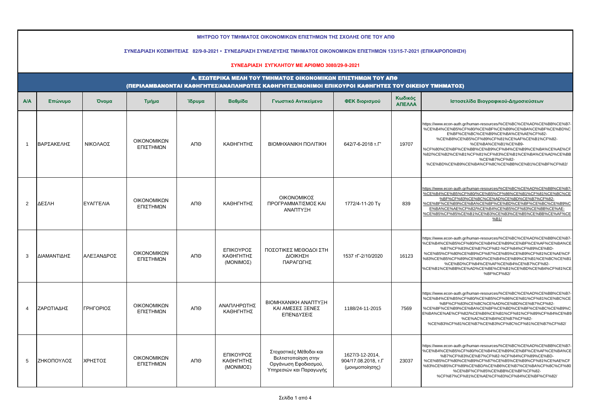| ΜΗΤΡΩΟ ΤΟΥ ΤΜΗΜΑΤΟΣ ΟΙΚΟΝΟΜΙΚΩΝ ΕΠΙΣΤΗΜΩΝ ΤΗΣ ΣΧΟΛΗΣ ΟΠΕ ΤΟΥ ΑΠΘ<br>ΣΥΝΕΔΡΙΑΣΗ ΚΟΣΜΗΤΕΙΑΣ 82/9-9-2021 • ΣΥΝΕΔΡΙΑΣΗ ΣΥΝΕΛΕΥΣΗΣ ΤΜΗΜΑΤΟΣ ΟΙΚΟΝΟΜΙΚΩΝ ΕΠΙΣΤΗΜΩΝ 133/15-7-2021 (ΕΠΙΚΑΙΡΟΠΟΙΗΣΗ) |                                                                                                                                                                    |            |                                 |        |                                            |                                                                                                   |                                                           |                   |                                                                                                                                                                                                                                                                                                                                                                                                                             |  |  |  |  |  |  |
|---------------------------------------------------------------------------------------------------------------------------------------------------------------------------------------------|--------------------------------------------------------------------------------------------------------------------------------------------------------------------|------------|---------------------------------|--------|--------------------------------------------|---------------------------------------------------------------------------------------------------|-----------------------------------------------------------|-------------------|-----------------------------------------------------------------------------------------------------------------------------------------------------------------------------------------------------------------------------------------------------------------------------------------------------------------------------------------------------------------------------------------------------------------------------|--|--|--|--|--|--|
|                                                                                                                                                                                             |                                                                                                                                                                    |            |                                 |        |                                            | ΣΥΝΕΔΡΙΑΣΗ ΣΥΓΚΛΗΤΟΥ ΜΕ ΑΡΙΘΜΟ 3080/29-9-2021                                                     |                                                           |                   |                                                                                                                                                                                                                                                                                                                                                                                                                             |  |  |  |  |  |  |
|                                                                                                                                                                                             | Α. ΕΣΩΤΕΡΙΚΑ ΜΕΛΗ ΤΟΥ ΤΜΗΜΑΤΟΣ ΟΙΚΟΝΟΜΙΚΩΝ ΕΠΙΣΤΗΜΩΝ ΤΟΥ ΑΠΘ<br>(ΠΕΡΙΛΑΜΒΑΝΟΝΤΑΙ ΚΑΘΗΓΗΤΕΣ/ΑΝΑΠΛΗΡΩΤΕΣ ΚΑΘΗΓΗΤΕΣ/ΜΟΝΙΜΟΙ ΕΠΙΚΟΥΡΟΙ ΚΑΘΗΓΗΤΕΣ ΤΟΥ ΟΙΚΕΙΟΥ ΤΜΗΜΑΤΟΣ) |            |                                 |        |                                            |                                                                                                   |                                                           |                   |                                                                                                                                                                                                                                                                                                                                                                                                                             |  |  |  |  |  |  |
| <b>A/A</b>                                                                                                                                                                                  | Επώνυμο                                                                                                                                                            | Όνομα      | Τμήμα                           | Ίδρυμα | Βαθμίδα                                    | Γνωστικό Αντικείμενο                                                                              | ΦΕΚ διορισμού                                             | Κωδικός<br>ΑΠΕΛΛΑ | Ιστοσελίδα Βιογραφικού-Δημοσιεύσεων                                                                                                                                                                                                                                                                                                                                                                                         |  |  |  |  |  |  |
| $\overline{1}$                                                                                                                                                                              | ΒΑΡΣΑΚΕΛΗΣ                                                                                                                                                         | ΝΙΚΟΛΑΟΣ   | ΟΙΚΟΝΟΜΙΚΩΝ<br>ΕΠΙΣΤΗΜΩΝ        | АПӨ    | ΚΑΘΗΓΗΤΗΣ                                  | <b>BIOMHXANIKH ΠΟΛΙΤΙΚΗ</b>                                                                       | 642/7-6-2018 T.F'                                         | 19707             | https://www.econ-auth.gr/human-resources/%CE%BC%CE%AD%CE%BB%CE%B7-<br>%CE%B4%CE%B5%CF%80/%CE%BF%CE%B9%CE%BA%CE%BF%CE%BD%C<br>E%BF%CE%BC%CE%B9%CE%BA%CE%AE%CF%82-<br>%CE%B8%CE%B5%CF%89%CF%81%CE%AF%CE%B1%CF%82-<br>%CE%BA%CE%B1%CE%B9-<br>%CF%80%CE%BF%CE%BB%CE%B9%CF%84%CE%B9%CE%BA%CE%AE%CF<br>%82/%CE%B2%CE%B1%CF%81%CF%83%CE%B1%CE%BA%CE%AD%CE%BB<br>%CE%B7%CF%82-<br>%CE%BD%CE%B9%CE%BA%CF%8C%CE%BB%CE%B1%CE%BF%CF%82/ |  |  |  |  |  |  |
| 2                                                                                                                                                                                           | ΔΕΣΛΗ                                                                                                                                                              | ΕΥΑΓΓΕΛΙΑ  | <b>OIKONOMIKON</b><br>ΕΠΙΣΤΗΜΩΝ | АПӨ    | ΚΑΘΗΓΗΤΗΣ                                  | ΟΙΚΟΝΟΜΙΚΟΣ<br>ΠΡΟΓΡΑΜΜΑΤΙΣΜΟΣ ΚΑΙ<br>ΑΝΑΠΤΥΞΗ                                                    | 1772/4-11-20 Ty                                           | 839               | https://www.econ-auth.gr/human-resources/%CE%BC%CE%AD%CE%BB%CE%B7-<br>%CE%B4%CE%B5%CF%80/%CE%B5%CF%86%CE%B1%CF%81%CE%BC%CE<br>%BF%CF%83%CE%BC%CE%AD%CE%BD%CE%B7%CF%82-<br>%CE%BF%CE%B9%CE%BA%CE%BF%CE%BD%CE%BF%CE%BC%CE%B9%C<br>E%BA%CE%AE%CF%82/%CE%B4%CE%B5%CF%83%CE%BB%CE%AE-<br>%CE%B5%CF%85%CE%B1%CE%B3%CE%B3%CE%B5%CE%BB%CE%AF%CE<br>%B1/                                                                             |  |  |  |  |  |  |
| 3                                                                                                                                                                                           | ΔΙΑΜΑΝΤΙΔΗΣ                                                                                                                                                        | ΑΛΕΞΑΝΔΡΟΣ | ΟΙΚΟΝΟΜΙΚΩΝ<br>ΕΠΙΣΤΗΜΩΝ        | АПӨ    | ΕΠΙΚΟΥΡΟΣ<br>ΚΑΘΗΓΗΤΗΣ<br>(MONIMOΣ)        | ΠΟΣΟΤΙΚΕΣ ΜΕΘΟΔΟΙ ΣΤΗ<br>ΔΙΟΙΚΗΣΗ<br>ΠΑΡΑΓΩΓΗΣ                                                    | 1537 TF-2/10/2020                                         | 16123             | https://www.econ-auth.gr/human-resources/%CE%BC%CE%AD%CE%BB%CE%B7-<br>%CE%B4%CE%B5%CF%80/%CE%B4%CE%B9%CE%BF%CE%AF%CE%BA%CE<br>%B7%CF%83%CE%B7%CF%82-%CF%84%CF%89%CE%BD-<br>%CE%B5%CF%80%CE%B9%CF%87%CE%B5%CE%B9%CF%81%CE%AE%CF<br>%83%CE%B5%CF%89%CE%BD/%CE%B4%CE%B9%CE%B1%CE%BC%CE%B1<br>%CE%BD%CF%84%CE%AF%CE%B4%CE%B7%CF%82-<br>%CE%B1%CE%BB%CE%AD%CE%BE%CE%B1%CE%BD%CE%B4%CF%81%CE<br>%BF%CF%82/                        |  |  |  |  |  |  |
| $\overline{\mathbf{4}}$                                                                                                                                                                     | ΖΑΡΩΤΙΑΔΗΣ                                                                                                                                                         | ΓΡΗΓΟΡΙΟΣ  | ΟΙΚΟΝΟΜΙΚΩΝ<br>ΕΠΙΣΤΗΜΩΝ        | АПӨ    | ΑΝΑΠΛΗΡΩΤΗΣ<br>ΚΑΘΗΓΗΤΗΣ                   | ΒΙΟΜΗΧΑΝΙΚΗ ΑΝΑΠΤΥΞΗ<br>ΚΑΙ ΑΜΕΣΕΣ ΞΕΝΕΣ<br>ΕΠΕΝΔΥΣΕΙΣ                                            | 1188/24-11-2015                                           | 7569              | https://www.econ-auth.gr/human-resources/%CE%BC%CE%AD%CE%BB%CE%B7-<br>%CE%B4%CE%B5%CF%80/%CE%B5%CF%86%CE%B1%CF%81%CE%BC%CE<br>%BF%CF%83%CE%BC%CE%AD%CE%BD%CE%B7%CF%82-<br>%CE%BF%CE%B9%CE%BA%CE%BF%CE%BD%CE%BF%CE%BC%CE%B9%C<br>E%BA%CE%AE%CF%82/%CE%B6%CE%B1%CF%81%CF%89%CF%84%CE%B9<br>%CE%AC%CE%B4%CE%B7%CF%82-<br>%CE%B3%CF%81%CE%B7%CE%B3%CF%8C%CF%81%CE%B7%CF%82/                                                     |  |  |  |  |  |  |
| 5                                                                                                                                                                                           | ΖΗΚΟΠΟΥΛΟΣ                                                                                                                                                         | ΧΡΗΣΤΟΣ    | ΟΙΚΟΝΟΜΙΚΩΝ<br>ΕΠΙΣΤΗΜΩΝ        | ΑΠΘ    | ΕΠΙΚΟΥΡΟΣ<br>ΚΑΘΗΓΗΤΗΣ<br>$(MONIMO\Sigma)$ | Στοχαστικές Μέθοδοι και<br>Βελτιστοποίηση στην<br>Οργάνωση Εφοδιασμού,<br>Υπηρεσιών και Παραγωγής | 1627/3-12-2014,<br>904/17.08.2018, т.Г<br>(μονιμοποίησης) | 23037             | https://www.econ-auth.gr/human-resources/%CE%BC%CE%AD%CE%BB%CE%B7-<br>%CE%B4%CE%B5%CF%80/%CE%B4%CE%B9%CE%BF%CE%AF%CE%BA%CE<br>%B7%CF%83%CE%B7%CF%82-%CF%84%CF%89%CE%BD-<br>%CE%B5%CF%80%CE%B9%CF%87%CE%B5%CE%B9%CF%81%CE%AE%CF<br>%83%CE%B5%CF%89%CE%BD/%CE%B6%CE%B7%CE%BA%CF%8C%CF%80<br>%CE%BF%CF%85%CE%BB%CE%BF%CF%82-<br>%CF%87%CF%81%CE%AE%CF%83%CF%84%CE%BF%CF%82/                                                    |  |  |  |  |  |  |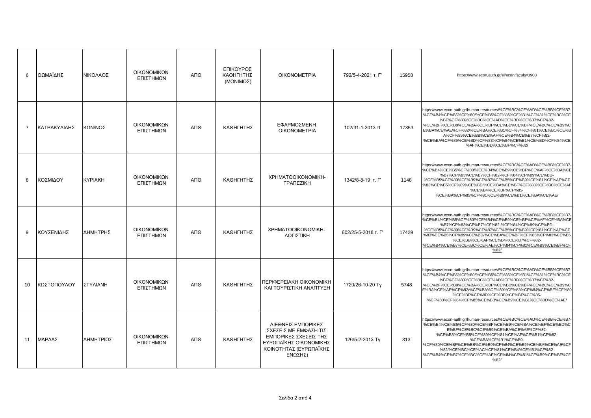| 6              | ΘΩΜΑΪΔΗΣ     | ΝΙΚΟΛΑΟΣ       | ΟΙΚΟΝΟΜΙΚΩΝ<br>ΕΠΙΣΤΗΜΩΝ | АПӨ | ΕΠΙΚΟΥΡΟΣ<br>ΚΑΘΗΓΗΤΗΣ<br>(MONIMOΣ) | <b>OIKONOMETPIA</b>                                                                                                                 | 792/5-4-2021 т. Г'  | 15958 | https://www.econ.auth.gr/el/econ/faculty/3900                                                                                                                                                                                                                                                                                                                                                                  |
|----------------|--------------|----------------|--------------------------|-----|-------------------------------------|-------------------------------------------------------------------------------------------------------------------------------------|---------------------|-------|----------------------------------------------------------------------------------------------------------------------------------------------------------------------------------------------------------------------------------------------------------------------------------------------------------------------------------------------------------------------------------------------------------------|
| $\overline{7}$ | ΚΑΤΡΑΚΥΛΙΔΗΣ | ΚΩΝ/ΝΟΣ        | ΟΙΚΟΝΟΜΙΚΩΝ<br>ΕΠΙΣΤΗΜΩΝ | АПӨ | ΚΑΘΗΓΗΤΗΣ                           | ΕΦΑΡΜΟΣΜΕΝΗ<br><b>OIKONOMETPIA</b>                                                                                                  | 102/31-1-2013 тГ    | 17353 | https://www.econ-auth.gr/human-resources/%CE%BC%CE%AD%CE%BB%CE%B7<br>%CE%B4%CE%B5%CF%80/%CE%B5%CF%86%CE%B1%CF%81%CE%BC%CE<br>%BF%CF%83%CE%BC%CE%AD%CE%BD%CE%B7%CF%82-<br>%CE%BF%CE%B9%CE%BA%CE%BF%CE%BD%CE%BF%CE%BC%CE%B9%C<br>E%BA%CE%AE%CF%82/%CE%BA%CE%B1%CF%84%CF%81%CE%B1%CE%B<br>A%CF%85%CE%BB%CE%AF%CE%B4%CE%B7%CF%82-<br>%CE%BA%CF%89%CE%BD%CF%83%CF%84%CE%B1%CE%BD%CF%84%CE<br>%AF%CE%BD%CE%BF%CF%82/ |
| 8              | ΚΟΣΜΙΔΟΥ     | <b>KYPIAKH</b> | ΟΙΚΟΝΟΜΙΚΩΝ<br>ΕΠΙΣΤΗΜΩΝ | ΑΠΘ | ΚΑΘΗΓΗΤΗΣ                           | XPHMATOOIKONOMIKH-<br><b>TPANEZIKH</b>                                                                                              | 1342/8-8-19 т. Г'   | 1148  | https://www.econ-auth.gr/human-resources/%CE%BC%CE%AD%CE%BB%CE%B7<br>%CE%B4%CE%B5%CF%80/%CE%B4%CE%B9%CE%BF%CE%AF%CE%BA%CE<br>%B7%CF%83%CE%B7%CF%82-%CF%84%CF%89%CE%BD-<br>%CE%B5%CF%80%CE%B9%CF%87%CE%B5%CE%B9%CF%81%CE%AE%CF<br>%83%CE%B5%CF%89%CE%BD/%CE%BA%CE%BF%CF%83%CE%BC%CE%AF<br>%CE%B4%CE%BF%CF%85-<br>%CE%BA%CF%85%CF%81%CE%B9%CE%B1%CE%BA%CE%AE/                                                    |
| 9              | ΚΟΥΣΕΝΙΔΗΣ   | ΔΗΜΗΤΡΗΣ       | ΟΙΚΟΝΟΜΙΚΩΝ<br>ΕΠΙΣΤΗΜΩΝ | АПО | ΚΑΘΗΓΗΤΗΣ                           | XPHMATOOIKONOMIKH-<br>ΛΟΓΙΣΤΙΚΗ                                                                                                     | 602/25-5-2018 т. Г' | 17429 | https://www.econ-auth.gr/human-resources/%CE%BC%CE%AD%CE%BB%CE%B7<br>%CE%B4%CE%B5%CF%80/%CE%B4%CE%B9%CE%BF%CE%AF%CE%BA%CE<br>%B7%CF%83%CE%B7%CF%82-%CF%84%CF%89%CE%BD-<br>%CE%B5%CF%80%CE%B9%CF%87%CE%B5%CE%B9%CF%81%CE%AE%CF<br>%83%CE%B5%CF%89%CE%BD/%CE%BA%CE%BF%CF%85%CF%83%CE%B5<br>%CE%BD%CE%AF%CE%B4%CE%B7%CF%82-<br>%CE%B4%CE%B7%CE%BC%CE%AE%CF%84%CF%81%CE%B9%CE%BF%CF<br>%82/                        |
| 10             | ΚΩΣΤΟΠΟΥΛΟΥ  | ΣΤΥΛΙΑΝΗ       | ΟΙΚΟΝΟΜΙΚΩΝ<br>ΕΠΙΣΤΗΜΩΝ | АПО | ΚΑΘΗΓΗΤΗΣ                           | ПЕРІФЕРЕІАКН ОІКОЛОМІКН<br>ΚΑΙ ΤΟΥΡΙΣΤΙΚΗ ΑΝΑΠΤΥΞΗ                                                                                  | 1720/26-10-20 Ty    | 5748  | https://www.econ-auth.gr/human-resources/%CE%BC%CE%AD%CE%BB%CE%B7<br>%CE%B4%CE%B5%CF%80/%CE%B5%CF%86%CE%B1%CF%81%CE%BC%CE<br>%BF%CF%83%CE%BC%CE%AD%CE%BD%CE%B7%CF%82-<br>%CE%BF%CE%B9%CE%BA%CE%BF%CE%BD%CE%BF%CE%BC%CE%B9%C<br>E%BA%CE%AE%CF%82/%CE%BA%CF%89%CF%83%CF%84%CE%BF%CF%80<br>%CE%BF%CF%8D%CE%BB%CE%BF%CF%85-<br>%CF%83%CF%84%CF%85%CE%BB%CE%B9%CE%B1%CE%BD%CE%AE/                                   |
| 11             | ΜΑΡΔΑΣ       | ΔΗΜΗΤΡΙΟΣ      | ΟΙΚΟΝΟΜΙΚΩΝ<br>ΕΠΙΣΤΗΜΩΝ | ΑΠΘ | ΚΑΘΗΓΗΤΗΣ                           | ΔΙΕΘΝΕΙΣ ΕΜΠΟΡΙΚΕΣ<br>ΣΧΕΣΕΙΣ ΜΕ ΕΜΦΑΣΗ ΤΙΣ<br>ΕΜΠΟΡΙΚΕΣ ΣΧΕΣΕΙΣ ΤΗΣ<br>ΕΥΡΩΠΑΪΚΗΣ ΟΙΚΟΝΟΜΙΚΗΣ<br>ΚΟΙΝΟΤΗΤΑΣ (ΕΥΡΩΠΑΪΚΗΣ<br>ΕΝΩΣΗΣ) | 126/5-2-2013 Ty     | 313   | https://www.econ-auth.gr/human-resources/%CE%BC%CE%AD%CE%BB%CE%B7<br>%CE%B4%CE%B5%CF%80/%CE%BF%CE%B9%CE%BA%CE%BF%CE%BD%C<br>E%BF%CE%BC%CE%B9%CE%BA%CE%AE%CF%82-<br>%CE%B8%CE%B5%CF%89%CF%81%CE%AF%CE%B1%CF%82-<br>%CE%BA%CE%B1%CE%B9-<br>%CF%80%CE%BF%CE%BB%CE%B9%CF%84%CE%B9%CE%BA%CE%AE%CF<br>%82/%CE%BC%CE%AC%CF%81%CE%B4%CE%B1%CF%82-<br>%CE%B4%CE%B7%CE%BC%CE%AE%CF%84%CF%81%CE%B9%CE%BF%CF<br>%82/       |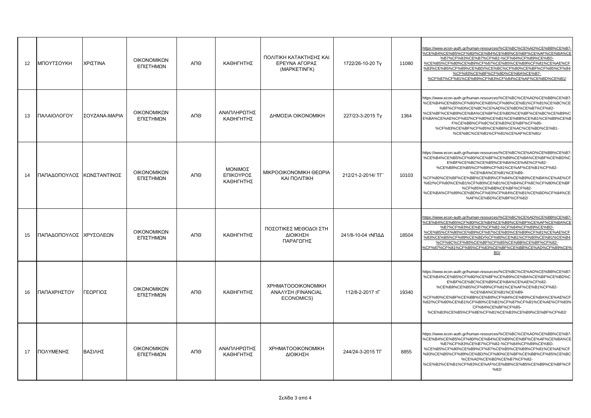| 12 | ΜΠΟΥΤΣΟΥΚΗ             | ΧΡΙΣΤΙΝΑ      | ΟΙΚΟΝΟΜΙΚΩΝ<br>ΕΠΙΣΤΗΜΩΝ        | ΑΠΘ | ΚΑΘΗΓΗΤΗΣ                         | ΠΟΛΙΤΙΚΗ ΚΑΤΑΚΤΗΣΗΣ ΚΑΙ<br>ΕΡΕΥΝΑ ΑΓΟΡΑΣ<br>(MAPKETINFK)      | 1722/26-10-20 Ty  | 11080 | https://www.econ-auth.gr/human-resources/%CE%BC%CE%AD%CE%BB%CE%B7<br>%CE%B4%CE%B5%CF%80/%CE%B4%CE%B9%CE%BF%CE%AF%CE%BA%CE<br>%B7%CF%83%CE%B7%CF%82-%CF%84%CF%89%CE%BD-<br>%CE%B5%CF%80%CE%B9%CF%87%CE%B5%CE%B9%CF%81%CE%AE%CF<br>%83%CE%B5%CF%89%CE%BD/%CE%BC%CF%80%CE%BF%CF%85%CF%84<br>%CF%83%CE%BF%CF%8D%CE%BA%CE%B7-<br>%CF%87%CF%81%CE%B9%CF%83%CF%84%CE%AF%CE%BD%CE%B1/                                                                                      |
|----|------------------------|---------------|---------------------------------|-----|-----------------------------------|---------------------------------------------------------------|-------------------|-------|--------------------------------------------------------------------------------------------------------------------------------------------------------------------------------------------------------------------------------------------------------------------------------------------------------------------------------------------------------------------------------------------------------------------------------------------------------------------|
| 13 | ΠΑΛΑΙΟΛΟΓΟΥ            | ΣΟΥΖΑΝΑ-ΜΑΡΙΑ | ΟΙΚΟΝΟΜΙΚΩΝ<br>ΕΠΙΣΤΗΜΩΝ        | ΑΠΘ | ΑΝΑΠΛΗΡΩΤΗΣ<br>ΚΑΘΗΓΗΤΗΣ          | ΔΗΜΟΣΙΑ ΟΙΚΟΝΟΜΙΚΗ                                            | 227/23-3-2015 Tv  | 1364  | https://www.econ-auth.gr/human-resources/%CE%BC%CE%AD%CE%BB%CE%B7<br>%CE%B4%CE%B5%CF%80/%CE%B5%CF%86%CE%B1%CF%81%CE%BC%CE<br>%BF%CF%83%CE%BC%CE%AD%CE%BD%CE%B7%CF%82-<br>%CE%BF%CE%B9%CE%BA%CE%BF%CE%BD%CE%BF%CE%BC%CE%B9%C<br>E%BA%CE%AE%CF%82/%CF%80%CE%B1%CE%BB%CE%B1%CE%B9%CE%B<br>F%CE%BB%CF%8C%CE%B3%CE%BF%CF%85-<br>%CF%83%CE%BF%CF%85%CE%B6%CE%AC%CE%BD%CE%B1-<br>%CE%BC%CE%B1%CF%81%CE%AF%CE%B1/                                                          |
| 14 | ΠΑΠΑΔΟΠΟΥΛΟΣ           | ΚΩΝΣΤΑΝΤΙΝΟΣ  | <b>OIKONOMIKON</b><br>ΕΠΙΣΤΗΜΩΝ | ΑΠΘ | ΜΟΝΙΜΟΣ<br>ΕΠΙΚΟΥΡΟΣ<br>ΚΑΘΗΓΗΤΗΣ | ΜΙΚΡΟΟΙΚΟΝΟΜΙΚΗ ΘΕΩΡΙΑ<br><b>KAI ΠΟΛΙΤΙΚΗ</b>                 | 212/21-2-2014/ TF | 10103 | https://www.econ-auth.gr/human-resources/%CE%BC%CE%AD%CE%BB%CE%B7<br>%CE%B4%CE%B5%CF%80/%CE%BF%CE%B9%CE%BA%CE%BF%CE%BD%C<br>E%BF%CE%BC%CE%B9%CE%BA%CE%AE%CF%82-<br>%CE%B8%CE%B5%CF%89%CF%81%CE%AF%CE%B1%CF%82-<br>%CE%BA%CE%B1%CE%B9-<br>%CF%80%CE%BF%CE%BB%CE%B9%CF%84%CE%B9%CE%BA%CE%AE%CF<br>%82/%CF%80%CE%B1%CF%80%CE%B1%CE%B4%CF%8C%CF%80%CE%BF<br>%CF%85%CE%BB%CE%BF%CF%82-<br>%CE%BA%CF%89%CE%BD%CF%83%CF%84%CE%B1%CE%BD%CF%84%CE<br>%AF%CE%BD%CE%BF%CF%82/ |
| 15 | ΠΑΠΑΔΟΠΟΥΛΟΣ ΧΡΥΣΟΛΕΩΝ |               | ΟΙΚΟΝΟΜΙΚΩΝ<br>ΕΠΙΣΤΗΜΩΝ        | ΑΠΘ | ΚΑΘΗΓΗΤΗΣ                         | ΠΟΣΟΤΙΚΕΣ ΜΕΘΟΔΟΙ ΣΤΗ<br>ΔΙΟΙΚΗΣΗ<br>ΠΑΡΑΓΩΓΗΣ                | 241/8-10-04 τΝΠΔΔ | 18504 | https://www.econ-auth.gr/human-resources/%CE%BC%CE%AD%CE%BB%CE%B7<br>%CE%B4%CE%B5%CF%80/%CE%B4%CE%B9%CE%BF%CE%AF%CE%BA%CE<br>%B7%CF%83%CE%B7%CF%82-%CF%84%CF%89%CE%BD-<br>%CE%B5%CF%80%CE%B9%CF%87%CE%B5%CE%B9%CF%81%CE%AE%CF<br>%83%CE%B5%CF%89%CE%BD/%CF%80%CE%B1%CF%80%CE%B1%CE%B4<br>%CF%8C%CF%80%CE%BF%CF%85%CE%BB%CE%BF%CF%82-<br>%CF%87%CF%81%CF%85%CF%83%CE%BF%CE%BB%CE%AD%CF%89%CE%<br>BD/                                                                |
| 16 | ΠΑΠΑΧΡΗΣΤΟΥ            | ΓΕΩΡΓΙΟΣ      | ΟΙΚΟΝΟΜΙΚΩΝ<br>ΕΠΙΣΤΗΜΩΝ        | ΑΠΘ | ΚΑΘΗΓΗΤΗΣ                         | <b>XPHMATOOOIKONOMIKH</b><br>ΑΝΑΛΥΣΗ (FINANCIAL<br>ECONOMICS) | 112/8-2-2017 тГ   | 19340 | https://www.econ-auth.gr/human-resources/%CE%BC%CE%AD%CE%BB%CE%B7<br>%CE%B4%CE%B5%CF%80/%CE%BF%CE%B9%CE%BA%CE%BF%CE%BD%C<br>E%BF%CE%BC%CE%B9%CE%BA%CE%AE%CF%82-<br>%CE%B8%CE%B5%CF%89%CF%81%CE%AF%CE%B1%CF%82-<br>%CE%BA%CE%B1%CE%B9-<br>%CF%80%CE%BF%CE%BB%CE%B9%CF%84%CE%B9%CE%BA%CE%AE%CF<br>%82/%CF%80%CE%B1%CF%80%CE%B1%CF%87%CF%81%CE%AE%CF%83%<br>CF%84%CE%BF%CF%85-<br>%CE%B3%CE%B5%CF%8E%CF%81%CE%B3%CE%B9%CE%BF%CF%82/                                   |
| 17 | ΠΟΛΥΜΕΝΗΣ              | ΒΑΣΙΛΗΣ       | ΟΙΚΟΝΟΜΙΚΩΝ<br>ΕΠΙΣΤΗΜΩΝ        | ΑΠΘ | ΑΝΑΠΛΗΡΩΤΗΣ<br>ΚΑΘΗΓΗΤΗΣ          | <b>XPHMATOOIKONOMIKH</b><br>ΔΙΟΙΚΗΣΗ                          | 244/24-3-2015 TF  | 8855  | https://www.econ-auth.gr/human-resources/%CE%BC%CE%AD%CE%BB%CE%B7<br>%CE%B4%CE%B5%CF%80/%CE%B4%CE%B9%CE%BF%CE%AF%CE%BA%CE<br>%B7%CF%83%CE%B7%CF%82-%CF%84%CF%89%CE%BD-<br>%CE%B5%CF%80%CE%B9%CF%87%CE%B5%CE%B9%CF%81%CE%AE%CF<br>%83%CE%B5%CF%89%CE%BD/%CF%80%CE%BF%CE%BB%CF%85%CE%BC<br>%CE%AD%CE%BD%CE%B7%CF%82-<br>%CE%B2%CE%B1%CF%83%CE%AF%CE%BB%CE%B5%CE%B9%CE%BF%CF<br>%82/                                                                                  |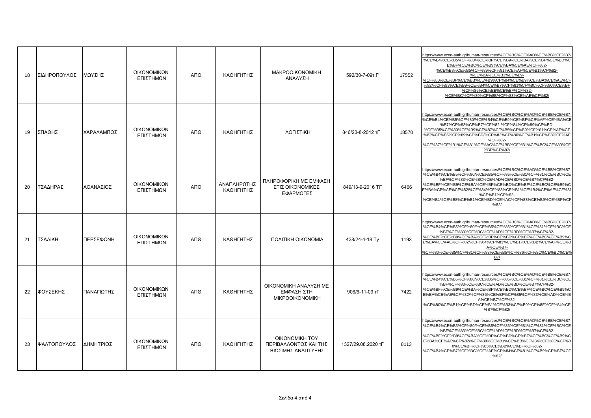| 18 | ΣΙΔΗΡΟΠΟΥΛΟΣ | ΜΩΥΣΗΣ     | ΟΙΚΟΝΟΜΙΚΩΝ<br>ΕΠΙΣΤΗΜΩΝ | ΑΠΘ | ΚΑΘΗΓΗΤΗΣ                | <b>MAKPOOIKONOMIKH</b><br>ΑΝΑΛΥΣΗ                             | 592/30-7-09т.Г'    | 17552 | https://www.econ-auth.gr/human-resources/%CE%BC%CE%AD%CE%BB%CE%B7<br>%CE%B4%CE%B5%CF%80/%CE%BF%CE%B9%CE%BA%CE%BF%CE%BD%C<br>E%BF%CE%BC%CE%B9%CE%BA%CE%AE%CF%82-<br>%CE%B8%CE%B5%CF%89%CF%81%CE%AF%CE%B1%CF%82-<br>%CE%BA%CE%B1%CE%B9-<br>%CF%80%CE%BF%CE%BB%CE%B9%CF%84%CE%B9%CE%BA%CE%AE%CF<br>%82/%CF%83%CE%B9%CE%B4%CE%B7%CF%81%CF%8C%CF%80%CE%BF<br>%CF%85%CE%BB%CE%BF%CF%82-<br>%CE%BC%CF%89%CF%8B%CF%83%CE%AE%CF%82/ |
|----|--------------|------------|--------------------------|-----|--------------------------|---------------------------------------------------------------|--------------------|-------|----------------------------------------------------------------------------------------------------------------------------------------------------------------------------------------------------------------------------------------------------------------------------------------------------------------------------------------------------------------------------------------------------------------------------|
| 19 | ΣΠΑΘΗΣ       | ΧΑΡΑΛΑΜΠΟΣ | ΟΙΚΟΝΟΜΙΚΩΝ<br>ΕΠΙΣΤΗΜΩΝ | ΑΠΘ | ΚΑΘΗΓΗΤΗΣ                | ΛΟΓΙΣΤΙΚΗ                                                     | 846/23-8-2012 TL   | 18570 | https://www.econ-auth.gr/human-resources/%CE%BC%CE%AD%CE%BB%CE%B7<br>%CE%B4%CE%B5%CF%80/%CE%B4%CE%B9%CE%BF%CE%AF%CE%BA%CE<br>%B7%CF%83%CE%B7%CF%82-%CF%84%CF%89%CE%BD-<br>%CE%B5%CF%80%CE%B9%CF%87%CE%B5%CE%B9%CF%81%CE%AE%CF<br>%83%CE%B5%CF%89%CE%BD/%CF%83%CF%80%CE%B1%CE%B8%CE%AE<br>%CF%82-<br>%CF%87%CE%B1%CF%81%CE%AC%CE%BB%CE%B1%CE%BC%CF%80%CE<br>%BF%CF%82/                                                      |
| 20 | ΤΣΑΔΗΡΑΣ     | ΑΘΑΝΑΣΙΟΣ  | ΟΙΚΟΝΟΜΙΚΩΝ<br>ΕΠΙΣΤΗΜΩΝ | ΑΠΘ | ΑΝΑΠΛΗΡΩΤΗΣ<br>ΚΑΘΗΓΗΤΗΣ | ΠΛΗΡΟΦΟΡΙΚΗ ΜΕ ΕΜΦΑΣΗ<br>ΣΤΙΣ ΟΙΚΟΝΟΜΙΚΕΣ<br>ΕΦΑΡΜΟΓΕΣ        | 849/13-9-2016 TF   | 6466  | https://www.econ-auth.gr/human-resources/%CE%BC%CE%AD%CE%BB%CE%B7<br>%CE%B4%CE%B5%CF%80/%CE%B5%CF%86%CE%B1%CF%81%CE%BC%CE<br>%BF%CF%83%CE%BC%CE%AD%CE%BD%CE%B7%CF%82-<br>%CE%BF%CE%B9%CE%BA%CE%BF%CE%BD%CE%BF%CE%BC%CE%B9%C<br>E%BA%CE%AE%CF%82/%CF%84%CF%83%CE%B1%CE%B4%CE%AE%CF%81<br>%CE%B1%CF%82-<br>%CE%B1%CE%B8%CE%B1%CE%BD%CE%AC%CF%83%CE%B9%CE%BF%CF<br>%82/                                                       |
| 21 | ΤΣΑΛΙΚΗ      | ΠΕΡΣΕΦΟΝΗ  | ΟΙΚΟΝΟΜΙΚΩΝ<br>ΕΠΙΣΤΗΜΩΝ | ΑΠΘ | ΚΑΘΗΓΗΤΗΣ                | <b><i>ΠΟΛΙΤΙΚΗ ΟΙΚΟΝΟΜΙΑ</i></b>                              | 438/24-4-18 Tv     | 1193  | https://www.econ-auth.gr/human-resources/%CE%BC%CE%AD%CE%BB%CE%B7<br>%CE%B4%CE%B5%CF%80/%CE%B5%CF%86%CE%B1%CF%81%CE%BC%CE<br>%BF%CF%83%CE%BC%CE%AD%CE%BD%CE%B7%CF%82-<br>%CE%BF%CE%B9%CE%BA%CE%BF%CE%BD%CE%BF%CE%BC%CE%B9%C<br>E%BA%CE%AE%CF%82/%CF%84%CF%83%CE%B1%CE%BB%CE%AF%CE%B<br>A%CE%B7-<br>%CF%80%CE%B5%CF%81%CF%83%CE%B5%CF%86%CF%8C%CE%BD%CE9<br>B7/                                                             |
| 22 | ΦΟΥΣΕΚΗΣ     | ΠΑΝΑΓΙΩΤΗΣ | ΟΙΚΟΝΟΜΙΚΩΝ<br>ΕΠΙΣΤΗΜΩΝ | ΑΠΘ | ΚΑΘΗΓΗΤΗΣ                | ΟΙΚΟΝΟΜΙΚΗ ΑΝΑΛΥΣΗ ΜΕ<br>ΕΜΦΑΣΗ ΣΤΗ<br><b>MIKPOOIKONOMIKH</b> | 906/6-11-09 тГ     | 7422  | https://www.econ-auth.gr/human-resources/%CE%BC%CE%AD%CE%BB%CE%B7<br>%CE%B4%CE%B5%CF%80/%CE%B5%CF%86%CE%B1%CF%81%CE%BC%CE<br>%BF%CF%83%CE%BC%CE%AD%CE%BD%CE%B7%CF%82-<br>%CE%BF%CE%B9%CE%BA%CE%BF%CE%BD%CE%BF%CE%BC%CE%B9%C<br>E%BA%CE%AE%CF%82/%CF%86%CE%BF%CF%85%CF%83%CE%AD%CE%B<br>A%CE%B7%CF%82-<br>%CF%80%CE%B1%CE%BD%CE%B1%CE%B3%CE%B9%CF%8E%CF%84%CE<br>%B7%CF%82/                                                 |
| 23 | ΨΑΛΤΟΠΟΥΛΟΣ  | ΔΗΜΗΤΡΙΟΣ  | ΟΙΚΟΝΟΜΙΚΩΝ<br>ΕΠΙΣΤΗΜΩΝ | ΑΠΘ | ΚΑΘΗΓΗΤΗΣ                | OIKONOMIKH TOY<br>ΠΕΡΙΒΑΛΛΟΝΤΟΣ ΚΑΙ ΤΗΣ<br>ΒΙΩΣΙΜΗΣ ΑΝΑΠΤΥΞΗΣ | 1327/29.08.2020 TL | 8113  | https://www.econ-auth.gr/human-resources/%CE%BC%CE%AD%CE%BB%CE%B7<br>%CE%B4%CE%B5%CF%80/%CE%B5%CF%86%CE%B1%CF%81%CE%BC%CE<br>%BF%CF%83%CE%BC%CE%AD%CE%BD%CE%B7%CF%82-<br>%CE%BF%CE%B9%CE%BA%CE%BF%CE%BD%CE%BF%CE%BC%CE%B9%C<br>E%BA%CE%AE%CF%82/%CF%88%CE%B1%CE%BB%CF%84%CF%8C%CF%8<br>0%CE%BF%CF%85%CE%BB%CE%BF%CF%82-<br>%CE%B4%CE%B7%CE%BC%CE%AE%CF%84%CF%81%CE%B9%CE%BF%CF<br>%82/                                     |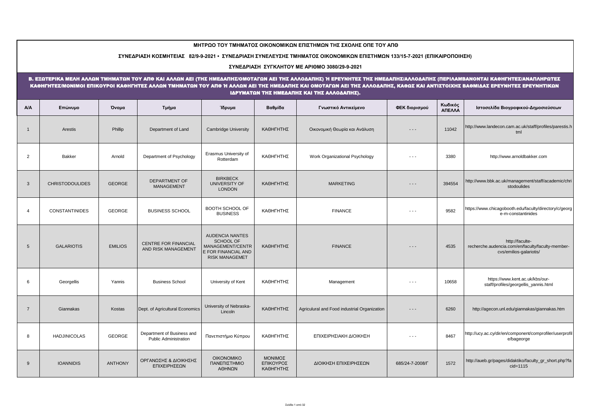|                | ΜΗΤΡΩΟ ΤΟΥ ΤΜΗΜΑΤΟΣ ΟΙΚΟΝΟΜΙΚΩΝ ΕΠΙΣΤΗΜΩΝ ΤΗΣ ΣΧΟΛΗΣ ΟΠΕ ΤΟΥ ΑΠΘ                                                                                                                                                                                                                                                                                                                                     |                |                                                            |                                                                                                                |                                   |                                              |                 |                   |                                                                                                 |  |  |  |  |  |  |
|----------------|------------------------------------------------------------------------------------------------------------------------------------------------------------------------------------------------------------------------------------------------------------------------------------------------------------------------------------------------------------------------------------------------------|----------------|------------------------------------------------------------|----------------------------------------------------------------------------------------------------------------|-----------------------------------|----------------------------------------------|-----------------|-------------------|-------------------------------------------------------------------------------------------------|--|--|--|--|--|--|
|                | ΣΥΝΕΔΡΙΑΣΗ ΚΟΣΜΗΤΕΙΑΣ 82/9-9-2021 • ΣΥΝΕΔΡΙΑΣΗ ΣΥΝΕΛΕΥΣΗΣ ΤΜΗΜΑΤΟΣ ΟΙΚΟΝΟΜΙΚΩΝ ΕΠΙΣΤΗΜΩΝ 133/15-7-2021 (ΕΠΙΚΑΙΡΟΠΟΙΗΣΗ)                                                                                                                                                                                                                                                                              |                |                                                            |                                                                                                                |                                   |                                              |                 |                   |                                                                                                 |  |  |  |  |  |  |
|                | ΣΥΝΕΔΡΙΑΣΗ ΣΥΓΚΛΗΤΟΥ ΜΕ ΑΡΙΘΜΟ 3080/29-9-2021                                                                                                                                                                                                                                                                                                                                                        |                |                                                            |                                                                                                                |                                   |                                              |                 |                   |                                                                                                 |  |  |  |  |  |  |
|                | Β. ΕΞΩΤΕΡΙΚΑ ΜΕΛΗ ΑΛΛΩΝ ΤΜΗΜΑΤΩΝ ΤΟΥ ΑΠΘ ΚΑΙ ΑΛΛΩΝ ΑΕΙ (ΤΗΣ ΗΜΕΔΑΠΗΣΟΜΟΤΑΓΩΝ ΑΕΙ ΤΗΣ ΑΛΛΟΔΑΠΗΣ) Ή ΕΡΕΥΝΗΤΕΣ ΤΗΣ ΗΜΕΔΑΠΗΣ/ΑΛΛΟΔΑΠΗΣ (ΠΕΡΙΛΑΜΒΑΝΟΝΤΑΙ ΚΑΘΗΓΗΤΕΣ/ΑΝΑΠΛΗΡΩΤΕΣ<br>ΚΑΘΗΓΗΤΕΣΜΟΝΙΜΟΙ ΕΠΙΚΟΥΡΟΙ ΚΑΘΗΓΗΤΕΣ ΑΛΛΩΝ ΤΜΗΜΑΤΩΝ ΤΟΥ ΑΠΘ Ή ΑΛΛΩΝ ΑΕΙ ΤΗΣ ΗΜΕΔΑΠΗΣ ΚΑΙ ΟΜΟΤΑΓΩΝ ΑΕΙ ΤΗΣ ΑΛΛΟΔΑΠΗΣ, ΚΑΘΩΣ ΚΑΙ ΑΝΤΙΣΤΟΙΧΗΣ ΒΑΘΜΙΔΑΣ ΕΡΕΥΝΗΤΕΣ ΕΡΕΥΝΗΤΙΚΩΝ<br>ΙΔΡΥΜΑΤΩΝ ΤΗΣ ΗΜΕΔΑΠΗΣ ΚΑΙ ΤΗΣ ΑΛΛΟΔΑΠΗΣ). |                |                                                            |                                                                                                                |                                   |                                              |                 |                   |                                                                                                 |  |  |  |  |  |  |
| A/A            | Επώνυμο                                                                                                                                                                                                                                                                                                                                                                                              | Όνομα          | Τμήμα                                                      | Ίδρυμα                                                                                                         | Βαθμίδα                           | Γνωστικό Αντικείμενο                         | ΦΕΚ διορισμού   | Κωδικός<br>ΑΠΕΛΛΑ | Ιστοσελίδα Βιογραφικού-Δημοσιεύσεων                                                             |  |  |  |  |  |  |
| $\overline{1}$ | Arestis                                                                                                                                                                                                                                                                                                                                                                                              | Phillip        | Department of Land                                         | <b>Cambridge University</b>                                                                                    | ΚΑΘΗΓΗΤΗΣ                         | Οικονομική Θεωρία και Ανάλυση                | $ -$            | 11042             | http://www.landecon.cam.ac.uk/staff/profiles/parestis.h<br>tml                                  |  |  |  |  |  |  |
| 2              | Bakker                                                                                                                                                                                                                                                                                                                                                                                               | Arnold         | Department of Psychology                                   | Erasmus University of<br>Rotterdam                                                                             | ΚΑΘΗΓΗΤΗΣ                         | Work Organizational Psychology               | $ -$            | 3380              | http://www.arnoldbakker.com                                                                     |  |  |  |  |  |  |
| 3              | <b>CHRISTODOULIDES</b>                                                                                                                                                                                                                                                                                                                                                                               | <b>GEORGE</b>  | <b>DEPARTMENT OF</b><br><b>MANAGEMENT</b>                  | <b>BIRKBECK</b><br>UNIVERSITY OF<br><b>LONDON</b>                                                              | ΚΑΘΗΓΗΤΗΣ                         | <b>MARKETING</b>                             | $- - -$         | 394554            | http://www.bbk.ac.uk/management/staff/academic/chri<br>stodoulides                              |  |  |  |  |  |  |
| $\overline{4}$ | <b>CONSTANTINIDES</b>                                                                                                                                                                                                                                                                                                                                                                                | <b>GEORGE</b>  | <b>BUSINESS SCHOOL</b>                                     | <b>BOOTH SCHOOL OF</b><br><b>BUSINESS</b>                                                                      | ΚΑΘΗΓΗΤΗΣ                         | <b>FINANCE</b>                               | $- - -$         | 9582              | https://www.chicagobooth.edu/faculty/directory/c/georg<br>e-m-constantinides                    |  |  |  |  |  |  |
| 5              | <b>GALARIOTIS</b>                                                                                                                                                                                                                                                                                                                                                                                    | <b>EMILIOS</b> | <b>CENTRE FOR FINANCIAL</b><br>AND RISK MANAGEMENT         | <b>AUDENCIA NANTES</b><br><b>SCHOOL OF</b><br>MANAGEMENT/CENTR<br>E FOR FINANCIAL AND<br><b>RISK MANAGEMET</b> | ΚΑΘΗΓΗΤΗΣ                         | <b>FINANCE</b>                               | $  -$           | 4535              | http://faculte-<br>recherche.audencia.com/en/faculty/faculty-member-<br>cvs/emilios-galariotis/ |  |  |  |  |  |  |
| 6              | Georgellis                                                                                                                                                                                                                                                                                                                                                                                           | Yannis         | <b>Business School</b>                                     | University of Kent                                                                                             | ΚΑΘΗΓΗΤΗΣ                         | Management                                   | $- - -$         | 10658             | https://www.kent.ac.uk/kbs/our-<br>staff/profiles/georgellis_yannis.html                        |  |  |  |  |  |  |
| $\overline{7}$ | Giannakas                                                                                                                                                                                                                                                                                                                                                                                            | Kostas         | Dept. of Agricultural Economics                            | University of Nebraska-<br>Lincoln                                                                             | ΚΑΘΗΓΗΤΗΣ                         | Agriculural and Food industrial Organization | $- - -$         | 6260              | http://agecon.unl.edu/giannakas/giannakas.htm                                                   |  |  |  |  |  |  |
| 8              | <b>HADJINICOLAS</b>                                                                                                                                                                                                                                                                                                                                                                                  | <b>GEORGE</b>  | Department of Business and<br><b>Public Administration</b> | Πανεπιστήμιο Κύπρου                                                                                            | ΚΑΘΗΓΗΤΗΣ                         | ΕΠΙΧΕΙΡΗΣΙΑΚΗ ΔΙΟΙΚΗΣΗ                       | $ -$            | 8467              | http://ucy.ac.cy/dir/en/component/comprofiler/userprofil<br>e/bageorge                          |  |  |  |  |  |  |
| 9              | <b>IOANNIDIS</b>                                                                                                                                                                                                                                                                                                                                                                                     | <b>ANTHONY</b> | ΟΡΓΑΝΩΣΗΣ & ΔΙΟΙΚΗΣΗΣ<br>ΕΠΙΧΕΙΡΗΣΕΩΝ                      | <b>OIKONOMIKO</b><br>ΠΑΝΕΠΙΣΤΗΜΙΟ<br>ΑΘΗΝΩΝ                                                                    | ΜΟΝΙΜΟΣ<br>ΕΠΙΚΟΥΡΟΣ<br>ΚΑΘΗΓΗΤΗΣ | ΔΙΟΙΚΗΣΗ ΕΠΙΧΕΙΡΗΣΕΩΝ                        | 685/24-7-2008/F | 1572              | http://aueb.gr/pages/didaktiko/faculty_gr_short.php?fa<br>$cid=1115$                            |  |  |  |  |  |  |

۰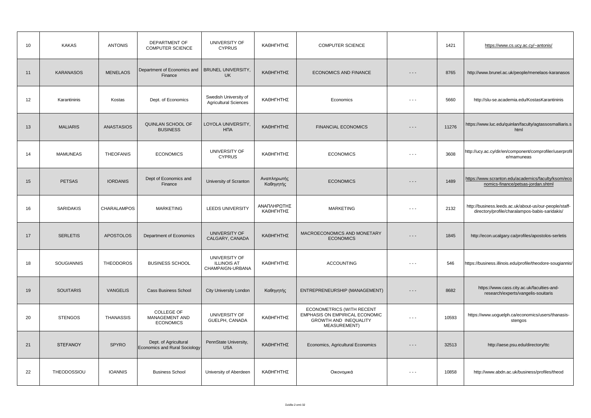| 10 | <b>KAKAS</b>      | <b>ANTONIS</b>     | DEPARTMENT OF<br><b>COMPUTER SCIENCE</b>               | UNIVERSITY OF<br><b>CYPRUS</b>                          | ΚΑΘΗΓΗΤΗΣ                | <b>COMPUTER SCIENCE</b>                                                                                     |         | 1421  | https://www.cs.ucy.ac.cy/~antonis/                                                                       |
|----|-------------------|--------------------|--------------------------------------------------------|---------------------------------------------------------|--------------------------|-------------------------------------------------------------------------------------------------------------|---------|-------|----------------------------------------------------------------------------------------------------------|
| 11 | <b>KARANASOS</b>  | <b>MENELAOS</b>    | Department of Economics and<br>Finance                 | <b>BRUNEL UNIVERSITY,</b><br><b>UK</b>                  | ΚΑΘΗΓΗΤΗΣ                | ECONOMICS AND FINANCE                                                                                       | - - -   | 8765  | http://www.brunel.ac.uk/people/menelaos-karanasos                                                        |
| 12 | Karantininis      | Kostas             | Dept. of Economics                                     | Swedish University of<br><b>Agricultural Sciences</b>   | ΚΑΘΗΓΗΤΗΣ                | Economics                                                                                                   | $ -$    | 5660  | http://slu-se.academia.edu/KostasKarantininis                                                            |
| 13 | <b>MALIARIS</b>   | <b>ANASTASIOS</b>  | QUINLAN SCHOOL OF<br><b>BUSINESS</b>                   | LOYOLA UNIVERSITY,<br><b>H<sub>Π</sub></b>              | ΚΑΘΗΓΗΤΗΣ                | <b>FINANCIAL ECONOMICS</b>                                                                                  | $- - -$ | 11276 | https://www.luc.edu/quinlan/faculty/agtassosmalliaris.s<br>html                                          |
| 14 | <b>MAMUNEAS</b>   | <b>THEOFANIS</b>   | <b>ECONOMICS</b>                                       | UNIVERSITY OF<br><b>CYPRUS</b>                          | ΚΑΘΗΓΗΤΗΣ                | <b>ECONOMICS</b>                                                                                            | $ -$    | 3608  | http://ucy.ac.cy/dir/en/component/comprofiler/userprofil<br>e/mamuneas                                   |
| 15 | <b>PETSAS</b>     | <b>IORDANIS</b>    | Dept of Economics and<br>Finance                       | University of Scranton                                  | Αναπληρωτής<br>Καθηγητής | <b>ECONOMICS</b>                                                                                            | - - -   | 1489  | https://www.scranton.edu/academics/faculty/ksom/eco<br>nomics-finance/petsas-jordan.shtml                |
| 16 | <b>SARIDAKIS</b>  | <b>CHARALAMPOS</b> | <b>MARKETING</b>                                       | <b>LEEDS UNIVERSITY</b>                                 | ΑΝΑΠΛΗΡΩΤΗΣ<br>ΚΑΘΗΓΗΤΗΣ | <b>MARKETING</b>                                                                                            | $ -$    | 2132  | http://business.leeds.ac.uk/about-us/our-people/staff-<br>directory/profile/charalampos-babis-saridakis/ |
| 17 | <b>SERLETIS</b>   | <b>APOSTOLOS</b>   | Department of Economics                                | UNIVERSITY OF<br>CALGARY, CANADA                        | ΚΑΘΗΓΗΤΗΣ                | MACROECONOMICS AND MONETARY<br><b>ECONOMICS</b>                                                             | .       | 1845  | http://econ.ucalgary.ca/profiles/apostolos-serletis                                                      |
| 18 | <b>SOUGIANNIS</b> | <b>THEODOROS</b>   | <b>BUSINESS SCHOOL</b>                                 | UNIVERSITY OF<br><b>ILLINOIS AT</b><br>CHAMPAIGN-URBANA | ΚΑΘΗΓΗΤΗΣ                | <b>ACCOUNTING</b>                                                                                           | $ -$    | 546   | https://business.illinois.edu/profile/theodore-sougiannis/                                               |
| 19 | <b>SOUITARIS</b>  | <b>VANGELIS</b>    | <b>Cass Business School</b>                            | <b>City University London</b>                           | Καθηγητής                | ENTREPRENEURSHIP (MANAGEMENT)                                                                               | $- - -$ | 8682  | https://www.cass.city.ac.uk/faculties-and-<br>research/experts/vangelis-souitaris                        |
| 20 | <b>STENGOS</b>    | <b>THANASSIS</b>   | COLLEGE OF<br>MANAGEMENT AND<br><b>ECONOMICS</b>       | UNIVERSITY OF<br>GUELPH, CANADA                         | ΚΑΘΗΓΗΤΗΣ                | ECONOMETRICS (WITH RECENT<br>EMPHASIS ON EMPIRICAL ECONOMIC<br>GROWTH AND INEQUALITY<br><b>MEASUREMENT)</b> | $ -$    | 10593 | https://www.uoguelph.ca/economics/users/thanasis-<br>stengos                                             |
| 21 | <b>STEFANOY</b>   | <b>SPYRO</b>       | Dept. of Agricultural<br>Economics and Rural Sociology | PennState University,<br><b>USA</b>                     | ΚΑΘΗΓΗΤΗΣ                | Economics, Agricultural Economics                                                                           | $- - -$ | 32513 | http://aese.psu.edu/directory/ttc                                                                        |
| 22 | THEODOSSIOU       | <b>IOANNIS</b>     | <b>Business School</b>                                 | University of Aberdeen                                  | ΚΑΘΗΓΗΤΗΣ                | Οικονομικά                                                                                                  | $- - -$ | 10858 | http://www.abdn.ac.uk/business/profiles/theod                                                            |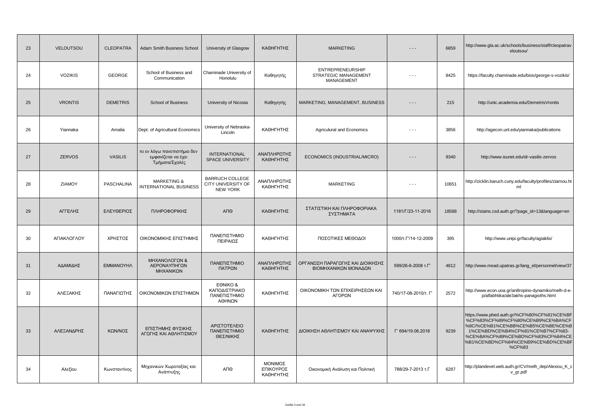| 23 | <b>VELOUTSOU</b> | <b>CLEOPATRA</b> | Adam Smith Business School                                           | University of Glasgow                                           | ΚΑΘΗΓΗΤΗΣ                         | <b>MARKETING</b>                                              | $- - -$                      | 6859  | http://www.gla.ac.uk/schools/business/staff/cleopatrav<br>eloutsou/                                                                                                                                                                           |
|----|------------------|------------------|----------------------------------------------------------------------|-----------------------------------------------------------------|-----------------------------------|---------------------------------------------------------------|------------------------------|-------|-----------------------------------------------------------------------------------------------------------------------------------------------------------------------------------------------------------------------------------------------|
| 24 | <b>VOZIKIS</b>   | <b>GEORGE</b>    | School of Business and<br>Communication                              | Chaminade University of<br>Honolulu                             | Καθηγητής                         | <b>ENTREPRENEURSHIP</b><br>STRATEGIC MANAGEMENT<br>MANAGEMENT | $ -$                         | 8425  | https://faculty.chaminade.edu/bios/george-s-vozikis/                                                                                                                                                                                          |
| 25 | <b>VRONTIS</b>   | <b>DEMETRIS</b>  | <b>School of Business</b>                                            | University of Nicosia                                           | Καθηγητής                         | MARKETING, MANAGEMENT, BUSINESS                               | $- - -$                      | 215   | http://unic.academia.edu/DemetrisVrontis                                                                                                                                                                                                      |
| 26 | Yiannaka         | Amalia           | Dept. of Agricultural Economics                                      | University of Nebraska-<br>Lincoln                              | ΚΑΘΗΓΗΤΗΣ                         | Agriculural and Economics                                     | $- - -$                      | 3856  | http://agecon.unl.edu/yiannaka/publications                                                                                                                                                                                                   |
| 27 | <b>ZERVOS</b>    | <b>VASILIS</b>   | το εν λόγω πανεπιστήμιο δεν<br>εμφανίζεται να έχει<br>Τμήματα/Σχολές | <b>INTERNATIONAL</b><br>SPACE UNIVERSITY                        | ΑΝΑΠΛΗΡΩΤΗΣ<br>ΚΑΘΗΓΗΤΗΣ          | ECONOMICS (INDUSTRIAL/MICRO)                                  | $- - -$                      | 9340  | http://www.isunet.edu/dr-vasilis-zervos                                                                                                                                                                                                       |
| 28 | <b>ZIAMOY</b>    | PASCHALINA       | <b>MARKETING &amp;</b><br><b>INTERNATIONAL BUSINESS</b>              | <b>BARRUCH COLLEGE</b><br>CITY UNIVERSITY OF<br><b>NEW YORK</b> | ΑΝΑΠΛΗΡΩΤΗΣ<br>ΚΑΘΗΓΗΤΗΣ          | <b>MARKETING</b>                                              | $ -$                         | 10651 | http://zicklin.baruch.cuny.edu/faculty/profiles/ziamou.ht<br>ml                                                                                                                                                                               |
| 29 | ΑΓΓΕΛΗΣ          | ΕΛΕΥΘΕΡΙΟΣ       | ΠΛΗΡΟΦΟΡΙΚΗΣ                                                         | АПӨ                                                             | ΚΑΘΗΓΗΤΗΣ                         | ΣΤΑΤΙΣΤΙΚΗ ΚΑΙ ΠΛΗΡΟΦΟΡΙΑΚΑ<br>ΣΥΣΤΗΜΑΤΑ                      | 1181/L/23-11-2016            | 18588 | http://stains.csd.auth.gr/?page_id=13&language=en                                                                                                                                                                                             |
| 30 | ΑΓΙΑΚΛΟΓΛΟΥ      | ΧΡΗΣΤΟΣ          | ΟΙΚΟΝΟΜΙΚΗΣ ΕΠΙΣΤΗΜΗΣ                                                | ΠΑΝΕΠΙΣΤΗΜΙΟ<br>ΠΕΙΡΑΙΩΣ                                        | ΚΑΘΗΓΗΤΗΣ                         | ΠΟΣΟΤΙΚΕΣ ΜΕΘΟΔΟΙ                                             | 1000/T. $\Gamma$ /14-12-2009 | 395   | http://www.unipi.gr/faculty/agiaklis/                                                                                                                                                                                                         |
| 31 | ΑΔΑΜΙΔΗΣ         | <b>EMMANOYHA</b> | ΜΗΧΑΝΟΛΟΓΩΝ &<br>ΑΕΡΟΝΑΥΠΗΓΩΝ<br>ΜΗΧΑΝΙΚΩΝ                           | ΠΑΝΕΠΙΣΤΗΜΙΟ<br>ΠΑΤΡΩΝ                                          | ΑΝΑΠΛΗΡΩΤΗΣ<br>ΚΑΘΗΓΗΤΗΣ          | ΟΡΓΑΝΩΣΗ ΠΑΡΑΓΩΓΗΣ ΚΑΙ ΔΙΟΙΚΗΣΗΣ<br>ΒΙΟΜΗΧΑΝΙΚΩΝ ΜΟΝΑΔΩΝ      | 599/26-6-2008 т.Г'           | 4812  | http://www.mead.upatras.gr/lang_el/personnel/view/37                                                                                                                                                                                          |
| 32 | ΑΛΕΞΑΚΗΣ         | ΠΑΝΑΓΙΩΤΗΣ       | ΟΙΚΟΝΟΜΙΚΩΝ ΕΠΙΣΤΗΜΩΝ                                                | EONIKO &<br>ΚΑΠΟΔΙΣΤΡΙΑΚΟ<br>ΠΑΝΕΠΙΣΤΗΜΙΟ<br>ΑΘΗΝΩΝ             | ΚΑΘΗΓΗΤΗΣ                         | ΟΙΚΟΝΟΜΙΚΗ ΤΩΝ ΕΠΙΧΕΙΡΗΣΕΩΝ ΚΑΙ<br>ΑΓΟΡΩΝ                     | 740/17-08-2010/т. Г'         | 2572  | http://www.econ.uoa.gr/an8ropino-dynamiko/melh-d-e-<br>p/alfabhtika/ale3akhs-panagioths.html                                                                                                                                                  |
| 33 | ΑΛΕΞΑΝΔΡΗΣ       | ΚΩΝ/ΝΟΣ          | ΕΠΙΣΤΗΜΗΣ ΦΥΣΙΚΗΣ<br>ΑΓΩΓΗΣ ΚΑΙ ΑΘΛΗΤΙΣΜΟΥ                           | ΑΡΙΣΤΟΤΕΛΕΙΟ<br>ΠΑΝΕΠΙΣΤΗΜΙΟ<br>ΘΕΣ/ΝΙΚΗΣ                       | ΚΑΘΗΓΗΤΗΣ                         | ΔΙΟΙΚΗΣΗ ΑΘΛΗΤΙΣΜΟΥ ΚΑΙ ΑΝΑΨΥΧΗΣ                              | Г' 694/19.06.2018            | 9239  | https://www.phed.auth.gr/%CF%80%CF%81%CE%BF<br>%CF%83%CF%89%CF%80%CE%B9%CE%BA%CF<br>%8C/%CE%B1%CE%BB%CE%B5%CE%BE%CE%B<br>1%CE%BD%CE%B4%CF%81%CE%B7%CF%83-<br>%CE%BA%CF%89%CE%BD%CF%83%CF%84%CE<br>%B1%CE%BD%CF%84%CE%B9%CE%BD%CE%BF<br>%CF%83 |
| 34 | Αλεξίου          | Κωνσταντίνος     | Μηχανικών Χωροταξίας και<br>Ανάπτυξης                                | ΑΠΘ                                                             | ΜΟΝΙΜΟΣ<br>ΕΠΙΚΟΥΡΟΣ<br>ΚΑΘΗΓΗΤΗΣ | Οικονομική Ανάλυση και Πολιτική                               | 788/29-7-2013 т.Г            | 6287  | http://plandevel.web.auth.gr/CV/melh_dep/Alexiou_K_c<br>v_gr.pdf                                                                                                                                                                              |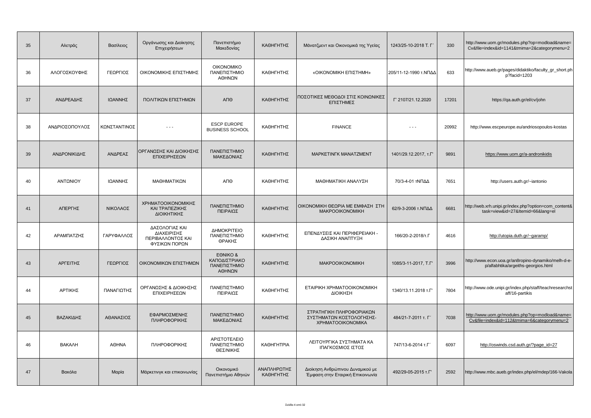| 35 | Αλετράς        | Βασίλειος    | Οργάνωσης και Διοίκησης<br>Επιχειρήσεων                             | Πανεπιστήμιο<br>Μακεδονίας                          | ΚΑΘΗΓΗΤΗΣ                | Μάνατζμεντ και Οικονομικά της Υγείας                                             | 1243/25-10-2018 T. L' | 330   | http://www.uom.gr/modules.php?op=modload&name=<br>Cv&file=index&id=1141&tmima=2&categorymenu=2 |
|----|----------------|--------------|---------------------------------------------------------------------|-----------------------------------------------------|--------------------------|----------------------------------------------------------------------------------|-----------------------|-------|------------------------------------------------------------------------------------------------|
| 36 | ΑΛΟΓΟΣΚΟΥΦΗΣ   | ΓΕΩΡΓΙΟΣ     | ΟΙΚΟΝΟΜΙΚΗΣ ΕΠΙΣΤΗΜΗΣ                                               | <b>OIKONOMIKO</b><br>ΠΑΝΕΠΙΣΤΗΜΙΟ<br>ΑΘΗΝΩΝ         | ΚΑΘΗΓΗΤΗΣ                | «OIKONOMIKH EΠΙΣΤΗΜΗ»                                                            | 205/11-12-1990 τ.ΝΠΔΔ | 633   | http://www.aueb.gr/pages/didaktiko/faculty_gr_short.ph<br>p?facid=1203                         |
| 37 | ΑΝΔΡΕΑΔΗΣ      | ΙΩΑΝΝΗΣ      | ΠΟΛΙΤΙΚΩΝ ΕΠΙΣΤΗΜΩΝ                                                 | АПӨ                                                 | ΚΑΘΗΓΗΤΗΣ                | ΠΟΣΟΤΙΚΕΣ ΜΕΘΟΔΟΙ ΣΤΙΣ ΚΟΙΝΩΝΙΚΕΣ<br>ΕΠΙΣΤΗΜΕΣ                                   | Г' 2107/21.12.2020    | 17201 | https://qa.auth.gr/el/cv/john                                                                  |
| 38 | ΑΝΔΡΙΟΣΟΠΟΥΛΟΣ | ΚΩΝΣΤΑΝΤΙΝΟΣ | $ -$                                                                | <b>ESCP EUROPE</b><br><b>BUSINESS SCHOOL</b>        | ΚΑΘΗΓΗΤΗΣ                | <b>FINANCE</b>                                                                   | $ -$                  | 20992 | http://www.escpeurope.eu/andriosopoulos-kostas                                                 |
| 39 | ΑΝΔΡΟΝΙΚΙΔΗΣ   | ΑΝΔΡΕΑΣ      | ΟΡΓΑΝΩΣΗΣ ΚΑΙ ΔΙΟΙΚΗΣΗΣ<br>ΕΠΙΧΕΙΡΗΣΕΩΝ                             | ΠΑΝΕΠΙΣΤΗΜΙΟ<br>ΜΑΚΕΔΟΝΙΑΣ                          | ΚΑΘΗΓΗΤΗΣ                | MAPKETINFK MANATZMENT                                                            | 1401/29.12.2017, т.Г' | 9891  | https://www.uom.gr/a-andronikidis                                                              |
| 40 | ΑΝΤΩΝΙΟΥ       | ΙΩΑΝΝΗΣ      | ΜΑΘΗΜΑΤΙΚΩΝ                                                         | ΑΠΘ                                                 | ΚΑΘΗΓΗΤΗΣ                | ΜΑΘΗΜΑΤΙΚΗ ΑΝΑΛΥΣΗ                                                               | 70/3-4-01 τΝΠΔΔ       | 7651  | http://users.auth.gr/~iantonio                                                                 |
| 41 | ΑΠΕΡΓΗΣ        | ΝΙΚΟΛΑΟΣ     | ΧΡΗΜΑΤΟΟΙΚΟΝΟΜΙΚΗΣ<br>ΚΑΙ ΤΡΑΠΕΖΙΚΗΣ<br>ΔΙΟΙΚΗΤΙΚΗΣ                 | ΠΑΝΕΠΙΣΤΗΜΙΟ<br>ΠΕΙΡΑΙΩΣ                            | ΚΑΘΗΓΗΤΗΣ                | ΟΙΚΟΝΟΜΙΚΗ ΘΕΩΡΙΑ ΜΕ ΕΜΦΑΣΗ ΣΤΗ<br><b>MAKPOOIKONOMIKH</b>                        | 62/9-3-2006 τ.ΝΠΔΔ    | 6681  | http://web.xrh.unipi.gr/index.php?option=com_content&<br>task=view&id=27&Itemid=66⟨=el         |
| 42 | ΑΡΑΜΠΑΤΖΗΣ     | ΓΑΡΥΦΑΛΛΟΣ   | ΔΑΣΟΛΟΓΙΑΣ ΚΑΙ<br>ΔΙΑΧΕΙΡΙΣΗΣ<br>ΠΕΡΙΒΑΛΛΟΝΤΟΣ ΚΑΙ<br>ΦΥΣΙΚΩΝ ΠΟΡΩΝ | ΔΗΜΟΚΡΙΤΕΙΟ<br>ΠΑΝΕΠΙΣΤΗΜΙΟ<br>ΘΡΑΚΗΣ               | ΚΑΘΗΓΗΤΗΣ                | ΕΠΕΝΔΥΣΕΙΣ ΚΑΙ ΠΕΡΙΦΕΡΕΙΑΚΗ -<br>ΔΑΣΙΚΗ ΑΝΑΠΤΥΞΗ                                 | 166/20-2-2018/т.Г     | 4616  | http://utopia.duth.gr/~garamp/                                                                 |
| 43 | ΑΡΓΕΙΤΗΣ       | ΓΕΩΡΓΙΟΣ     | ΟΙΚΟΝΟΜΙΚΩΝ ΕΠΙΣΤΗΜΩΝ                                               | EONIKO &<br>ΚΑΠΟΔΙΣΤΡΙΑΚΟ<br>ΠΑΝΕΠΙΣΤΗΜΙΟ<br>ΑΘΗΝΩΝ | ΚΑΘΗΓΗΤΗΣ                | <b>MAKPOOIKONOMIKH</b>                                                           | 1085/3-11-2017, T.F'  | 3996  | http://www.econ.uoa.gr/an8ropino-dynamiko/melh-d-e-<br>p/alfabhtika/argeiths-georgios.html     |
| 44 | ΑΡΤΙΚΗΣ        | ΠΑΝΑΓΙΩΤΗΣ   | ΟΡΓΑΝΩΣΗΣ & ΔΙΟΙΚΗΣΗΣ<br>ΕΠΙΧΕΙΡΗΣΕΩΝ                               | ΠΑΝΕΠΙΣΤΗΜΙΟ<br>ΠΕΙΡΑΙΩΣ                            | ΚΑΘΗΓΗΤΗΣ                | ΕΤΑΙΡΙΚΗ ΧΡΗΜΑΤΟΟΙΚΟΝΟΜΙΚΗ<br>ΔΙΟΙΚΗΣΗ                                           | 1340/13.11.2018 T.F'  | 7804  | http://www.ode.unipi.gr/index.php/staff/teachresearchst<br>aff/16-partikis                     |
| 45 | ΒΑΖΑΚΙΔΗΣ      | ΑΘΑΝΑΣΙΟΣ    | ΕΦΑΡΜΟΣΜΕΝΗΣ<br>ΠΛΗΡΟΦΟΡΙΚΗΣ                                        | ΠΑΝΕΠΙΣΤΗΜΙΟ<br>ΜΑΚΕΔΟΝΙΑΣ                          | ΚΑΘΗΓΗΤΗΣ                | ΣΤΡΑΤΗΓΙΚΗ ΠΛΗΡΟΦΟΡΙΑΚΩΝ<br>ΣΥΣΤΗΜΑΤΩΝ ΚΟΣΤΟΛΟΓΗΣΗΣ-<br><b>XPHMATOOIKONOMIKA</b> | 484/21-7-2011 т. Г'   | 7038  | http://www.uom.gr/modules.php?op=modload&name=<br>Cv&file=index&id=112&tmima=6&categorymenu=2  |
| 46 | <b>BAKA/H</b>  | <b>AOHNA</b> | ΠΛΗΡΟΦΟΡΙΚΗΣ                                                        | ΑΡΙΣΤΟΤΕΛΕΙΟ<br>ΠΑΝΕΠΙΣΤΗΜΙΟ<br>ΘΕΣ/ΝΙΚΗΣ           | <b>КАΘНГНТРІА</b>        | ΛΕΙΤΟΥΡΓΙΚΑ ΣΥΣΤΗΜΑΤΑ ΚΑ<br>ΙΠΑΓΚΟΣΜΙΟΣ ΙΣΤΟΣ                                    | 747/13-6-2014 т.Г'    | 6097  | http://oswinds.csd.auth.gr/?page_id=27                                                         |
| 47 | Βακόλα         | Μαρία        | Μάρκετινγκ και επικοινωνίας                                         | Οικονομικό<br>Πανεπιστήμιο Αθηνών                   | ΑΝΑΠΛΗΡΩΤΗΣ<br>ΚΑΘΗΓΗΤΗΣ | Διοίκηση Ανθρώπινου Δυναμικού με<br>Έμφαση στην Εταιρική Επικοινωνία             | 492/29-05-2015 T.F'   | 2592  | http://www.mbc.aueb.gr/index.php/el/mdep/166-Vakola                                            |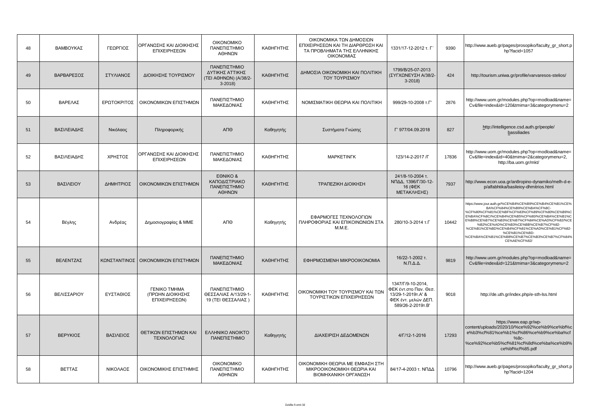| 48 | ΒΑΜΒΟΥΚΑΣ   | ΓΕΩΡΓΙΟΣ     | ΟΡΓΑΝΩΣΗΣ ΚΑΙ ΔΙΟΙΚΗΣΗΣ<br>ΕΠΙΧΕΙΡΗΣΕΩΝ                         | <b>OIKONOMIKO</b><br>ΠΑΝΕΠΙΣΤΗΜΙΟ<br>ΑΘΗΝΩΝ                          | ΚΑΘΗΓΗΤΗΣ | ΟΙΚΟΝΟΜΙΚΑ ΤΩΝ ΔΗΜΟΣΙΩΝ<br>ΕΠΙΧΕΙΡΗΣΕΩΝ ΚΑΙ ΤΗ ΔΙΑΡΘΡΩΣΗ ΚΑΙ<br>ΤΑ ΠΡΟΒΛΗΜΑΤΑ ΤΗΣ ΕΛΛΗΝΙΚΗΣ<br>ΟΙΚΟΝΟΜΙΑΣ | 1331/17-12-2012 т. Г'                                                                                        | 9390  | http://www.aueb.gr/pages/prosopiko/faculty_gr_short.p<br>hp?facid=1057                                                                                                                                                                                                                                                                                                                                    |
|----|-------------|--------------|-----------------------------------------------------------------|----------------------------------------------------------------------|-----------|-----------------------------------------------------------------------------------------------------------|--------------------------------------------------------------------------------------------------------------|-------|-----------------------------------------------------------------------------------------------------------------------------------------------------------------------------------------------------------------------------------------------------------------------------------------------------------------------------------------------------------------------------------------------------------|
| 49 | ΒΑΡΒΑΡΕΣΟΣ  | ΣΤΥΛΙΑΝΟΣ    | ΔΙΟΙΚΗΣΗΣ ΤΟΥΡΙΣΜΟΥ                                             | ΠΑΝΕΠΙΣΤΗΜΙΟ<br>ΔΥΤΙΚΗΣ ΑΤΤΙΚΗΣ<br>(TEI AΘΗΝΩΝ) (A/38/2-<br>$3-2018$ | ΚΑΘΗΓΗΤΗΣ | ΔΗΜΟΣΙΑ ΟΙΚΟΝΟΜΙΚΗ ΚΑΙ ΠΟΛΙΤΙΚΗ<br>ΤΟΥ ΤΟΥΡΙΣΜΟΥ                                                          | 1799/B/25-07-2013<br>(ΣΥΓΧΩΝΕΥΣΗ Α/38/2-<br>$3-2018$                                                         | 424   | http://tourism.uniwa.gr/profile/varvaresos-stelios/                                                                                                                                                                                                                                                                                                                                                       |
| 50 | ΒΑΡΕΛΑΣ     | ΕΡΩΤΟΚΡΙΤΟΣ  | ΟΙΚΟΝΟΜΙΚΩΝ ΕΠΙΣΤΗΜΩΝ                                           | ΠΑΝΕΠΙΣΤΗΜΙΟ<br>ΜΑΚΕΔΟΝΙΑΣ                                           | ΚΑΘΗΓΗΤΗΣ | ΝΟΜΙΣΜΑΤΙΚΗ ΘΕΩΡΙΑ ΚΑΙ ΠΟΛΙΤΙΚΗ                                                                           | 999/29-10-2008 T.F'                                                                                          | 2876  | http://www.uom.gr/modules.php?op=modload&name=<br>Cv&file=index&id=120&tmima=3&categorymenu=2                                                                                                                                                                                                                                                                                                             |
| 51 | ΒΑΣΙΛΕΙΑΔΗΣ | Νικόλαος     | Πληροφορικής                                                    | АПӨ                                                                  | Καθηγητής | Συστήματα Γνώσης                                                                                          | Г' 977/04.09.2018                                                                                            | 827   | http://intelligence.csd.auth.gr/people/<br>bassiliades                                                                                                                                                                                                                                                                                                                                                    |
| 52 | ΒΑΣΙΛΕΙΑΔΗΣ | ΧΡΗΣΤΟΣ      | ΟΡΓΑΝΩΣΗΣ ΚΑΙ ΔΙΟΙΚΗΣΗΣ<br>ΕΠΙΧΕΙΡΗΣΕΩΝ                         | ΠΑΝΕΠΙΣΤΗΜΙΟ<br>ΜΑΚΕΔΟΝΙΑΣ                                           | ΚΑΘΗΓΗΤΗΣ | <b>MAPKETINFK</b>                                                                                         | 123/14-2-2017 / Г                                                                                            | 17836 | http://www.uom.gr/modules.php?op=modload&name=<br>Cv&file=index&id=40&tmima=2&categorymenu=2,<br>http://ba.uom.gr/mkt/                                                                                                                                                                                                                                                                                    |
| 53 | ΒΑΣΙΛΕΙΟΥ   | ΔΗΜΗΤΡΙΟΣ    | ΟΙΚΟΝΟΜΙΚΩΝ ΕΠΙΣΤΗΜΩΝ                                           | EONIKO &<br>ΚΑΠΟΔΙΣΤΡΙΑΚΟ<br>ΠΑΝΕΠΙΣΤΗΜΙΟ<br>ΑΘΗΝΩΝ                  | ΚΑΘΗΓΗΤΗΣ | ΤΡΑΠΕΖΙΚΗ ΔΙΟΙΚΗΣΗ                                                                                        | 241/8-10-2004 т.<br>ΝΠΔΔ, 1396/Γ/30-12-<br>16 (ΦEK<br>ΜΕΤΑΚΛΗΣΗΣ)                                            | 7937  | http://www.econ.uoa.gr/an8ropino-dynamiko/melh-d-e-<br>p/alfabhtika/basileioy-dhmitrios.html                                                                                                                                                                                                                                                                                                              |
| 54 | Βέγλης      | Ανδρέας      | Δημοσιογραφίας & ΜΜΕ                                            | ΑΠΘ                                                                  | Καθηγητής | ΕΦΑΡΜΟΓΕΣ ΤΕΧΝΟΛΟΓΙΩΝ<br>ΠΛΗΡΟΦΟΡΙΑΣ ΚΑΙ ΕΠΙΚΟΙΝΩΝΙΩΝ ΣΤΑ<br><b>M.M.E.</b>                                | 280/10-3-2014 т.Г                                                                                            | 10442 | https://www.jour.auth.gr/%CE%B4%CE%B9%CE%B4%CE%B1%CE%<br>BA%CF%84%CE%B9%CE%BA%CF%8C-<br>%CF%80%CF%81%CE%BF%CF%83%CF%89%CF%80%CE%B9%C<br>E%BA%CF%8C/%CE%B4%CE%B5%CF%80/%CE%BA%CE%B1%C<br>E%B8%CE%B7%CE%B3%CE%B7%CF%84%CE%AD%CF%82/%CE<br>%B2%CE%AD%CE%B3%CE%BB%CE%B7%CE%82-<br>%CE%B1%CE%BD%CE%B4%CF%81%CE%AD%CE%B1%CF%82-<br>%CE%B1%CE%BD-<br>%CE%BA%CE%B1%CE%B8%CE%B7%CE%B3%CE%B7%CF%84%<br>CE%AE%CF%82/ |
| 55 | ΒΕΛΕΝΤΖΑΣ   | ΚΩΝΣΤΑΝΤΙΝΟΣ | ΟΙΚΟΝΟΜΙΚΩΝ ΕΠΙΣΤΗΜΩΝ                                           | ΠΑΝΕΠΙΣΤΗΜΙΟ<br>ΜΑΚΕΔΟΝΙΑΣ                                           | ΚΑΘΗΓΗΤΗΣ | ΕΦΗΡΜΟΣΜΕΝΗ ΜΙΚΡΟΟΙΚΟΝΟΜΙΑ                                                                                | 16/22-1-2002 т.<br>$N.\Pi.\Delta.\Delta.$                                                                    | 9819  | http://www.uom.gr/modules.php?op=modload&name=<br>Cv&file=index&id=121&tmima=3&categorymenu=2                                                                                                                                                                                                                                                                                                             |
| 56 | ΒΕΛΙΣΣΑΡΙΟΥ | ΕΥΣΤΑΘΙΟΣ    | <b><i>ΓΕΝΙΚΟ ΤΜΗΜΑ</i></b><br>(ΠΡΩΗΝ ΔΙΟΙΚΗΣΗΣ<br>ΕΠΙΧΕΙΡΗΣΕΩΝ) | ΠΑΝΕΠΙΣΤΗΜΙΟ<br>ΘΕΣΣΑΛΙΑΣ Α/13/29-1-<br>19 (ΤΕΙ ΘΕΣΣΑΛΙΑΣ)           | ΚΑΘΗΓΗΤΗΣ | ΟΙΚΟΝΟΜΙΚΗ ΤΟΥ ΤΟΥΡΙΣΜΟΥ ΚΑΙ ΤΩΝ<br>ΤΟΥΡΙΣΤΙΚΩΝ ΕΠΙΧΕΙΡΗΣΕΩΝ                                              | 1347/Г/9-10-2014,<br>ΦΕΚ έντ.στο Παν. Θεσ.<br>13/29-1-2019T.A' &<br>ΦΕΚ έντ. μελών ΔΕΠ.<br>589/26-2-2019T.B' | 9018  | http://de.uth.gr/index.php/e-sth-lss.html                                                                                                                                                                                                                                                                                                                                                                 |
| 57 | ΒΕΡΥΚΙΟΣ    | ΒΑΣΙΛΕΙΟΣ    | ΘΕΤΙΚΩΝ ΕΠΙΣΤΗΜΩΝ ΚΑΙ<br>ΤΕΧΝΟΛΟΓΙΑΣ                            | <b>EVAHNIKO ANOIKTO</b><br>ΠΑΝΕΠΙΣΤΗΜΙΟ                              | Καθηγητής | ΔΙΑΧΕΙΡΙΣΗ ΔΕΔΟΜΕΝΩΝ                                                                                      | $4/\Gamma/12 - 1 - 2016$                                                                                     | 17293 | https://www.eap.gr/wp-<br>content/uploads/2020/10/%ce%92%ce%b9%ce%bf%c<br>e%b3%cf%81%ce%b1%cf%86%ce%b9%ce%ba%cf<br>$%8c-$<br>%ce%92%ce%b5%cf%81%cf%8d%ce%ba%ce%b9%<br>ce%bf%cf%85.pdf                                                                                                                                                                                                                     |
| 58 | ΒΕΤΤΑΣ      | ΝΙΚΟΛΑΟΣ     | ΟΙΚΟΝΟΜΙΚΗΣ ΕΠΙΣΤΗΜΗΣ                                           | <b>OIKONOMIKO</b><br>ΠΑΝΕΠΙΣΤΗΜΙΟ<br>ΑΘΗΝΩΝ                          | ΚΑΘΗΓΗΤΗΣ | ΟΙΚΟΝΟΜΙΚΗ ΘΕΩΡΙΑ ΜΕ ΕΜΦΑΣΗ ΣΤΗ<br>ΜΙΚΡΟΟΙΚΟΝΟΜΙΚΗ ΘΕΩΡΙΑ ΚΑΙ<br>ΒΙΟΜΗΧΑΝΙΚΗ ΟΡΓΑΝΩΣΗ                     | 84/17-4-2003 τ. ΝΠΔΔ                                                                                         | 10796 | http://www.aueb.gr/pages/prosopiko/faculty_gr_short.p<br>hp?facid=1204                                                                                                                                                                                                                                                                                                                                    |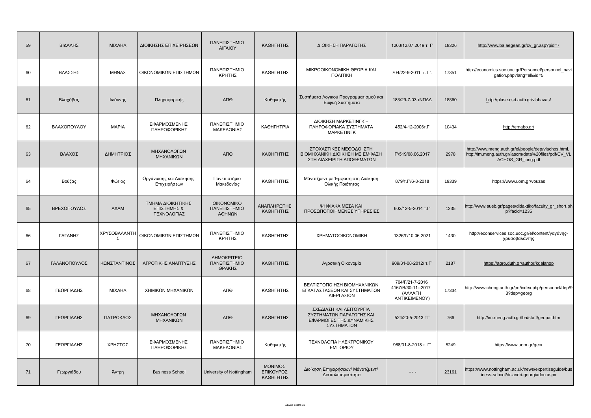| 59 | ΒΙΔΑΛΗΣ      | <b>MIXAHA</b>     | ΔΙΟΙΚΗΣΗΣ ΕΠΙΧΕΙΡΗΣΕΩΝ                          | ΠΑΝΕΠΙΣΤΗΜΙΟ<br><b>AIFAIOY</b>              | ΚΑΘΗΓΗΤΗΣ                         | ΔΙΟΙΚΗΣΗ ΠΑΡΑΓΩΓΗΣ                                                                           | 1203/12.07.2019 т. Г'                                             | 18326 | http://www.ba.aegean.gr/cv gr.asp?pid=7                                                                                         |
|----|--------------|-------------------|-------------------------------------------------|---------------------------------------------|-----------------------------------|----------------------------------------------------------------------------------------------|-------------------------------------------------------------------|-------|---------------------------------------------------------------------------------------------------------------------------------|
| 60 | ΒΛΑΣΣΗΣ      | ΜΗΝΑΣ             | ΟΙΚΟΝΟΜΙΚΩΝ ΕΠΙΣΤΗΜΩΝ                           | ΠΑΝΕΠΙΣΤΗΜΙΟ<br>ΚΡΗΤΗΣ                      | ΚΑΘΗΓΗΤΗΣ                         | ΜΙΚΡΟΟΙΚΟΝΟΜΙΚΗ ΘΕΩΡΙΑ ΚΑΙ<br>ΠΟΛΙΤΙΚΗ                                                       | 704/22-9-2011, т. Г'.                                             | 17351 | http://economics.soc.uoc.gr/Personnel/personnel_navi<br>gation.php?lang=ell&id=5                                                |
| 61 | Βλαχάβας     | Ιωάννης           | Πληροφορικής                                    | ΑΠΘ                                         | Καθηγητής                         | Συστήματα Λογικού Προγραμματισμού και<br>Ευφυή Συστήματα                                     | 183/29-7-03 τΝΠΔΔ                                                 | 18860 | http://plase.csd.auth.gr/vlahavas/                                                                                              |
| 62 | ΒΛΑΧΟΠΟΥΛΟΥ  | <b>MAPIA</b>      | ΕΦΑΡΜΟΣΜΕΝΗΣ<br>ΠΛΗΡΟΦΟΡΙΚΗΣ                    | ΠΑΝΕΠΙΣΤΗΜΙΟ<br>ΜΑΚΕΔΟΝΙΑΣ                  | <b>КАΘНГНТРІА</b>                 | ΔΙΟΙΚΗΣΗ ΜΑΡΚΕΤΙΝΓΚ -<br>ΠΛΗΡΟΦΟΡΙΑΚΑ ΣΥΣΤΗΜΑΤΑ<br><b>MAPKETINFK</b>                         | 452/4-12-2006т.Г                                                  | 10434 | http://emabo.gr/                                                                                                                |
| 63 | ΒΛΑΧΟΣ       | ΔΗΜΗΤΡΙΟΣ         | ΜΗΧΑΝΟΛΟΓΩΝ<br>ΜΗΧΑΝΙΚΩΝ                        | ΑΠΘ                                         | ΚΑΘΗΓΗΤΗΣ                         | ΣΤΟΧΑΣΤΙΚΕΣ ΜΕΘΟΔΟΙ ΣΤΗ<br>ΒΙΟΜΗΧΑΝΙΚΗ ΔΙΟΙΚΗΣΗ ΜΕ ΕΜΦΑΣΗ<br>ΣΤΗ ΔΙΑΧΕΙΡΙΣΗ ΑΠΟΘΕΜΑΤΩΝ       | Г'/519/08.06.2017                                                 | 2978  | http://www.meng.auth.gr/el/people/dep/vlachos.html,<br>http://im.meng.auth.gr/lascm/data%20files/pdf/CV_VL<br>ACHOS_GR_long.pdf |
| 64 | Βούζας       | Φώτιος            | Οργάνωσης και Διοίκησης<br>Επιχειρήσεων         | Πανεπιστήμιο<br>Μακεδονίας                  | ΚΑΘΗΓΗΤΗΣ                         | Μάνατζμεντ με Έμφαση στη Διοίκηση<br>Ολικής Ποιότητας                                        | 879/T. $\Gamma$ /6-8-2018                                         | 19339 | https://www.uom.gr/vouzas                                                                                                       |
| 65 | ΒΡΕΧΟΠΟΥΛΟΣ  | ΑΔΑΜ              | ΤΜΗΜΑ ΔΙΟΙΚΗΤΙΚΗΣ<br>ΕΠΙΣΤΗΜΗΣ &<br>ΤΕΧΝΟΛΟΓΙΑΣ | <b>OIKONOMIKO</b><br>ΠΑΝΕΠΙΣΤΗΜΙΟ<br>ΑΘΗΝΩΝ | ΑΝΑΠΛΗΡΩΤΗΣ<br>ΚΑΘΗΓΗΤΗΣ          | ΨΗΦΙΑΚΑ ΜΕΣΑ ΚΑΙ<br>ΠΡΟΣΩΠΟΠΟΙΗΜΕΝΕΣ ΥΠΗΡΕΣΙΕΣ                                               | 602/12-5-2014 т.Г'                                                | 1235  | http://www.aueb.gr/pages/didaktiko/faculty_gr_short.ph<br>p?facid=1235                                                          |
| 66 | ΓΑΓΑΝΗΣ      | ΧΡΥΣΟΒΑΛΑΝΤΗ<br>Σ | ΟΙΚΟΝΟΜΙΚΩΝ ΕΠΙΣΤΗΜΩΝ                           | ΠΑΝΕΠΙΣΤΗΜΙΟ<br>ΚΡΗΤΗΣ                      | ΚΑΘΗΓΗΤΗΣ                         | <b>XPHMATOOIKONOMIKH</b>                                                                     | 1326/Г/10.06.2021                                                 | 1430  | http://econservices.soc.uoc.gr/el/content/yayávns-<br>χρυσοβαλάντης                                                             |
| 67 | ΓΑΛΑΝΟΠΟΥΛΟΣ | ΚΩΝΣΤΑΝΤΙΝΟΣ      | ΑΓΡΟΤΙΚΗΣ ΑΝΑΠΤΥΞΗΣ                             | ΔΗΜΟΚΡΙΤΕΙΟ<br>ΠΑΝΕΠΙΣΤΗΜΙΟ<br>ΘΡΑΚΗΣ       | ΚΑΘΗΓΗΤΗΣ                         | Αγροτική Οικονομία                                                                           | 909/31-08-2012/ T.T'                                              | 2187  | https://agro.duth.gr/author/kgalanop                                                                                            |
| 68 | ΓΕΩΡΓΙΑΔΗΣ   | <b>MIXAHA</b>     | ΧΗΜΙΚΩΝ ΜΗΧΑΝΙΚΩΝ                               | ΑΠΘ                                         | ΚΑΘΗΓΗΤΗΣ                         | ΒΕΛΤΙΣΤΟΠΟΙΗΣΗ ΒΙΟΜΗΧΑΝΙΚΩΝ<br>ΕΓΚΑΤΑΣΤΑΣΕΩΝ ΚΑΙ ΣΥΣΤΗΜΑΤΩΝ<br>ΔΙΕΡΓΑΣΙΩΝ                    | 704/Г/21-7-2016<br>4167/B/30-11--2017<br>(AVANTH<br>ANTIKEIMENOY) | 17334 | http://www.cheng.auth.gr/jm/index.php/personnel/dep/9<br>3?dep=georg                                                            |
| 69 | ΓΕΩΡΓΙΑΔΗΣ   | ΠΑΤΡΟΚΛΟΣ         | ΜΗΧΑΝΟΛΟΓΩΝ<br>ΜΗΧΑΝΙΚΩΝ                        | АП $\Theta$                                 | ΚΑΘΗΓΗΤΗΣ                         | ΣΧΕΔΙΑΣΗ ΚΑΙ ΛΕΙΤΟΥΡΓΙΑ<br>ΣΥΣΤΗΜΑΤΩΝ ΠΑΡΑΓΩΓΗΣ ΚΑΙ<br>ΕΦΑΡΜΟΓΕΣ ΤΗΣ ΔΥΝΑΜΙΚΗΣ<br>ΣΥΣΤΗΜΑΤΩΝ | 524/20-5-2013 TF                                                  | 766   | http://im.meng.auth.gr/lba/staff/geopat.htm                                                                                     |
| 70 | ΓΕΩΡΓΙΑΔΗΣ   | ΧΡΗΣΤΟΣ           | ΕΦΑΡΜΟΣΜΕΝΗΣ<br>ΠΛΗΡΟΦΟΡΙΚΗΣ                    | ΠΑΝΕΠΙΣΤΗΜΙΟ<br>ΜΑΚΕΔΟΝΙΑΣ                  | Καθηγητής                         | ΤΕΧΝΟΛΟΓΙΑ ΗΛΕΚΤΡΟΝΙΚΟΥ<br><b>EMNOPIOY</b>                                                   | 968/31-8-2018 т. Г'                                               | 5249  | https://www.uom.gr/geor                                                                                                         |
| 71 | Γεωργιάδου   | Άντρη             | <b>Business School</b>                          | University of Nottingham                    | ΜΟΝΙΜΟΣ<br>ΕΠΙΚΟΥΡΟΣ<br>ΚΑΘΗΓΗΤΗΣ | Διοίκηση Επιχειρήσεων/ Μάνατζμεντ/<br>Διαπολιτισμικότητα                                     | $ -$                                                              | 23161 | https://www.nottingham.ac.uk/news/expertiseguide/bus<br>iness-school/dr-andri-georgiadou.aspx                                   |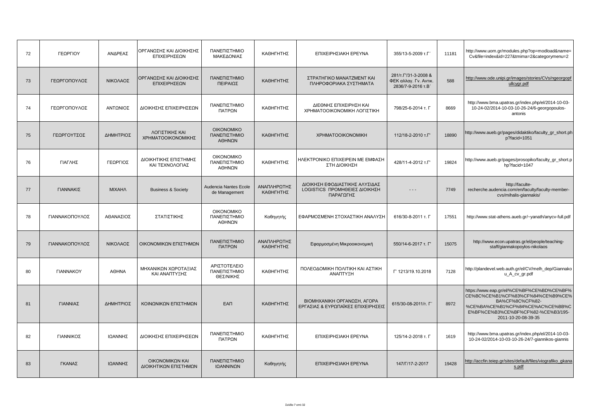| 72 | ΓΕΩΡΓΙΟΥ                | ΑΝΔΡΕΑΣ       | ΟΡΓΑΝΩΣΗΣ ΚΑΙ ΔΙΟΙΚΗΣΗΣ<br>ΕΠΙΧΕΙΡΗΣΕΩΝ  | ΠΑΝΕΠΙΣΤΗΜΙΟ<br>ΜΑΚΕΔΟΝΙΑΣ                  | ΚΑΘΗΓΗΤΗΣ                | ΕΠΙΧΕΙΡΗΣΙΑΚΗ ΕΡΕΥΝΑ                                                         | 355/13-5-2009 T.F'                                                          | 11181 | http://www.uom.gr/modules.php?op=modload&name=<br>Cv&file=index&id=227&tmima=2&categorymenu=2                                                                                                      |
|----|-------------------------|---------------|------------------------------------------|---------------------------------------------|--------------------------|------------------------------------------------------------------------------|-----------------------------------------------------------------------------|-------|----------------------------------------------------------------------------------------------------------------------------------------------------------------------------------------------------|
| 73 | ΓΕΩΡΓΟΠΟΥΛΟΣ            | ΝΙΚΟΛΑΟΣ      | ΟΡΓΑΝΩΣΗΣ ΚΑΙ ΔΙΟΙΚΗΣΗΣ<br>ΕΠΙΧΕΙΡΗΣΕΩΝ  | ΠΑΝΕΠΙΣΤΗΜΙΟ<br>ΠΕΙΡΑΙΩΣ                    | ΚΑΘΗΓΗΤΗΣ                | ΣΤΡΑΤΗΓΙΚΟ ΜΑΝΑΤΖΜΕΝΤ ΚΑΙ<br>ΠΛΗΡΟΦΟΡΙΑΚΑ ΣΥΣΤΗΜΑΤΑ                          | 281/T. $\Gamma$ /31-3-2008 &<br>ΦΕΚ αλλαγ. Γν. Αντικ.<br>2836/7-9-2016 т.В' | 588   | http://www.ode.unipi.gr/images/stories/CVs/ngeorgopf<br>ullcygr.pdf                                                                                                                                |
| 74 | ΓΕΩΡΓΟΠΟΥΛΟΣ            | ΑΝΤΩΝΙΟΣ      | ΔΙΟΙΚΗΣΗΣ ΕΠΙΧΕΙΡΗΣΕΩΝ                   | ΠΑΝΕΠΙΣΤΗΜΙΟ<br>ΠΑΤΡΩΝ                      | ΚΑΘΗΓΗΤΗΣ                | ΔΙΕΘΝΗΣ ΕΠΙΧΕΙΡΗΣΗ ΚΑΙ<br>ΧΡΗΜΑΤΟΟΙΚΟΝΟΜΙΚΗ ΛΟΓΙΣΤΙΚΗ                        | 798/25-6-2014 т. Г                                                          | 8669  | http://www.bma.upatras.gr/index.php/el/2014-10-03-<br>10-24-02/2014-10-03-10-26-24/6-georgopoulos-<br>antonis                                                                                      |
| 75 | ΓΕΩΡΓΟΥΤΣΟΣ             | ΔΗΜΗΤΡΙΟΣ     | ΛΟΓΙΣΤΙΚΗΣ ΚΑΙ<br>ΧΡΗΜΑΤΟΟΙΚΟΝΟΜΙΚΗΣ     | <b>OIKONOMIKO</b><br>ΠΑΝΕΠΙΣΤΗΜΙΟ<br>ΑΘΗΝΩΝ | ΚΑΘΗΓΗΤΗΣ                | <b>XPHMATOOIKONOMIKH</b>                                                     | 112/18-2-2010 т.Г'                                                          | 18890 | http://www.aueb.gr/pages/didaktiko/faculty_gr_short.ph<br>p?facid=1051                                                                                                                             |
| 76 | ΓΙΑΓΛΗΣ                 | ΓΕΩΡΓΙΟΣ      | ΔΙΟΙΚΗΤΙΚΗΣ ΕΠΙΣΤΗΜΗΣ<br>ΚΑΙ ΤΕΧΝΟΛΟΓΙΑΣ | <b>OIKONOMIKO</b><br>ΠΑΝΕΠΙΣΤΗΜΙΟ<br>ΑΘΗΝΩΝ | ΚΑΘΗΓΗΤΗΣ                | ΗΛΕΚΤΡΟΝΙΚΟ ΕΠΙΧΕΙΡΕΙΝ ΜΕ ΕΜΦΑΣΗ<br>ΣΤΗ ΔΙΟΙΚΗΣΗ                             | 428/11-4-2012 т.Г'                                                          | 19824 | http://www.aueb.gr/pages/prosopiko/faculty_gr_short.p<br>hp?facid=1047                                                                                                                             |
| 77 | ΓΙΑΝΝΑΚΙΣ               | <b>MIXAHA</b> | <b>Business &amp; Society</b>            | Audencia Nantes Ecole<br>de Management      | ΑΝΑΠΛΗΡΩΤΗΣ<br>ΚΑΘΗΓΗΤΗΣ | ΔΙΟΙΚΗΣΗ ΕΦΟΔΙΑΣΤΙΚΗΣ ΑΛΥΣΙΔΑΣ<br>LOGISTICS ΠΡΟΜΗΘΕΙΕΣ ΔΙΟΙΚΗΣΗ<br>ΠΑΡΑΓΩΓΗΣ | $- - -$                                                                     | 7749  | http://faculte-<br>recherche.audencia.com/en/faculty/faculty-member-<br>cvs/mihalis-giannakis/                                                                                                     |
| 78 | ΓΙΑΝΝΑΚΟΠΟΥΛΟΣ          | ΑΘΑΝΑΣΙΟΣ     | ΣΤΑΤΙΣΤΙΚΗΣ                              | <b>OIKONOMIKO</b><br>ΠΑΝΕΠΙΣΤΗΜΙΟ<br>ΑΘΗΝΩΝ | Καθηγητής                | ΕΦΑΡΜΟΣΜΕΝΗ ΣΤΟΧΑΣΤΙΚΗ ΑΝΑΛΥΣΗ                                               | 616/30-8-2011 т. Г                                                          | 17551 | http://www.stat-athens.aueb.gr/~yanath/anycv-full.pdf                                                                                                                                              |
| 79 | ΓΙΑΝΝΑΚΟΠΟΥΛΟΣ          | ΝΙΚΟΛΑΟΣ      | ΟΙΚΟΝΟΜΙΚΩΝ ΕΠΙΣΤΗΜΩΝ                    | ΠΑΝΕΠΙΣΤΗΜΙΟ<br>ΠΑΤΡΩΝ                      | ΑΝΑΠΛΗΡΩΤΗΣ<br>ΚΑΘΗΓΗΤΗΣ | Εφαρμοσμένη Μικροοικονομική                                                  | 550/14-6-2017 т. Г'                                                         | 15075 | http://www.econ.upatras.gr/el/people/teaching-<br>staff/giannakopoylos-nikolaos                                                                                                                    |
| 80 | <b><i>FIANNAKOY</i></b> | <b>AOHNA</b>  | ΜΗΧΑΝΙΚΩΝ ΧΩΡΟΤΑΞΙΑΣ<br>ΚΑΙ ΑΝΑΠΤΥΞΗΣ    | ΑΡΙΣΤΟΤΕΛΕΙΟ<br>ΠΑΝΕΠΙΣΤΗΜΙΟ<br>ΘΕΣ/ΝΙΚΗΣ   | ΚΑΘΗΓΗΤΗΣ                | ΠΟΛΕΟΔΟΜΙΚΗ ΠΟΛΙΤΙΚΗ ΚΑΙ ΑΣΤΙΚΗ<br>ΑΝΑΠΤΥΞΗ                                  | F' 1213/19.10.2018                                                          | 7128  | http://plandevel.web.auth.gr/el/CV/melh_dep/Giannako<br>u_A_cv_gr.pdf                                                                                                                              |
| 81 | ΓΙΑΝΝΙΑΣ                | ΔΗΜΗΤΡΙΟΣ     | ΚΟΙΝΩΝΙΚΩΝ ΕΠΙΣΤΗΜΩΝ                     | <b>EAN</b>                                  | ΚΑΘΗΓΗΤΗΣ                | ΒΙΟΜΗΧΑΝΙΚΗ ΟΡΓΑΝΩΣΗ, ΑΓΟΡΑ<br>ΕΡΓΑΣΙΑΣ & ΕΥΡΩΠΑΪΚΕΣ ΕΠΙΧΕΙΡΗΣΕΙΣ            | 615/30-08-2011/т. Г'                                                        | 8972  | https://www.eap.gr/el/%CE%BF%CE%BD%CE%BF%<br>CE%BC%CE%B1%CF%83%CF%84%CE%B9%CE%<br>BA%CF%8C%CF%82-<br>%CE%BA%CE%B1%CF%84%CE%AC%CE%BB%C<br>E%BF%CE%B3%CE%BF%CF%82-%CE%B3/195-<br>2011-10-20-08-39-35 |
| 82 | ΓΙΑΝΝΙΚΟΣ               | ΙΩΑΝΝΗΣ       | ΔΙΟΙΚΗΣΗΣ ΕΠΙΧΕΙΡΗΣΕΩΝ                   | ΠΑΝΕΠΙΣΤΗΜΙΟ<br>ΠΑΤΡΩΝ                      | ΚΑΘΗΓΗΤΗΣ                | ΕΠΙΧΕΙΡΗΣΙΑΚΗ ΕΡΕΥΝΑ                                                         | 125/14-2-2018 т. Г                                                          | 1619  | http://www.bma.upatras.gr/index.php/el/2014-10-03-<br>10-24-02/2014-10-03-10-26-24/7-giannikos-giannis                                                                                             |
| 83 | ΓΚΑΝΑΣ                  | ΙΩΑΝΝΗΣ       | ΟΙΚΟΝΟΜΙΚΩΝ ΚΑΙ<br>ΔΙΟΙΚΗΤΙΚΩΝ ΕΠΙΣΤΗΜΩΝ | ΠΑΝΕΠΙΣΤΗΜΙΟ<br>ΙΩΑΝΝΙΝΩΝ                   | Καθηγητής                | ΕΠΙΧΕΙΡΗΣΙΑΚΗ ΕΡΕΥΝΑ                                                         | 147/F/17-2-2017                                                             | 19428 | http://accfin.teiep.gr/sites/default/files/viografiko gkana<br>s.pdf                                                                                                                               |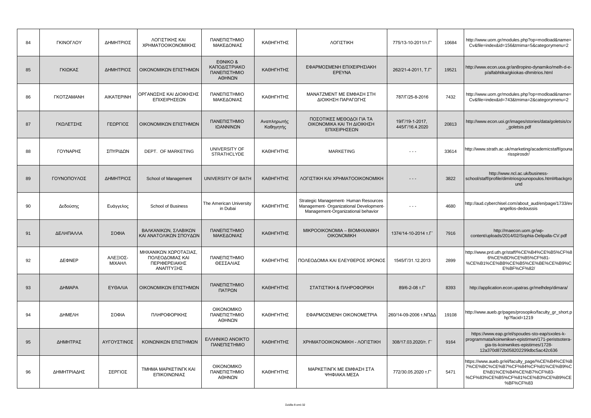| 84 | ΓΚΙΝΟΓΛΟΥ                | ΔΗΜΗΤΡΙΟΣ          | ΛΟΓΙΣΤΙΚΗΣ ΚΑΙ<br>ΧΡΗΜΑΤΟΟΙΚΟΝΟΜΙΚΗΣ                                   | ΠΑΝΕΠΙΣΤΗΜΙΟ<br>ΜΑΚΕΔΟΝΙΑΣ                          | ΚΑΘΗΓΗΤΗΣ                | ΛΟΓΙΣΤΙΚΗ                                                                                                              | 775/13-10-2011/T.F'                | 10684 | http://www.uom.gr/modules.php?op=modload&name=<br>Cv&file=index&id=156&tmima=5&categorymenu=2                                                                                   |
|----|--------------------------|--------------------|------------------------------------------------------------------------|-----------------------------------------------------|--------------------------|------------------------------------------------------------------------------------------------------------------------|------------------------------------|-------|---------------------------------------------------------------------------------------------------------------------------------------------------------------------------------|
| 85 | ΓΚΙΩΚΑΣ                  | ΔΗΜΗΤΡΙΟΣ          | ΟΙΚΟΝΟΜΙΚΩΝ ΕΠΙΣΤΗΜΩΝ                                                  | EONIKO &<br>ΚΑΠΟΔΙΣΤΡΙΑΚΟ<br>ΠΑΝΕΠΙΣΤΗΜΙΟ<br>ΑΘΗΝΩΝ | ΚΑΘΗΓΗΤΗΣ                | ΕΦΑΡΜΟΣΜΕΝΗ ΕΠΙΧΕΙΡΗΣΙΑΚΗ<br><b>EPEYNA</b>                                                                             | 262/21-4-2011, T.F'                | 19521 | http://www.econ.uoa.gr/an8ropino-dynamiko/melh-d-e-<br>p/alfabhtika/gkiokas-dhmitrios.html                                                                                      |
| 86 | <b><i>FKOTZAMANH</i></b> | <b>AIKATEPINH</b>  | ΟΡΓΑΝΩΣΗΣ ΚΑΙ ΔΙΟΙΚΗΣΗΣ<br>ΕΠΙΧΕΙΡΗΣΕΩΝ                                | ΠΑΝΕΠΙΣΤΗΜΙΟ<br>ΜΑΚΕΔΟΝΙΑΣ                          | ΚΑΘΗΓΗΤΗΣ                | ΜΑΝΑΤΖΜΕΝΤ ΜΕ ΕΜΦΑΣΗ ΣΤΗ<br>ΔΙΟΙΚΗΣΗ ΠΑΡΑΓΩΓΗΣ                                                                         | 787/Г/25-8-2016                    | 7432  | http://www.uom.gr/modules.php?op=modload&name=<br>Cv&file=index&id=743&tmima=2&categorymenu=2                                                                                   |
| 87 | ΓΚΩΛΕΤΣΗΣ                | ΓΕΩΡΓΙΟΣ           | ΟΙΚΟΝΟΜΙΚΩΝ ΕΠΙΣΤΗΜΩΝ                                                  | ΠΑΝΕΠΙΣΤΗΜΙΟ<br>ΙΩΑΝΝΙΝΩΝ                           | Αναπληρωτής<br>Καθηγητής | ΠΟΣΟΤΙΚΕΣ ΜΕΘΟΔΟΙ ΓΙΑ ΤΑ<br>ΟΙΚΟΝΟΜΙΚΑ ΚΑΙ ΤΗ ΔΙΟΙΚΗΣΗ<br>ΕΠΙΧΕΙΡΗΣΕΩΝ                                                 | 19/Г/19-1-2017,<br>445/Г/16.4.2020 | 20813 | http://www.econ.uoi.gr/images/stories/data/goletsis/cv<br>_goletsis.pdf                                                                                                         |
| 88 | ΓΟΥΝΑΡΗΣ                 | ΣΠΥΡΙΔΩΝ           | DEPT. OF MARKETING                                                     | UNIVERSITY OF<br><b>STRATHCLYDE</b>                 | ΚΑΘΗΓΗΤΗΣ                | <b>MARKETING</b>                                                                                                       | $\sim$ $\sim$ $\sim$               | 33614 | http://www.strath.ac.uk/marketing/academicstaff/gouna<br>risspirosdr/                                                                                                           |
| 89 | ΓΟΥΝΟΠΟΥΛΟΣ              | ΔΗΜΗΤΡΙΟΣ          | School of Management                                                   | UNIVERSITY OF BATH                                  | ΚΑΘΗΓΗΤΗΣ                | ΛΟΓΙΣΤΙΚΗ ΚΑΙ ΧΡΗΜΑΤΟΟΙΚΟΝΟΜΙΚΗ                                                                                        | $  -$                              | 3822  | http://www.ncl.ac.uk/business-<br>school/staff/profile/dimitriosgounopoulos.html#backgro<br>und                                                                                 |
| 90 | Δεδούσης                 | Ευάγγελος          | <b>School of Business</b>                                              | The American University<br>in Dubai                 | ΚΑΘΗΓΗΤΗΣ                | Strategic Management- Human Resources<br>Management- Organizational Development-<br>Management-Organizational behavior | $  -$                              | 4680  | http://aud.cyberchisel.com/about_aud/en/page/1733/ev<br>angellos-dedoussis                                                                                                      |
| 91 | ΔΕΛΗΠΑΛΛΑ                | ΣΟΦΙΑ              | ΒΑΛΚΑΝΙΚΩΝ, ΣΛΑΒΙΚΩΝ<br>ΚΑΙ ΑΝΑΤΟΛΙΚΩΝ ΣΠΟΥΔΩΝ                         | ΠΑΝΕΠΙΣΤΗΜΙΟ<br>ΜΑΚΕΔΟΝΙΑΣ                          | ΚΑΘΗΓΗΤΗΣ                | MIKPOOIKONOMIA - BIOMHXANIKH<br><b>OIKONOMIKH</b>                                                                      | 1374/14-10-2014 т.Г                | 7916  | http://maecon.uom.gr/wp-<br>content/uploads/2014/02/Sophia-Delipalla-CV.pdf                                                                                                     |
| 92 | ΔΕΦΝΕΡ                   | ΑΛΕΞΙΟΣ-<br>ΜΙΧΑΗΛ | ΜΗΧΑΝΙΚΩΝ ΧΩΡΟΤΑΞΙΑΣ,<br>ΠΟΛΕΟΔΟΜΙΑΣ ΚΑΙ<br>ΠΕΡΙΦΕΡΕΙΑΚΗΣ<br>ΑΝΑΠΤΥΞΗΣ | ΠΑΝΕΠΙΣΤΗΜΙΟ<br>ΘΕΣΣΑΛΙΑΣ                           | ΚΑΘΗΓΗΤΗΣ                | ΠΟΛΕΟΔΟΜΙΑ ΚΑΙ ΕΛΕΥΘΕΡΟΣ ΧΡΟΝΟΣ                                                                                        | 1545/Г/31.12.2013                  | 2899  | http://www.prd.uth.gr/staff/%CE%B4%CE%B5%CF%8<br>6%CE%BD%CE%B5%CF%81-<br>%CE%B1%CE%BB%CE%B5%CE%BE%CE%B9%C<br>E%BF%CF%82/                                                        |
| 93 | ΔΗΜΑΡΑ                   | ΕΥΘΑΛΙΑ            | ΟΙΚΟΝΟΜΙΚΩΝ ΕΠΙΣΤΗΜΩΝ                                                  | ΠΑΝΕΠΙΣΤΗΜΙΟ<br>ΠΑΤΡΩΝ                              | ΚΑΘΗΓΗΤΗΣ                | ΣΤΑΤΙΣΤΙΚΗ & ΠΛΗΡΟΦΟΡΙΚΗ                                                                                               | 89/6-2-08 т.Г'                     | 8393  | http://application.econ.upatras.gr/melhdep/dimara/                                                                                                                              |
| 94 | ΔΗΜΕΛΗ                   | ΣΟΦΙΑ              | ΠΛΗΡΟΦΟΡΙΚΗΣ                                                           | <b>OIKONOMIKO</b><br>ΠΑΝΕΠΙΣΤΗΜΙΟ<br>ΑΘΗΝΩΝ         | ΚΑΘΗΓΗΤΗΣ                | ΕΦΑΡΜΟΣΜΕΝΗ ΟΙΚΟΝΟΜΕΤΡΙΑ                                                                                               | 260/14-09-2006 τ.ΝΠΔΔ              | 19108 | http://www.aueb.gr/pages/prosopiko/faculty_gr_short.p<br>hp?facid=1219                                                                                                          |
| 95 | ΔΗΜΗΤΡΑΣ                 | ΑΥΓΟΥΣΤΙΝΟΣ        | ΚΟΙΝΩΝΙΚΩΝ ΕΠΙΣΤΗΜΩΝ                                                   | <b>EAAHNIKO ANOIKTO</b><br>ΠΑΝΕΠΙΣΤΗΜΙΟ             | ΚΑΘΗΓΗΤΗΣ                | ΧΡΗΜΑΤΟΟΙΚΟΝΟΜΙΚΗ - ΛΟΓΙΣΤΙΚΗ                                                                                          | 308/17.03.2020/т. Г                | 9164  | https://www.eap.gr/el/spoudes-sto-eap/sxoles-k-<br>programmata/koinwnikwn-epistimwn/171-peristsotera-<br>gia-tis-koinwnikes-epistimes/1728-<br>12a370d872b058202299dbc5ac42c636 |
| 96 | ΔΗΜΗΤΡΙΑΔΗΣ              | ΣΕΡΓΙΟΣ            | TMHMA MAPKETINFK KAI<br>ΕΠΙΚΟΙΝΩΝΙΑΣ                                   | <b>OIKONOMIKO</b><br>ΠΑΝΕΠΙΣΤΗΜΙΟ<br>ΑΘΗΝΩΝ         | ΚΑΘΗΓΗΤΗΣ                | ΜΑΡΚΕΤΙΝΓΚ ΜΕ ΕΜΦΑΣΗ ΣΤΑ<br>ΨΗΦΙΑΚΑ ΜΕΣΑ                                                                               | 772/30.05.2020 T.F'                | 5471  | https://www.aueb.gr/el/faculty_page/%CE%B4%CE%B<br>7%CE%BC%CE%B7%CF%84%CF%81%CE%B9%C<br>E%B1%CE%B4%CE%B7%CF%83-<br>%CF%83%CE%B5%CF%81%CE%B3%CE%B9%CE<br>%BF%CF%83               |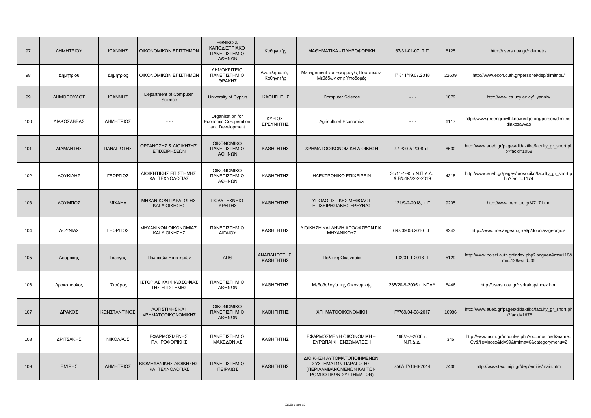| 97  | ΔΗΜΗΤΡΙΟΥ   | ΙΩΑΝΝΗΣ       | ΟΙΚΟΝΟΜΙΚΩΝ ΕΠΙΣΤΗΜΩΝ                     | EONIKO &<br>ΚΑΠΟΔΙΣΤΡΙΑΚΟ<br>ΠΑΝΕΠΙΣΤΗΜΙΟ<br>ΑΘΗΝΩΝ          | Καθηγητής                | МАӨНМАТІКА - ПЛНРОФОРІКН                                                                                  | 67/31-01-07, T.F'                          | 8125  | http://users.uoa.gr/~demetri/                                                                |
|-----|-------------|---------------|-------------------------------------------|--------------------------------------------------------------|--------------------------|-----------------------------------------------------------------------------------------------------------|--------------------------------------------|-------|----------------------------------------------------------------------------------------------|
| 98  | Δημητρίου   | Δημήτριος     | ΟΙΚΟΝΟΜΙΚΩΝ ΕΠΙΣΤΗΜΩΝ                     | ΔΗΜΟΚΡΙΤΕΙΟ<br>ΠΑΝΕΠΙΣΤΗΜΙΟ<br>ΘΡΑΚΗΣ                        | Αναπληρωτής<br>Καθηγητής | Management και Εφαρμογές Ποσοτικών<br>Μεθόδων στις Υποδομές                                               | Г' 811/19.07.2018                          | 22609 | http://www.econ.duth.gr/personel/dep/dimitriou/                                              |
| 99  | ΔΗΜΟΠΟΥΛΟΣ  | ΙΩΑΝΝΗΣ       | Department of Computer<br>Science         | University of Cyprus                                         | ΚΑΘΗΓΗΤΗΣ                | <b>Computer Science</b>                                                                                   | - - -                                      | 1879  | http://www.cs.ucy.ac.cy/~yannis/                                                             |
| 100 | ΔΙΑΚΟΣΑΒΒΑΣ | ΔΗΜΗΤΡΙΟΣ     | $- - -$                                   | Organisation for<br>Economic Co-operation<br>and Development | ΚΥΡΙΟΣ<br>ΕΡΕΥΝΗΤΗΣ      | <b>Agricultural Economics</b>                                                                             | $ -$                                       | 6117  | http://www.greengrowthknowledge.org/person/dimitris-<br>diakosavvas                          |
| 101 | ΔΙΑΜΑΝΤΗΣ   | ΠΑΝΑΓΙΩΤΗΣ    | ΟΡΓΑΝΩΣΗΣ & ΔΙΟΙΚΗΣΗΣ<br>ΕΠΙΧΕΙΡΗΣΕΩΝ     | <b>OIKONOMIKO</b><br>ΠΑΝΕΠΙΣΤΗΜΙΟ<br>ΑΘΗΝΩΝ                  | ΚΑΘΗΓΗΤΗΣ                | ΧΡΗΜΑΤΟΟΙΚΟΝΟΜΙΚΗ ΔΙΟΙΚΗΣΗ                                                                                | 470/20-5-2008 т.Г                          | 8630  | http://www.aueb.gr/pages/didaktiko/faculty_gr_short.ph<br>p?facid=1058                       |
| 102 | ΔΟΥΚΙΔΗΣ    | ΓΕΩΡΓΙΟΣ      | ΔΙΟΙΚΗΤΙΚΗΣ ΕΠΙΣΤΗΜΗΣ<br>ΚΑΙ ΤΕΧΝΟΛΟΓΙΑΣ  | <b>OIKONOMIKO</b><br>ΠΑΝΕΠΙΣΤΗΜΙΟ<br>ΑΘΗΝΩΝ                  | ΚΑΘΗΓΗΤΗΣ                | HAEKTPONIKO EΠIXEIPEIN                                                                                    | 34/11-1-95 τ.Ν.Π.Δ.Δ.<br>& B/549/22-2-2019 | 4315  | http://www.aueb.gr/pages/prosopiko/faculty_gr_short.p<br>hp?facid=1174                       |
| 103 | ΔΟΥΜΠΟΣ     | <b>MIXAHA</b> | ΜΗΧΑΝΙΚΩΝ ΠΑΡΑΓΩΓΗΣ<br>ΚΑΙ ΔΙΟΙΚΗΣΗΣ      | <b><i>NOAYTEXNEIO</i></b><br>ΚΡΗΤΗΣ                          | ΚΑΘΗΓΗΤΗΣ                | ΥΠΟΛΟΓΙΣΤΙΚΕΣ ΜΕΘΟΔΟΙ<br>ΕΠΙΧΕΙΡΗΣΙΑΚΗΣ ΕΡΕΥΝΑΣ                                                           | 121/9-2-2018, т. Г                         | 9205  | http://www.pem.tuc.gr/4717.html                                                              |
| 104 | ΔΟΥΝΙΑΣ     | ΓΕΩΡΓΙΟΣ      | ΜΗΧΑΝΙΚΩΝ ΟΙΚΟΝΟΜΙΑΣ<br>ΚΑΙ ΔΙΟΙΚΗΣΗΣ     | ΠΑΝΕΠΙΣΤΗΜΙΟ<br>ΑΙΓΑΙΟΥ                                      | ΚΑΘΗΓΗΤΗΣ                | ΔΙΟΙΚΗΣΗ ΚΑΙ ΛΗΨΗ ΑΠΟΦΑΣΕΩΝ ΓΙΑ<br>ΜΗΧΑΝΙΚΟΥΣ                                                             | 697/09.08.2010 T.F'                        | 9243  | http://www.fme.aegean.gr/el/p/dounias-georgios                                               |
| 105 | Δουράκης    | Γιώργος       | Πολιτικών Επιστημών                       | АПӨ                                                          | ΑΝΑΠΛΗΡΩΤΗΣ<br>ΚΑΘΗΓΗΤΗΣ | Πολιτική Οικονομία                                                                                        | 102/31-1-2013 ТГ                           | 5129  | http://www.polsci.auth.gr/index.php?lang=en&rm=118&<br>mn=128&stid=35                        |
| 106 | Δρακόπουλος | Σταύρος       | ΙΣΤΟΡΙΑΣ ΚΑΙ ΦΙΛΟΣΟΦΙΑΣ<br>ΤΗΣ ΕΠΙΣΤΗΜΗΣ  | ΠΑΝΕΠΙΣΤΗΜΙΟ<br>ΑΘΗΝΩΝ                                       | ΚΑΘΗΓΗΤΗΣ                | Μεθοδολογία της Οικονομικής                                                                               | 235/20-9-2005 τ. ΝΠΔΔ                      | 8446  | http://users.uoa.gr/~sdrakop/index.htm                                                       |
| 107 | ΔΡΑΚΟΣ      | ΚΩΝΣΤΑΝΤΙΝΟΣ  | ΛΟΓΙΣΤΙΚΗΣ ΚΑΙ<br>ΧΡΗΜΑΤΟΟΙΚΟΝΟΜΙΚΗΣ      | <b>OIKONOMIKO</b><br>ΠΑΝΕΠΙΣΤΗΜΙΟ<br>ΑΘΗΝΩΝ                  | ΚΑΘΗΓΗΤΗΣ                | <b>XPHMATOOIKONOMIKH</b>                                                                                  | Г'/769/04-08-2017                          | 10986 | http://www.aueb.gr/pages/didaktiko/faculty_gr_short.ph<br>p?facid=1678                       |
| 108 | ΔΡΙΤΣΑΚΗΣ   | ΝΙΚΟΛΑΟΣ      | ΕΦΑΡΜΟΣΜΕΝΗΣ<br>ΠΛΗΡΟΦΟΡΙΚΗΣ              | ΠΑΝΕΠΙΣΤΗΜΙΟ<br>ΜΑΚΕΔΟΝΙΑΣ                                   | ΚΑΘΗΓΗΤΗΣ                | ΕΦΑΡΜΟΣΜΕΝΗ ΟΙΚΟΝΟΜΙΚΗ -<br>ΕΥΡΩΠΑΪΚΗ ΕΝΣΩΜΑΤΩΣΗ                                                          | 198/7-7-2006 т.<br>$N.\Pi.\Delta.\Delta.$  | 345   | http://www.uom.gr/modules.php?op=modload&name=<br>Cv&file=index&id=99&tmima=6&categorymenu=2 |
| 109 | ΕΜΙΡΗΣ      | ΔΗΜΗΤΡΙΟΣ     | ΒΙΟΜΗΧΑΝΙΚΗΣ ΔΙΟΙΚΗΣΗΣ<br>ΚΑΙ ΤΕΧΝΟΛΟΓΙΑΣ | ΠΑΝΕΠΙΣΤΗΜΙΟ<br>ΠΕΙΡΑΙΩΣ                                     | ΚΑΘΗΓΗΤΗΣ                | ΔΙΟΙΚΗΣΗ ΑΥΤΟΜΑΤΟΠΟΙΗΜΕΝΩΝ<br>ΣΥΣΤΗΜΑΤΩΝ ΠΑΡΑΓΩΓΗΣ<br>(ΠΕΡΙΛΑΜΒΑΝΟΜΕΝΩΝ ΚΑΙ ΤΩΝ<br>ΡΟΜΠΟΤΙΚΩΝ ΣΥΣΤΗΜΑΤΩΝ) | 756/T. L'/16-6-2014                        | 7436  | http://www.tex.unipi.gr/dep/emiris/main.htm                                                  |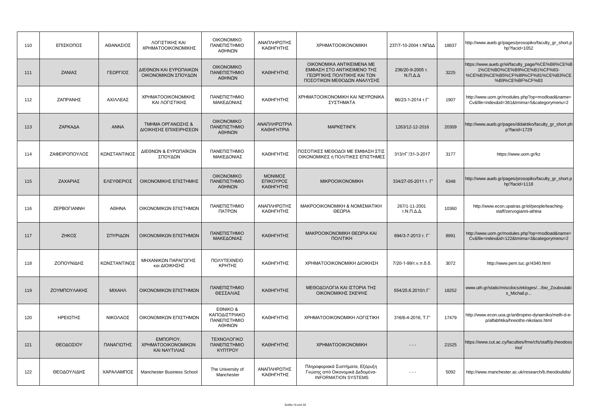| 110 | ΕΠΙΣΚΟΠΟΣ     | ΑΘΑΝΑΣΙΟΣ     | ΛΟΓΙΣΤΙΚΗΣ ΚΑΙ<br>ΧΡΗΜΑΤΟΟΙΚΟΝΟΜΙΚΗΣ             | <b>OIKONOMIKO</b><br>ΠΑΝΕΠΙΣΤΗΜΙΟ<br>ΑΘΗΝΩΝ         | ΑΝΑΠΛΗΡΩΤΗΣ<br>ΚΑΘΗΓΗΤΗΣ                 | <b>XPHMATOOIKONOMIKH</b>                                                                                             | 237/7-10-2004 τ.ΝΠΔΔ                      | 18837 | http://www.aueb.gr/pages/prosopiko/faculty_gr_short.p<br>hp?facid=1052                                                                |
|-----|---------------|---------------|--------------------------------------------------|-----------------------------------------------------|------------------------------------------|----------------------------------------------------------------------------------------------------------------------|-------------------------------------------|-------|---------------------------------------------------------------------------------------------------------------------------------------|
| 111 | ΖΑΝΙΑΣ        | ΓΕΩΡΓΙΟΣ      | ΔΙΕΘΝΩΝ ΚΑΙ ΕΥΡΩΠΑΙΚΩΝ<br>ΟΙΚΟΝΟΜΙΚΩΝ ΣΠΟΥΔΩΝ    | <b>OIKONOMIKO</b><br>ΠΑΝΕΠΙΣΤΗΜΙΟ<br>ΑΘΗΝΩΝ         | ΚΑΘΗΓΗΤΗΣ                                | OIKONOMIKA ANTIKEIMENA ME<br>ΕΜΦΑΣΗ ΣΤΟ ΑΝΤΙΚΕΙΜΕΝΟ ΤΗΣ<br>ΓΕΩΡΓΙΚΗΣ ΠΟΛΙΤΙΚΗΣ ΚΑΙ ΤΩΝ<br>ΠΟΣΟΤΙΚΩΝ ΜΕΘΟΔΩΝ ΑΝΑΛΥΣΗΣ | 236/20-9-2005 т.<br>$N.\Pi.\Delta.\Delta$ | 3225  | https://www.aueb.gr/el/faculty_page/%CE%B6%CE%B<br>1%CE%BD%CE%B9%CE%B1%CF%83-<br>%CE%B3%CE%B5%CF%89%CF%81%CE%B3%CE<br>%B9%CE%BF%CF%83 |
| 112 | ΖΑΠΡΑΝΗΣ      | ΑΧΙΛΛΕΑΣ      | ΧΡΗΜΑΤΟΟΙΚΟΝΟΜΙΚΗΣ<br>ΚΑΙ ΛΟΓΙΣΤΙΚΗΣ             | ΠΑΝΕΠΙΣΤΗΜΙΟ<br>ΜΑΚΕΔΟΝΙΑΣ                          | ΚΑΘΗΓΗΤΗΣ                                | ΧΡΗΜΑΤΟΟΙΚΟΝΟΜΙΚΗ ΚΑΙ ΝΕΥΡΩΝΙΚΑ<br>ΣΥΣΤΗΜΑΤΑ                                                                         | 66/23-1-2014 т.Г'                         | 1907  | http://www.uom.gr/modules.php?op=modload&name=<br>Cv&file=index&id=361&tmima=5&categorymenu=2                                         |
| 113 | ΖΑΡΚΑΔΑ       | <b>ANNA</b>   | ΤΜΗΜΑ ΟΡΓΑΝΩΣΗΣ &<br>ΔΙΟΙΚΗΣΗΣ ΕΠΙΧΕΙΡΗΣΕΩΝ      | <b>OIKONOMIKO</b><br>ΠΑΝΕΠΙΣΤΗΜΙΟ<br>ΑΘΗΝΩΝ         | ΑΝΑΠΛΗΡΩΤΡΙΑ<br><b>КАӨНГНТРІА</b>        | <b>MAPKETINFK</b>                                                                                                    | 1263/12-12-2016                           | 20309 | http://www.aueb.gr/pages/didaktiko/faculty_gr_short.ph<br>p?facid=1729                                                                |
| 114 | ΖΑΦΕΙΡΟΠΟΥΛΟΣ | ΚΩΝΣΤΑΝΤΙΝΟΣ  | ΔΙΕΘΝΩΝ & ΕΥΡΩΠΑΪΚΩΝ<br>ΣΠΟΥΔΩΝ                  | ΠΑΝΕΠΙΣΤΗΜΙΟ<br>ΜΑΚΕΔΟΝΙΑΣ                          | ΚΑΘΗΓΗΤΗΣ                                | ΠΟΣΟΤΙΚΕΣ ΜΕΘΟΔΟΙ ΜΕ ΕΜΦΑΣΗ ΣΤΙΣ<br>ΟΙΚΟΝΟΜΙΚΕΣ ή ΠΟΛΙΤΙΚΕΣ ΕΠΙΣΤΗΜΕΣ                                                | 313/тГ'/31-3-2017                         | 3177  | https://www.uom.gr/kz                                                                                                                 |
| 115 | ΖΑΧΑΡΙΑΣ      | ΕΛΕΥΘΕΡΙΟΣ    | ΟΙΚΟΝΟΜΙΚΗΣ ΕΠΙΣΤΗΜΗΣ                            | <b>OIKONOMIKO</b><br>ΠΑΝΕΠΙΣΤΗΜΙΟ<br>ΑΘΗΝΩΝ         | <b>ΜΟΝΙΜΟΣ</b><br>ΕΠΙΚΟΥΡΟΣ<br>ΚΑΘΗΓΗΤΗΣ | <b>MIKPOOIKONOMIKH</b>                                                                                               | 334/27-05-2011 т. Г'                      | 6348  | http://www.aueb.gr/pages/prosopiko/faculty_gr_short.p<br>hp?facid=1118                                                                |
| 116 | ZEPBOFIANNH   | <b>A</b> OHNA | ΟΙΚΟΝΟΜΙΚΩΝ ΕΠΙΣΤΗΜΩΝ                            | ΠΑΝΕΠΙΣΤΗΜΙΟ<br>ΠΑΤΡΩΝ                              | ΑΝΑΠΛΗΡΩΤΗΣ<br>ΚΑΘΗΓΗΤΗΣ                 | ΜΑΚΡΟΟΙΚΟΝΟΜΙΚΗ & ΝΟΜΙΣΜΑΤΙΚΗ<br>ΘΕΩΡΙΑ                                                                              | 267/1-11-2001<br>Τ.Ν.Π.Δ.Δ.               | 10360 | http://www.econ.upatras.gr/el/people/teaching-<br>staff/zervogianni-athina                                                            |
| 117 | ΖΗΚΟΣ         | ΣΠΥΡΙΔΩΝ      | ΟΙΚΟΝΟΜΙΚΩΝ ΕΠΙΣΤΗΜΩΝ                            | ΠΑΝΕΠΙΣΤΗΜΙΟ<br>ΜΑΚΕΔΟΝΙΑΣ                          | ΚΑΘΗΓΗΤΗΣ                                | ΜΑΚΡΟΟΙΚΟΝΟΜΙΚΗ ΘΕΩΡΙΑ ΚΑΙ<br><b><i><u>NOVITIKH</u></i></b>                                                          | 694/3-7-2013 т. Г'                        | 8991  | http://www.uom.gr/modules.php?op=modload&name=<br>Cv&file=index&id=122&tmima=3&categorymenu=2                                         |
| 118 | ΖΟΠΟΥΝΙΔΗΣ    | ΚΩΝΣΤΑΝΤΙΝΟΣ  | ΜΗΧΑΝΙΚΩΝ ΠΑΡΑΓΩΓΗΣ<br>και ΔΙΟΙΚΗΣΗΣ             | ΠΟΛΥΤΕΧΝΕΙΟ<br>ΚΡΗΤΗΣ                               | ΚΑΘΗΓΗΤΗΣ                                | ΧΡΗΜΑΤΟΟΙΚΟΝΟΜΙΚΗ ΔΙΟΙΚΗΣΗ                                                                                           | 7/20-1-99/τ.ν.π.δ.δ.                      | 3072  | http://www.pem.tuc.gr/4340.html                                                                                                       |
| 119 | ΖΟΥΜΠΟΥΛΑΚΗΣ  | <b>MIXAHA</b> | ΟΙΚΟΝΟΜΙΚΩΝ ΕΠΙΣΤΗΜΩΝ                            | ΠΑΝΕΠΙΣΤΗΜΙΟ<br>ΘΕΣΣΑΛΙΑΣ                           | ΚΑΘΗΓΗΤΗΣ                                | ΜΕΘΟΔΟΛΟΓΙΑ ΚΑΙ ΙΣΤΟΡΙΑ ΤΗΣ<br>ΟΙΚΟΝΟΜΙΚΗΣ ΣΚΕΨΗΣ                                                                    | 554/25.6.2010/T.F                         | 18252 | www.uth.gr/static/miscdocs/ekloges//bio_Zouboulaki<br>s_Michail.p                                                                     |
| 120 | ΗΡΕΙΩΤΗΣ      | ΝΙΚΟΛΑΟΣ      | ΟΙΚΟΝΟΜΙΚΩΝ ΕΠΙΣΤΗΜΩΝ                            | EONIKO &<br>ΚΑΠΟΔΙΣΤΡΙΑΚΟ<br>ΠΑΝΕΠΙΣΤΗΜΙΟ<br>ΑΘΗΝΩΝ | ΚΑΘΗΓΗΤΗΣ                                | ΧΡΗΜΑΤΟΟΙΚΟΝΟΜΙΚΗ ΛΟΓΙΣΤΙΚΗ                                                                                          | 316/6-4-2016, T.F'                        | 17479 | http://www.econ.uoa.gr/an8ropino-dynamiko/melh-d-e-<br>p/alfabhtika/hreioths-nikolaos.html                                            |
| 121 | ΘΕΟΔΟΣΙΟΥ     | ΠΑΝΑΓΙΩΤΗΣ    | EMNOPIOY,<br>ΧΡΗΜΑΤΟΟΙΚΟΝΟΜΙΚΩΝ<br>ΚΑΙ ΝΑΥΤΙΛΙΑΣ | ΤΕΧΝΟΛΟΓΙΚΟ<br>ΠΑΝΕΠΙΣΤΗΜΙΟ<br><b>KYΠTPOY</b>       | ΚΑΘΗΓΗΤΗΣ                                | <b>XPHMATOOIKONOMIKH</b>                                                                                             | - - -                                     | 21525 | https://www.cut.ac.cy/faculties/fme/cfs/staff/p.theodoss<br>iou/                                                                      |
| 122 | ΘΕΟΔΟΥΛΙΔΗΣ   | ΧΑΡΑΛΑΜΠΟΣ    | Manchester Business School                       | The University of<br>Manchester                     | ΑΝΑΠΛΗΡΩΤΗΣ<br>ΚΑΘΗΓΗΤΗΣ                 | Πληροφοριακά Συστήματα, Εξόρυξη<br>Γνώσης από Οικονομικά Δεδομένα-<br><b>INFORMATION SYSTEMS</b>                     | $\sim$ $\sim$ $\sim$                      | 5092  | http://www.manchester.ac.uk/research/b.theodoulidis/                                                                                  |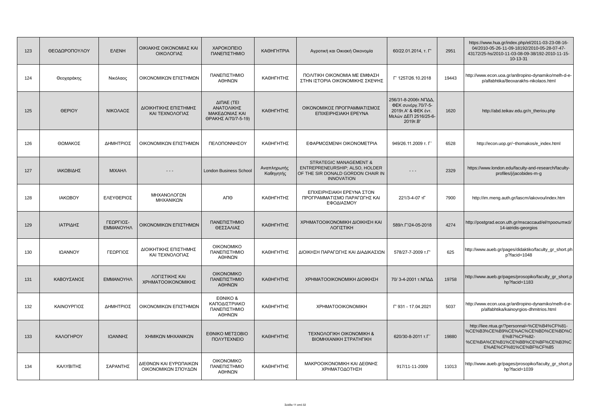| 123 | ΘΕΟΔΩΡΟΠΟΥΛΟΥ | <b>EAENH</b>                  | ΟΙΚΙΑΚΗΣ ΟΙΚΟΝΟΜΙΑΣ ΚΑΙ<br>ΟΙΚΟΛΟΓΙΑΣ         | ΧΑΡΟΚΟΠΕΙΟ<br>ΠΑΝΕΠΙΣΤΗΜΙΟ                                        | <b>КАӨНГНТРІА</b>        | Αγροτική και Οικιακή Οικονομία                                                                                                | 60/22.01.2014, т. Г'                                                                                  | 2951  | https://www.hua.gr/index.php/el/2011-03-23-08-16-<br>04/2010-05-26-11-09-18192/2010-05-28-07-47-<br>43172/25-hs/2010-11-03-08-09-38/192-2010-11-15-<br>10-13-31 |
|-----|---------------|-------------------------------|-----------------------------------------------|-------------------------------------------------------------------|--------------------------|-------------------------------------------------------------------------------------------------------------------------------|-------------------------------------------------------------------------------------------------------|-------|-----------------------------------------------------------------------------------------------------------------------------------------------------------------|
| 124 | Θεοχαράκης    | Νικόλαος                      | ΟΙΚΟΝΟΜΙΚΩΝ ΕΠΙΣΤΗΜΩΝ                         | ΠΑΝΕΠΙΣΤΗΜΙΟ<br>ΑΘΗΝΩΝ                                            | ΚΑΘΗΓΗΤΗΣ                | ΠΟΛΙΤΙΚΗ ΟΙΚΟΝΟΜΙΑ ΜΕ ΕΜΦΑΣΗ<br>ΣΤΗΝ ΙΣΤΟΡΙΑ ΟΙΚΟΝΟΜΙΚΗΣ ΣΚΕΨΗΣ                                                               | T' 1257/26.10.2018                                                                                    | 19443 | http://www.econ.uoa.gr/an8ropino-dynamiko/melh-d-e-<br>p/alfabhtika/8eoxarakhs-nikolaos.html                                                                    |
| 125 | <b>OEPIOY</b> | ΝΙΚΟΛΑΟΣ                      | ΔΙΟΙΚΗΤΙΚΗΣ ΕΠΙΣΤΗΜΗΣ<br>ΚΑΙ ΤΕΧΝΟΛΟΓΙΑΣ      | ΔΙΠΑΕ (ΤΕΙ<br>ΑΝΑΤΟΛΙΚΗΣ<br>ΜΑΚΕΔΟΝΙΑΣ ΚΑΙ<br>ΘΡΑΚΗΣ Α/70/7-5-19) | ΚΑΘΗΓΗΤΗΣ                | ΟΙΚΟΝΟΜΙΚΟΣ ΠΡΟΓΡΑΜΜΑΤΙΣΜΟΣ<br>ΕΠΙΧΕΙΡΗΣΙΑΚΗ ΕΡΕΥΝΑ                                                                           | 256/31-8-2006τ.ΝΠΔΔ,<br>ΦΕΚ συνέργ.70/7-5-<br>2019τ.Α' & ΦΕΚ έντ.<br>Μελών ΔΕΠ 2516/25-6-<br>2019T.B' | 1620  | http://abd.teikav.edu.gr/n_theriou.php                                                                                                                          |
| 126 | ΘΩΜΑΚΟΣ       | ΔΗΜΗΤΡΙΟΣ                     | ΟΙΚΟΝΟΜΙΚΩΝ ΕΠΙΣΤΗΜΩΝ                         | ΠΕΛΟΠΟΝΝΗΣΟΥ                                                      | ΚΑΘΗΓΗΤΗΣ                | ΕΦΑΡΜΟΣΜΕΝΗ ΟΙΚΟΝΟΜΕΤΡΙΑ                                                                                                      | 949/26.11.2009 т. Г'                                                                                  | 6528  | http://econ.uop.gr/~thomakos/e_index.html                                                                                                                       |
| 127 | ΙΑΚΩΒΙΔΗΣ     | <b>MIXAHA</b>                 | $- - -$                                       | <b>London Business School</b>                                     | Αναπληρωτής<br>Καθηγητής | <b>STRATEGIC MANAGEMENT &amp;</b><br>ENTREPRENEURSHIP; ALSO, HOLDER<br>OF THE SIR DONALD GORDON CHAIR IN<br><b>INNOVATION</b> | $- - -$                                                                                               | 2329  | https://www.london.edu/faculty-and-research/faculty-<br>profiles/j/jacobides-m-g                                                                                |
| 128 | ΙΑΚΩΒΟΥ       | ΕΛΕΥΘΕΡΙΟΣ                    | ΜΗΧΑΝΟΛΟΓΩΝ<br>ΜΗΧΑΝΙΚΩΝ                      | ΑΠΘ                                                               | ΚΑΘΗΓΗΤΗΣ                | ΕΠΙΧΕΙΡΗΣΙΑΚΗ ΕΡΕΥΝΑ ΣΤΟΝ<br>ΠΡΟΓΡΑΜΜΑΤΙΣΜΟ ΠΑΡΑΓΩΓΗΣ ΚΑΙ<br>ΕΦΟΔΙΑΣΜΟΥ                                                       | 221/3-4-07 TF                                                                                         | 7900  | http://im.meng.auth.gr/lascm/iakovou/index.htm                                                                                                                  |
| 129 | ΙΑΤΡΙΔΗΣ      | ΓΕΩΡΓΙΟΣ-<br><b>EMMANOYHA</b> | ΟΙΚΟΝΟΜΙΚΩΝ ΕΠΙΣΤΗΜΩΝ                         | ΠΑΝΕΠΙΣΤΗΜΙΟ<br>ΘΕΣΣΑΛΙΑΣ                                         | ΚΑΘΗΓΗΤΗΣ                | ΧΡΗΜΑΤΟΟΙΚΟΝΟΜΙΚΗ ΔΙΟΙΚΗΣΗ ΚΑΙ<br>ΛΟΓΙΣΤΙΚΗ                                                                                   | 589/T. L'/24-05-2018                                                                                  | 4274  | http://postgrad.econ.uth.gr/mscaccaud/el/προσωπικό/<br>14-iatridis-georgios                                                                                     |
| 130 | ΙΩΑΝΝΟΥ       | ΓΕΩΡΓΙΟΣ                      | ΔΙΟΙΚΗΤΙΚΗΣ ΕΠΙΣΤΗΜΗΣ<br>ΚΑΙ ΤΕΧΝΟΛΟΓΙΑΣ      | <b>OIKONOMIKO</b><br>ΠΑΝΕΠΙΣΤΗΜΙΟ<br>ΑΘΗΝΩΝ                       | ΚΑΘΗΓΗΤΗΣ                | ΔΙΟΙΚΗΣΗ ΠΑΡΑΓΩΓΗΣ ΚΑΙ ΔΙΑΔΙΚΑΣΙΩΝ                                                                                            | 578/27-7-2009 T.F'                                                                                    | 625   | http://www.aueb.gr/pages/didaktiko/faculty_gr_short.ph<br>p?facid=1048                                                                                          |
| 131 | ΚΑΒΟΥΣΑΝΟΣ    | <b>EMMANOYHA</b>              | ΛΟΓΙΣΤΙΚΗΣ ΚΑΙ<br>ΧΡΗΜΑΤΟΟΙΚΟΝΟΜΙΚΗΣ          | <b>OIKONOMIKO</b><br>ΠΑΝΕΠΙΣΤΗΜΙΟ<br>ΑΘΗΝΩΝ                       | ΚΑΘΗΓΗΤΗΣ                | ΧΡΗΜΑΤΟΟΙΚΟΝΟΜΙΚΗ ΔΙΟΙΚΗΣΗ                                                                                                    | 70/ 3-4-2001 τ.ΝΠΔΔ                                                                                   | 19758 | http://www.aueb.gr/pages/prosopiko/faculty_gr_short.p<br>hp?facid=1183                                                                                          |
| 132 | ΚΑΙΝΟΥΡΓΙΟΣ   | ΔΗΜΗΤΡΙΟΣ                     | ΟΙΚΟΝΟΜΙΚΩΝ ΕΠΙΣΤΗΜΩΝ                         | EONIKO &<br>ΚΑΠΟΔΙΣΤΡΙΑΚΟ<br>ΠΑΝΕΠΙΣΤΗΜΙΟ<br>ΑΘΗΝΩΝ               | ΚΑΘΗΓΗΤΗΣ                | <b>XPHMATOOIKONOMIKH</b>                                                                                                      | F' 931 - 17.04.2021                                                                                   | 5037  | http://www.econ.uoa.gr/an8ropino-dynamiko/melh-d-e-<br>p/alfabhtika/kainoyrgios-dhmitrios.html                                                                  |
| 133 | ΚΑΛΟΓΗΡΟΥ     | ΙΩΑΝΝΗΣ                       | ΧΗΜΙΚΩΝ ΜΗΧΑΝΙΚΩΝ                             | ΕΘΝΙΚΟ ΜΕΤΣΟΒΙΟ<br><b><i>NOAYTEXNEIO</i></b>                      | ΚΑΘΗΓΗΤΗΣ                | <b>TEXNOAOFIKH OIKONOMIKH &amp;</b><br>ΒΙΟΜΗΧΑΝΙΚΗ ΣΤΡΑΤΗΓΙΚΗ                                                                 | 620/30-8-2011 т.Г'                                                                                    | 19880 | http://liee.ntua.gr/?personnal=%CE%B4%CF%81-<br>%CE%B3%CE%B9%CE%AC%CE%BD%CE%BD%C<br>E%B7%CF%82-<br>%CE%BA%CE%B1%CE%BB%CE%BF%CE%B3%C<br>E%AE%CF%81%CE%BF%CF%85   |
| 134 | ΚΑΛΥΒΙΤΗΣ     | ΣΑΡΑΝΤΗΣ                      | ΔΙΕΘΝΩΝ ΚΑΙ ΕΥΡΩΠΑΙΚΩΝ<br>ΟΙΚΟΝΟΜΙΚΩΝ ΣΠΟΥΔΩΝ | <b>OIKONOMIKO</b><br>ΠΑΝΕΠΙΣΤΗΜΙΟ<br>ΑΘΗΝΩΝ                       | ΚΑΘΗΓΗΤΗΣ                | ΜΑΚΡΟΟΙΚΟΝΟΜΙΚΗ ΚΑΙ ΔΕΘΝΗΣ<br>ΧΡΗΜΑΤΟΔΟΤΗΣΗ                                                                                   | 917/11-11-2009                                                                                        | 11013 | http://www.aueb.gr/pages/prosopiko/faculty_gr_short.p<br>hp?facid=1039                                                                                          |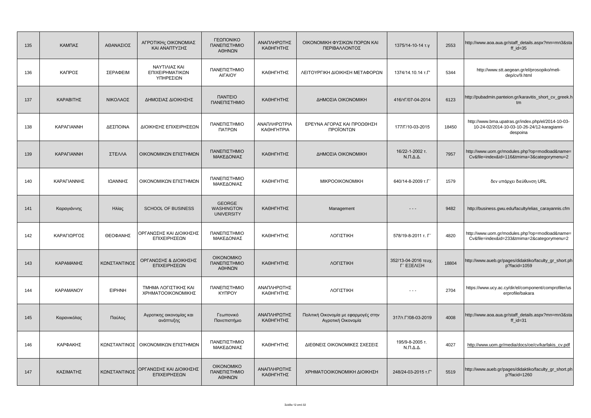| 135 | ΚΑΜΠΑΣ            | ΑΘΑΝΑΣΙΟΣ     | ΑΓΡΟΤΙΚΗς ΟΙΚΟΝΟΜΙΑΣ<br>ΚΑΙ ΑΝΑΠΤΥΞΗΣ         | ΓΕΩΠΟΝΙΚΟ<br>ΠΑΝΕΠΙΣΤΗΜΙΟ<br>ΑΘΗΝΩΝ                     | ΑΝΑΠΛΗΡΩΤΗΣ<br>ΚΑΘΗΓΗΤΗΣ          | ΟΙΚΟΝΟΜΙΚΗ ΦΥΣΙΚΩΝ ΠΟΡΩΝ ΚΑΙ<br>ΠΕΡΙΒΑΛΛΟΝΤΟΣ              | 1375/14-10-14 т.у                         | 2553  | http://www.aoa.aua.gr/staff_details.aspx?mn=mn3&sta<br>ff $id=35$                                             |
|-----|-------------------|---------------|-----------------------------------------------|---------------------------------------------------------|-----------------------------------|------------------------------------------------------------|-------------------------------------------|-------|---------------------------------------------------------------------------------------------------------------|
| 136 | ΚΑΠΡΟΣ            | ΣΕΡΑΦΕΙΜ      | ΝΑΥΤΙΛΙΑΣ ΚΑΙ<br>ΕΠΙΧΕΙΡΗΜΑΤΙΚΩΝ<br>ΥΠΗΡΕΣΙΩΝ | ΠΑΝΕΠΙΣΤΗΜΙΟ<br>ΑΙΓΑΙΟΥ                                 | ΚΑΘΗΓΗΤΗΣ                         | ΛΕΙΤΟΥΡΓΙΚΗ ΔΙΟΙΚΗΣΗ ΜΕΤΑΦΟΡΩΝ                             | 1374/14.10.14 T.F'                        | 5344  | http://www.stt.aegean.gr/el/prosopiko/meli-<br>dep/cv/9.html                                                  |
| 137 | ΚΑΡΑΒΙΤΗΣ         | ΝΙΚΟΛΑΟΣ      | ΔΗΜΟΣΙΑΣ ΔΙΟΙΚΗΣΗΣ                            | <b><i><u>ITANTEIO</u></i></b><br>ΠΑΝΕΠΙΣΤΗΜΙΟ           | ΚΑΘΗΓΗΤΗΣ                         | ΔΗΜΟΣΙΑ ΟΙΚΟΝΟΜΙΚΗ                                         | 416/τΓ/07-04-2014                         | 6123  | http://pubadmin.panteion.gr/karavitis_short_cv_greek.h<br>tm                                                  |
| 138 | <b>KAPAFIANNH</b> | ΔΕΣΠΟΙΝΑ      | ΔΙΟΙΚΗΣΗΣ ΕΠΙΧΕΙΡΗΣΕΩΝ                        | ΠΑΝΕΠΙΣΤΗΜΙΟ<br>ΠΑΤΡΩΝ                                  | ΑΝΑΠΛΗΡΩΤΡΙΑ<br><b>КАΘНГНТРІА</b> | ΕΡΕΥΝΑ ΑΓΟΡΑΣ ΚΑΙ ΠΡΟΩΘΗΣΗ<br>ΠΡΟΪΟΝΤΩΝ                    | 177/Г/10-03-2015                          | 18450 | http://www.bma.upatras.gr/index.php/el/2014-10-03-<br>10-24-02/2014-10-03-10-26-24/12-karagianni-<br>despoina |
| 139 | <b>KAPAFIANNH</b> | ΣΤΕΛΛΑ        | ΟΙΚΟΝΟΜΙΚΩΝ ΕΠΙΣΤΗΜΩΝ                         | ΠΑΝΕΠΙΣΤΗΜΙΟ<br>ΜΑΚΕΔΟΝΙΑΣ                              | ΚΑΘΗΓΗΤΗΣ                         | ΔΗΜΟΣΙΑ ΟΙΚΟΝΟΜΙΚΗ                                         | 16/22-1-2002 т.<br>$N.\Pi.\Delta.\Delta.$ | 7957  | http://www.uom.gr/modules.php?op=modload&name=<br>Cv&file=index&id=116&tmima=3&categorymenu=2                 |
| 140 | ΚΑΡΑΓΙΑΝΝΗΣ       | ΙΩΑΝΝΗΣ       | ΟΙΚΟΝΟΜΙΚΩΝ ΕΠΙΣΤΗΜΩΝ                         | ΠΑΝΕΠΙΣΤΗΜΙΟ<br>ΜΑΚΕΔΟΝΙΑΣ                              | ΚΑΘΗΓΗΤΗΣ                         | <b>MIKPOOIKONOMIKH</b>                                     | 640/14-8-2009 т.Г'                        | 1579  | δεν υπάρχει διεύθυνση URL                                                                                     |
| 141 | Καραγιάννης       | Ηλίας         | <b>SCHOOL OF BUSINESS</b>                     | <b>GEORGE</b><br><b>WASHINGTON</b><br><b>UNIVERSITY</b> | ΚΑΘΗΓΗΤΗΣ                         | Management                                                 | - - -                                     | 9482  | http://business.gwu.edu/faculty/elias_carayannis.cfm                                                          |
| 142 | ΚΑΡΑΓΙΩΡΓΟΣ       | ΘΕΟΦΑΝΗΣ      | ΟΡΓΑΝΩΣΗΣ ΚΑΙ ΔΙΟΙΚΗΣΗΣ<br>ΕΠΙΧΕΙΡΗΣΕΩΝ       | ΠΑΝΕΠΙΣΤΗΜΙΟ<br>ΜΑΚΕΔΟΝΙΑΣ                              | ΚΑΘΗΓΗΤΗΣ                         | ΛΟΓΙΣΤΙΚΗ                                                  | 578/19-8-2011 T. L'                       | 4820  | http://www.uom.gr/modules.php?op=modload&name=<br>Cv&file=index&id=233&tmima=2&categorymenu=2                 |
| 143 | ΚΑΡΑΜΑΝΗΣ         | ΚΩΝΣΤΑΝΤΙΝΟΣ  | ΟΡΓΑΝΩΣΗΣ & ΔΙΟΙΚΗΣΗΣ<br>ΕΠΙΧΕΙΡΗΣΕΩΝ         | <b>OIKONOMIKO</b><br>ΠΑΝΕΠΙΣΤΗΜΙΟ<br>ΑΘΗΝΩΝ             | ΚΑΘΗΓΗΤΗΣ                         | ΛΟΓΙΣΤΙΚΗ                                                  | 352/13-04-2016 τευχ.<br><b>L. EEEVIEH</b> | 18804 | http://www.aueb.gr/pages/didaktiko/faculty_gr_short.ph<br>p?facid=1059                                        |
| 144 | <b>KAPAMANOY</b>  | <b>EIPHNH</b> | ΤΜΗΜΑ ΛΟΓΙΣΤΙΚΗΣ ΚΑΙ<br>ΧΡΗΜΑΤΟΟΙΚΟΝΟΜΙΚΗΣ    | ΠΑΝΕΠΙΣΤΗΜΙΟ<br><b>KYΠPOY</b>                           | ΑΝΑΠΛΗΡΩΤΗΣ<br>ΚΑΘΗΓΗΤΗΣ          | ΛΟΓΙΣΤΙΚΗ                                                  | $  -$                                     | 2704  | https://www.ucy.ac.cy/dir/el/component/comprofiler/us<br>erprofile/bakara                                     |
| 145 | Καρανικόλας       | Παύλος        | Αγροτικης οικονομίας και<br>ανάπτυξης         | Γεωπονικό<br>Πανεπιστήμιο                               | ΑΝΑΠΛΗΡΩΤΗΣ<br>ΚΑΘΗΓΗΤΗΣ          | Πολιτική Οικονομία με εφαρμογές στην<br>Αγροτική Οικονομία | 317/T. T'/08-03-2019                      | 4008  | http://www.aoa.aua.gr/staff_details.aspx?mn=mn3&sta<br>$ff_id=31$                                             |
| 146 | ΚΑΡΦΑΚΗΣ          |               | ΚΩΝΣΤΑΝΤΙΝΟΣ   ΟΙΚΟΝΟΜΙΚΩΝ ΕΠΙΣΤΗΜΩΝ          | ΠΑΝΕΠΙΣΤΗΜΙΟ<br>ΜΑΚΕΔΟΝΙΑΣ                              | ΚΑΘΗΓΗΤΗΣ                         | ΔΙΕΘΝΕΙΣ ΟΙΚΟΝΟΜΙΚΕΣ ΣΧΕΣΕΙΣ                               | 195/9-8-2005 т.<br>$N.\Pi.\Delta.\Delta.$ | 4027  | http://www.uom.gr/media/docs/oe/cv/karfakis_cv.pdf                                                            |
| 147 | ΚΑΣΙΜΑΤΗΣ         | ΚΩΝΣΤΑΝΤΙΝΟΣ  | ΟΡΓΑΝΩΣΗΣ ΚΑΙ ΔΙΟΙΚΗΣΗΣ<br>ΕΠΙΧΕΙΡΗΣΕΩΝ       | <b>OIKONOMIKO</b><br>ΠΑΝΕΠΙΣΤΗΜΙΟ<br>ΑΘΗΝΩΝ             | ΑΝΑΠΛΗΡΩΤΗΣ<br>ΚΑΘΗΓΗΤΗΣ          | ΧΡΗΜΑΤΟΟΙΚΟΝΟΜΙΚΗ ΔΙΟΙΚΗΣΗ                                 | 248/24-03-2015 T.F'                       | 5519  | http://www.aueb.gr/pages/didaktiko/faculty_gr_short.ph<br>p?facid=1260                                        |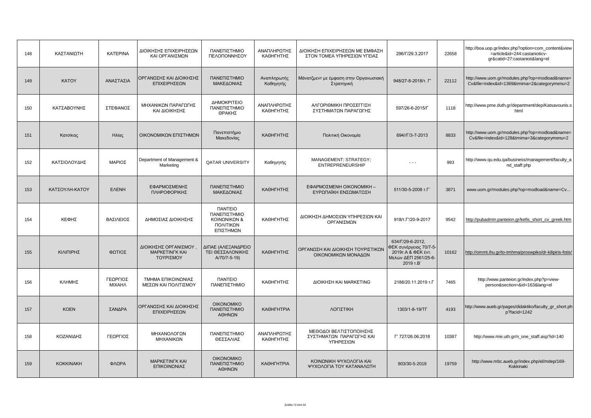| 148 | ΚΑΣΤΑΝΙΩΤΗ       | <b>KATEPINA</b>           | ΔΙΟΙΚΗΣΗΣ ΕΠΙΧΕΙΡΗΣΕΩΝ<br>ΚΑΙ ΟΡΓΑΝΙΣΜΩΝ                    | ΠΑΝΕΠΙΣΤΗΜΙΟ<br>ΠΕΛΟΠΟΝΝΗΣΟΥ                                                            | ΑΝΑΠΛΗΡΩΤΗΣ<br>ΚΑΘΗΓΗΤΗΣ | ΔΙΟΙΚΗΣΗ ΕΠΙΧΕΙΡΗΣΕΩΝ ΜΕ ΕΜΦΑΣΗ<br>ΣΤΟΝ ΤΟΜΕΑ ΥΠΗΡΕΣΙΩΝ ΥΓΕΙΑΣ   | 296/F/29.3.2017                                                                                       | 22658 | http://boa.uop.gr/index.php?option=com_content&view<br>=article&id=244:castanioticv-<br>gr&catid=27:castanioti⟨=el |
|-----|------------------|---------------------------|-------------------------------------------------------------|-----------------------------------------------------------------------------------------|--------------------------|------------------------------------------------------------------|-------------------------------------------------------------------------------------------------------|-------|--------------------------------------------------------------------------------------------------------------------|
| 149 | <b>KATOY</b>     | ΑΝΑΣΤΑΣΙΑ                 | ΟΡΓΑΝΩΣΗΣ ΚΑΙ ΔΙΟΙΚΗΣΗΣ<br>ΕΠΙΧΕΙΡΗΣΕΩΝ                     | ΠΑΝΕΠΙΣΤΗΜΙΟ<br>ΜΑΚΕΔΟΝΙΑΣ                                                              | Αναπληρωτής<br>Καθηγητής | Μάνατζμεντ με έμφαση στην Οργανωσιακή<br>Στρατηγική              | 948/27-8-2018/т. Г'                                                                                   | 22112 | http://www.uom.gr/modules.php?op=modload&name=<br>Cv&file=index&id=1369&tmima=2&categorymenu=2                     |
| 150 | ΚΑΤΣΑΒΟΥΝΗΣ      | ΣΤΕΦΑΝΟΣ                  | ΜΗΧΑΝΙΚΩΝ ΠΑΡΑΓΩΓΗΣ<br>ΚΑΙ ΔΙΟΙΚΗΣΗΣ                        | ΔΗΜΟΚΡΙΤΕΙΟ<br>ΠΑΝΕΠΙΣΤΗΜΙΟ<br>ΘΡΑΚΗΣ                                                   | ΑΝΑΠΛΗΡΩΤΗΣ<br>ΚΑΘΗΓΗΤΗΣ | ΑΛΓΟΡΙΘΜΙΚΗ ΠΡΟΣΕΓΓΙΣΗ<br>ΣΥΣΤΗΜΑΤΩΝ ΠΑΡΑΓΩΓΗΣ                   | 597/26-6-2015/L                                                                                       | 1118  | http://www.pme.duth.gr/department/dep/Katsavounis.s<br>html                                                        |
| 151 | Κατσίκας         | Ηλίας                     | ΟΙΚΟΝΟΜΙΚΩΝ ΕΠΙΣΤΗΜΩΝ                                       | Πανεπιστήμιο<br>Μακεδονίας                                                              | ΚΑΘΗΓΗΤΗΣ                | Πολιτική Οικονομία                                               | 694//Г/3-7-2013                                                                                       | 8833  | http://www.uom.gr/modules.php?op=modload&name=<br>Cv&file=index&id=128&tmima=3&categorymenu=2                      |
| 152 | ΚΑΤΣΙΟΛΟΥΔΗΣ     | ΜΑΡΙΟΣ                    | Department of Management &<br>Marketing                     | <b>QATAR UNIVERSITY</b>                                                                 | Καθηγητής                | MANAGEMENT; STRATEGY;<br><b>ENTREPRENEURSHIP</b>                 | $ -$                                                                                                  | 993   | http://www.qu.edu.qa/business/management/faculty_a<br>nd staff.php                                                 |
| 153 | ΚΑΤΣΟΥΛΗ-ΚΑΤΟΥ   | <b>EAENH</b>              | ΕΦΑΡΜΟΣΜΕΝΗΣ<br>ΠΛΗΡΟΦΟΡΙΚΗΣ                                | ΠΑΝΕΠΙΣΤΗΜΙΟ<br>ΜΑΚΕΔΟΝΙΑΣ                                                              | ΚΑΘΗΓΗΤΗΣ                | ΕΦΑΡΜΟΣΜΕΝΗ ΟΙΚΟΝΟΜΙΚΗ -<br>ΕΥΡΩΠΑΪΚΗ ΕΝΣΩΜΑΤΩΣΗ                 | 511/30-5-2008 T.F'                                                                                    | 3871  | www.uom.gr/modules.php?op=modload&name=Cv                                                                          |
| 154 | ΚΕΦΗΣ            | ΒΑΣΙΛΕΙΟΣ                 | ΔΗΜΟΣΙΑΣ ΔΙΟΙΚΗΣΗΣ                                          | <b><i><u>ITANTEIO</u></i></b><br>ΠΑΝΕΠΙΣΤΗΜΙΟ<br>ΚΟΙΝΩΝΙΚΩΝ &<br>ΠΟΛΙΤΙΚΩΝ<br>ΕΠΙΣΤΗΜΩΝ | ΚΑΘΗΓΗΤΗΣ                | ΔΙΟΙΚΗΣΗ ΔΗΜΟΣΙΩΝ ΥΠΗΡΕΣΙΩΝ ΚΑΙ<br>ΟΡΓΑΝΙΣΜΩΝ                    | 918/T. L'/20-9-2017                                                                                   | 9542  | http://pubadmin.panteion.gr/kefis_short_cv_greek.htm                                                               |
| 155 | ΚΙΛΙΠΙΡΗΣ        | ΦΩΤΙΟΣ                    | ΔΙΟΙΚΗΣΗΣ ΟΡΓΑΝΙΣΜΟΥ,<br><b>MAPKETINFK KAI</b><br>ΤΟΥΡΙΣΜΟΥ | ΔΙΠΑΕ (ΑΛΕΞΑΝΔΡΕΙΟ<br>ΤΕΙ ΘΕΣΣΑΛΟΝΙΚΗΣ<br>A/70/7-5-19)                                  | ΚΑΘΗΓΗΤΗΣ                | ΟΡΓΑΝΩΣΗ ΚΑΙ ΔΙΟΙΚΗΣΗ ΤΟΥΡΙΣΤΙΚΩΝ<br>ΟΙΚΟΝΟΜΙΚΩΝ ΜΟΝΑΔΩΝ         | 634/Г/29-6-2012,<br>ΦΕΚ συνέργειας 70/7-5-<br>2019τ. Α & ΦΕΚ έντ.<br>Μελών ΔΕΠ 2561/25-6-<br>2019 T.B | 10162 | http://ommt.ihu.gr/to-tmhma/proswpiko/dr-kilipiris-fotis/                                                          |
| 156 | ΚΛΗΜΗΣ           | ΓΕΩΡΓΙΟΣ<br><b>MIXAHA</b> | ΤΜΗΜΑ ΕΠΙΚΟΙΝΩΝΙΑΣ<br>ΜΕΣΩΝ ΚΑΙ ΠΟΛΙΤΙΣΜΟΥ                  | <b><i><u>ITANTEIO</u></i></b><br>ΠΑΝΕΠΙΣΤΗΜΙΟ                                           | ΚΑΘΗΓΗΤΗΣ                | ΔΙΟΙΚΗΣΗ ΚΑΙ ΜΑRΚΕΤΙΝG                                           | 2188/20.11.2019 т.Г                                                                                   | 7465  | http://www.panteion.gr/index.php?p=view-<br>person&section=&id=163⟨=el                                             |
| 157 | <b>KOEN</b>      | ΣΑΝΔΡΑ                    | ΟΡΓΑΝΩΣΗΣ ΚΑΙ ΔΙΟΙΚΗΣΗΣ<br>ΕΠΙΧΕΙΡΗΣΕΩΝ                     | <b>OIKONOMIKO</b><br>ΠΑΝΕΠΙΣΤΗΜΙΟ<br>ΑΘΗΝΩΝ                                             | <b>КАӨНГНТРІА</b>        | ΛΟΓΙΣΤΙΚΗ                                                        | 1303/1-8-19/TF                                                                                        | 4193  | http://www.aueb.gr/pages/didaktiko/faculty_gr_short.ph<br>p?facid=1242                                             |
| 158 | ΚΟΖΑΝΙΔΗΣ        | ΓΕΩΡΓΙΟΣ                  | ΜΗΧΑΝΟΛΟΓΩΝ<br>ΜΗΧΑΝΙΚΩΝ                                    | ΠΑΝΕΠΙΣΤΗΜΙΟ<br>ΘΕΣΣΑΛΙΑΣ                                                               | ΑΝΑΠΛΗΡΩΤΗΣ<br>ΚΑΘΗΓΗΤΗΣ | ΜΕΘΟΔΟΙ ΒΕΛΤΙΣΤΟΠΟΙΗΣΗΣ<br>ΣΥΣΤΗΜΑΤΩΝ ΠΑΡΑΓΩΓΗΣ ΚΑΙ<br>ΥΠΗΡΕΣΙΩΝ | Г' 727/26.06.2018                                                                                     | 10387 | http://www.mie.uth.gr/n one staff.asp?id=140                                                                       |
| 159 | <b>KOKKINAKH</b> | ΦΛΩΡΑ                     | <b>MAPKETINFK KAI</b><br>ΕΠΙΚΟΙΝΩΝΙΑΣ                       | <b>OIKONOMIKO</b><br>ΠΑΝΕΠΙΣΤΗΜΙΟ<br>ΑΘΗΝΩΝ                                             | <b>КАΘНГНТРІА</b>        | ΚΟΙΝΩΝΙΚΗ ΨΥΧΟΛΟΓΙΑ ΚΑΙ<br>ΨΥΧΟΛΟΓΙΑ ΤΟΥ ΚΑΤΑΝΑΛΩΤΗ              | 903/30-5-2019                                                                                         | 19759 | http://www.mbc.aueb.gr/index.php/el/mdep/169-<br>Kokkinaki                                                         |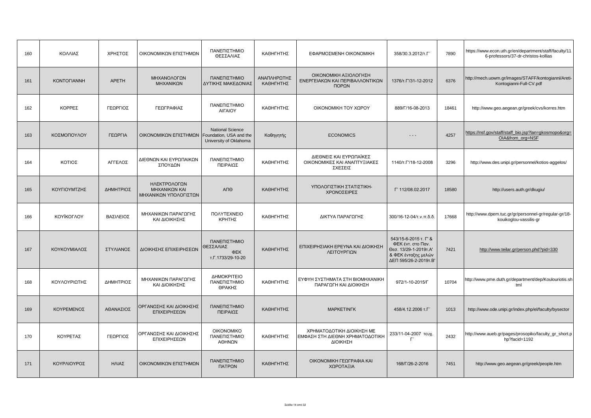| 160 | ΚΟΛΛΙΑΣ            | ΧΡΗΣΤΟΣ      | ΟΙΚΟΝΟΜΙΚΩΝ ΕΠΙΣΤΗΜΩΝ                                  | ΠΑΝΕΠΙΣΤΗΜΙΟ<br>ΘΕΣΣΑΛΙΑΣ                             | ΚΑΘΗΓΗΤΗΣ                | ΕΦΑΡΜΟΣΜΕΝΗ ΟΙΚΟΝΟΜΙΚΗ                                                   | 358/30.3.2012/T.F                                                                                                   | 7890  | https://www.econ.uth.gr/en/department/staff/faculty/11<br>6-professors/37-dr-christos-kollias |
|-----|--------------------|--------------|--------------------------------------------------------|-------------------------------------------------------|--------------------------|--------------------------------------------------------------------------|---------------------------------------------------------------------------------------------------------------------|-------|-----------------------------------------------------------------------------------------------|
| 161 | <b>KONTOFIANNH</b> | <b>APETH</b> | ΜΗΧΑΝΟΛΟΓΩΝ<br>ΜΗΧΑΝΙΚΩΝ                               | ΠΑΝΕΠΙΣΤΗΜΙΟ<br>ΔΥΤΙΚΗΣ ΜΑΚΕΔΟΝΙΑΣ                    | ΑΝΑΠΛΗΡΩΤΗΣ<br>ΚΑΘΗΓΗΤΗΣ | ΟΙΚΟΝΟΜΙΚΗ ΑΞΙΟΛΟΓΗΣΗ<br>ΕΝΕΡΓΕΙΑΚΩΝ ΚΑΙ ΠΕΡΙΒΑΛΛΟΝΤΙΚΩΝ<br>ΠΟΡΩΝ        | 1376/T. 1/31-12-2012                                                                                                | 6376  | http://mech.uowm.gr/images/STAFF/kontogianni/Areti-<br>Kontogianni-Full-CV.pdf                |
| 162 | ΚΟΡΡΕΣ             | ΓΕΩΡΓΙΟΣ     | ΓΕΩΓΡΑΦΙΑΣ                                             | ΠΑΝΕΠΙΣΤΗΜΙΟ<br>ΑΙΓΑΙΟΥ                               | ΚΑΘΗΓΗΤΗΣ                | ΟΙΚΟΝΟΜΙΚΗ ΤΟΥ ΧΩΡΟΥ                                                     | 889/F/16-08-2013                                                                                                    | 18461 | http://www.geo.aegean.gr/greek/cvs/korres.htm                                                 |
| 163 | ΚΟΣΜΟΠΟΥΛΟΥ        | ΓΕΩΡΓΙΑ      | OIKONOMIKΩN EΠΙΣΤΗΜΩΝ   Foundation, USA and the        | <b>National Science</b><br>University of Oklahoma     | Καθηγητής                | <b>ECONOMICS</b>                                                         | $- - -$                                                                                                             | 4257  | https://nsf.gov/staff/staff_bio.jsp?lan=qkosmopo&orq=<br>OIA&from_org=NSF                     |
| 164 | ΚΟΤΙΟΣ             | ΑΓΓΕΛΟΣ      | ΔΙΕΘΝΩΝ ΚΑΙ ΕΥΡΩΠΑΙΚΩΝ<br>ΣΠΟΥΔΩΝ                      | ΠΑΝΕΠΙΣΤΗΜΙΟ<br>ΠΕΙΡΑΙΩΣ                              | ΚΑΘΗΓΗΤΗΣ                | ΔΙΕΘΝΕΙΣ ΚΑΙ ΕΥΡΩΠΑΪΚΕΣ<br>ΟΙΚΟΝΟΜΙΚΕΣ ΚΑΙ ΑΝΑΠΤΥΞΙΑΚΕΣ<br>ΣΧΕΣΕΙΣ       | 1140/T. $\Gamma$ /18-12-2008                                                                                        | 3296  | http://www.des.unipi.gr/personnel/kotios-aggelos/                                             |
| 165 | ΚΟΥΓΙΟΥΜΤΖΗΣ       | ΔΗΜΗΤΡΙΟΣ    | ΗΛΕΚΤΡΟΛΟΓΩΝ<br>ΜΗΧΑΝΙΚΩΝ ΚΑΙ<br>ΜΗΧΑΝΙΚΩΝ ΥΠΟΛΟΓΙΣΤΩΝ | ΑΠΘ                                                   | ΚΑΘΗΓΗΤΗΣ                | ΥΠΟΛΟΓΙΣΤΙΚΗ ΣΤΑΤΙΣΤΙΚΗ-<br>ΧΡΟΝΟΣΕΙΡΕΣ                                  | Г' 112/08.02.2017                                                                                                   | 18580 | http://users.auth.gr/dkugiu/                                                                  |
| 166 | <b>KOYÏKOFAOY</b>  | ΒΑΣΙΛΕΙΟΣ    | ΜΗΧΑΝΙΚΩΝ ΠΑΡΑΓΩΓΗΣ<br>ΚΑΙ ΔΙΟΙΚΗΣΗΣ                   | <b><i>NOAYTEXNEIO</i></b><br>ΚΡΗΤΗΣ                   | ΚΑΘΗΓΗΤΗΣ                | ΔΙΚΤΥΑ ΠΑΡΑΓΩΓΗΣ                                                         | 300/16-12-04/τ.ν.π.δ.δ.                                                                                             | 17668 | http://www.dpem.tuc.gr/gr/personnel-gr/regular-gr/18-<br>kouikoglou-vassilis-gr               |
| 167 | ΚΟΥΚΟΥΜΙΑΛΟΣ       | ΣΤΥΛΙΑΝΟΣ    | ΔΙΟΙΚΗΣΗΣ ΕΠΙΧΕΙΡΗΣΕΩΝ                                 | ΠΑΝΕΠΙΣΤΗΜΙΟ<br>ΘΕΣΣΑΛΙΑΣ<br>ΦEK<br>т.Г.1733/29-10-20 | ΚΑΘΗΓΗΤΗΣ                | ΕΠΙΧΕΙΡΗΣΙΑΚΗ ΕΡΕΥΝΑ ΚΑΙ ΔΙΟΙΚΗΣΗ<br>ΛΕΙΤΟΥΡΓΙΩΝ                         | 543/15-6-2015 т. Г' &<br>ΦΕΚ έντ. στο Παν.<br>Θεσ. 13/29-1-2019τ.Α'<br>& ΦΕΚ ένταξης μελών<br>∆ЕП 595/26-2-2019т.В' | 7421  | http://www.teilar.gr/person.phd?pid=330                                                       |
| 168 | ΚΟΥΛΟΥΡΙΩΤΗΣ       | ΔΗΜΗΤΡΙΟΣ    | ΜΗΧΑΝΙΚΩΝ ΠΑΡΑΓΩΓΗΣ<br>ΚΑΙ ΔΙΟΙΚΗΣΗΣ                   | ΔΗΜΟΚΡΙΤΕΙΟ<br>ΠΑΝΕΠΙΣΤΗΜΙΟ<br>ΘΡΑΚΗΣ                 | ΚΑΘΗΓΗΤΗΣ                | ΕΥΦΥΗ ΣΥΣΤΗΜΑΤΑ ΣΤΗ ΒΙΟΜΗΧΑΝΙΚΗ<br>ΠΑΡΑΓΩΓΗ ΚΑΙ ΔΙΟΙΚΗΣΗ                 | 972/1-10-2015/F                                                                                                     | 10704 | http://www.pme.duth.gr/department/dep/Koulouriotis.sh<br>tml                                  |
| 169 | ΚΟΥΡΕΜΕΝΟΣ         | ΑΘΑΝΑΣΙΟΣ    | ΟΡΓΑΝΩΣΗΣ ΚΑΙ ΔΙΟΙΚΗΣΗΣ<br>ΕΠΙΧΕΙΡΗΣΕΩΝ                | ΠΑΝΕΠΙΣΤΗΜΙΟ<br>ΠΕΙΡΑΙΩΣ                              | ΚΑΘΗΓΗΤΗΣ                | <b>MAPKETINFK</b>                                                        | 458/4.12.2006 т.Г'                                                                                                  | 1013  | http://www.ode.unipi.gr/index.php/el/faculty/bysector                                         |
| 170 | ΚΟΥΡΕΤΑΣ           | ΓΕΩΡΓΙΟΣ     | ΟΡΓΑΝΩΣΗΣ ΚΑΙ ΔΙΟΙΚΗΣΗΣ<br>ΕΠΙΧΕΙΡΗΣΕΩΝ                | <b>OIKONOMIKO</b><br>ΠΑΝΕΠΙΣΤΗΜΙΟ<br>ΑΘΗΝΩΝ           | ΚΑΘΗΓΗΤΗΣ                | ΧΡΗΜΑΤΟΔΟΤΙΚΗ ΔΙΟΙΚΗΣΗ ΜΕ<br>ΕΜΦΑΣΗ ΣΤΗ ΔΙΕΘΝΗ ΧΡΗΜΑΤΟΔΟΤΙΚΗ<br>ΔΙΟΙΚΗΣΗ | 233/11-04-2007 τευχ.                                                                                                | 2432  | http://www.aueb.gr/pages/prosopiko/faculty_gr_short.p<br>hp?facid=1192                        |
| 171 | ΚΟΥΡΛΙΟΥΡΟΣ        | ΗΛΙΑΣ        | ΟΙΚΟΝΟΜΙΚΩΝ ΕΠΙΣΤΗΜΩΝ                                  | ΠΑΝΕΠΙΣΤΗΜΙΟ<br>ΠΑΤΡΩΝ                                | ΚΑΘΗΓΗΤΗΣ                | ΟΙΚΟΝΟΜΙΚΗ ΓΕΩΓΡΑΦΙΑ ΚΑΙ<br>ΧΩΡΟΤΑΞΙΑ                                    | 168/F/26-2-2016                                                                                                     | 7451  | http://www.geo.aegean.gr/greek/people.htm                                                     |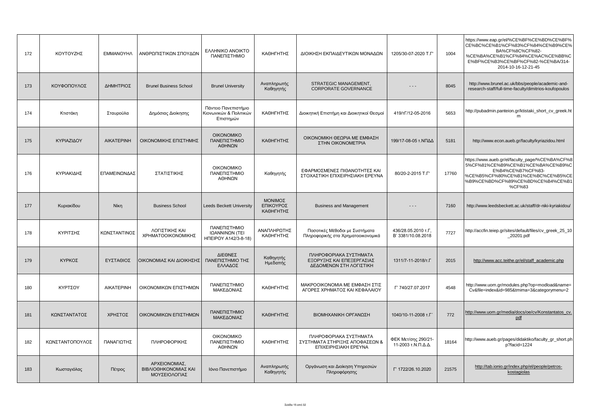| 172 | ΚΟΥΤΟΥΖΗΣ       | <b>EMMANOYHA</b>  | ΑΝΘΡΩΠΙΣΤΙΚΩΝ ΣΠΟΥΔΩΝ                                  | <b>EAAHNIKO ANOIKTO</b><br>ΠΑΝΕΠΙΣΤΗΜΙΟ                     | ΚΑΘΗΓΗΤΗΣ                         | ΔΙΟΙΚΗΣΗ ΕΚΠΑΙΔΕΥΤΙΚΩΝ ΜΟΝΑΔΩΝ                                                   | 1205/30-07-2020 T.F                       | 1004  | https://www.eap.gr/el/%CE%BF%CE%BD%CE%BF%<br>CE%BC%CE%B1%CF%83%CF%84%CE%B9%CE%<br>BA%CF%8C%CF%82-<br>%CE%BA%CE%B1%CF%84%CE%AC%CE%BB%C<br>E%BF%CE%B3%CE%BF%CF%82-%CE%BA/314-<br>2014-10-16-12-21-45 |
|-----|-----------------|-------------------|--------------------------------------------------------|-------------------------------------------------------------|-----------------------------------|----------------------------------------------------------------------------------|-------------------------------------------|-------|----------------------------------------------------------------------------------------------------------------------------------------------------------------------------------------------------|
| 173 | ΚΟΥΦΟΠΟΥΛΟΣ     | ΔΗΜΗΤΡΙΟΣ         | <b>Brunel Business School</b>                          | <b>Brunel University</b>                                    | Αναπληρωτής<br>Καθηγητής          | STRATEGIC MANAGEMENT,<br><b>CORPORATE GOVERNANCE</b>                             | - - -                                     | 8045  | http://www.brunel.ac.uk/bbs/people/academic-and-<br>research-staff/full-time-faculty/dimitrios-koufopoulos                                                                                         |
| 174 | Κτιστάκη        | Σταυρούλα         | Δημόσιας Διοίκησης                                     | Πάντειο Πανεπιστήμιο<br>Κιονωνικών & Πολιτικών<br>Επιστημών | ΚΑΘΗΓΗΤΗΣ                         | Διοικητική Επιστήμη και Διοικητικοί Θεσμοί                                       | 419/TF/12-05-2016                         | 5653  | http://pubadmin.panteion.gr/ktistaki_short_cv_greek.ht<br>m                                                                                                                                        |
| 175 | ΚΥΡΙΑΖΙΔΟΥ      | <b>AIKATEPINH</b> | ΟΙΚΟΝΟΜΙΚΗΣ ΕΠΙΣΤΗΜΗΣ                                  | <b>OIKONOMIKO</b><br>ΠΑΝΕΠΙΣΤΗΜΙΟ<br>ΑΘΗΝΩΝ                 | ΚΑΘΗΓΗΤΗΣ                         | ΟΙΚΟΝΟΜΙΚΗ ΘΕΩΡΙΑ ΜΕ ΕΜΦΑΣΗ<br>ΣΤΗΝ ΟΙΚΟΝΟΜΕΤΡΙΑ                                 | 199/17-08-05 τ.ΝΠΔΔ                       | 5181  | http://www.econ.aueb.gr/faculty/kyriazidou.html                                                                                                                                                    |
| 176 | ΚΥΡΙΑΚΙΔΗΣ      | ΕΠΑΜΕΙΝΩΝΔΑΣ      | ΣΤΑΤΙΣΤΙΚΗΣ                                            | <b>OIKONOMIKO</b><br>ΠΑΝΕΠΙΣΤΗΜΙΟ<br>ΑΘΗΝΩΝ                 | Καθηγητής                         | ΕΦΑΡΜΟΣΜΕΝΕΣ ΠΙΘΑΝΟΤΗΤΕΣ ΚΑΙ<br>ΣΤΟΧΑΣΤΙΚΗ ΕΠΙΧΕΙΡΗΣΙΑΚΗ ΕΡΕΥΝΑ                  | 80/20-2-2015 T.F'                         | 17760 | https://www.aueb.gr/el/faculty_page/%CE%BA%CF%8<br>5%CF%81%CE%B9%CE%B1%CE%BA%CE%B9%C<br>E%B4%CE%B7%CF%83-<br>%CE%B5%CF%80%CE%B1%CE%BC%CE%B5%CE<br>%B9%CE%BD%CF%89%CE%BD%CE%B4%CE%B1<br>%CF%83      |
| 177 | Κυριακίδου      | Níkn              | <b>Business School</b>                                 | <b>Leeds Beckett University</b>                             | ΜΟΝΙΜΟΣ<br>ΕΠΙΚΟΥΡΟΣ<br>ΚΑΘΗΓΗΤΗΣ | <b>Business and Management</b>                                                   | $ -$                                      | 7160  | http://www.leedsbeckett.ac.uk/staff/dr-niki-kyriakidou/                                                                                                                                            |
| 178 | ΚΥΡΙΤΣΗΣ        | ΚΩΝΣΤΑΝΤΙΝΟΣ      | ΛΟΓΙΣΤΙΚΗΣ ΚΑΙ<br>ΧΡΗΜΑΤΟΟΙΚΟΝΟΜΙΚΗΣ                   | ΠΑΝΕΠΙΣΤΗΜΙΟ<br>ΙΩΑΝΝΙΝΩΝ (TEI<br>HITEIPOY A142/3-8-18)     | ΑΝΑΠΛΗΡΩΤΗΣ<br>ΚΑΘΗΓΗΤΗΣ          | Ποσοτικές Μέθοδοι με Συστήματα<br>Πληροφορικής στα Χρηματοοικονομικά             | 436/28.05.2010 т.Г,<br>B' 3381/10.08.2018 | 7727  | http://accfin.teiep.gr/sites/default/files/cv_greek_25_10<br>_20201.pdf                                                                                                                            |
| 179 | ΚΥΡΚΟΣ          | ΕΥΣΤΑΘΙΟΣ         | ΟΙΚΟΝΟΜΙΑΣ ΚΑΙ ΔΙΟΙΚΗΣΗΣ                               | ΔΙΕΘΝΕΣ<br>ΠΑΝΕΠΙΣΤΗΜΙΟ ΤΗΣ<br>ΕΛΛΑΔΟΣ                      | Καθηγητής<br>Ημεδαπής             | ΠΛΗΡΟΦΟΡΙΑΚΑ ΣΥΣΤΗΜΑΤΑ<br>ΕΞΟΡΥΞΗΣ ΚΑΙ ΕΠΕΞΕΡΓΑΣΙΑΣ<br>ΔΕΔΟΜΕΝΩΝ ΣΤΗ ΛΟΓΙΣΤΙΚΗ   | 1311/7-11-2018/т.Г                        | 2015  | http://www.acc.teithe.gr/el/staff_academic.php                                                                                                                                                     |
| 180 | ΚΥΡΤΣΟΥ         | <b>AIKATEPINH</b> | ΟΙΚΟΝΟΜΙΚΩΝ ΕΠΙΣΤΗΜΩΝ                                  | ΠΑΝΕΠΙΣΤΗΜΙΟ<br>ΜΑΚΕΔΟΝΙΑΣ                                  | ΚΑΘΗΓΗΤΗΣ                         | ΜΑΚΡΟΟΙΚΟΝΟΜΙΑ ΜΕ ΕΜΦΑΣΗ ΣΤΙΣ<br>ΑΓΟΡΕΣ ΧΡΗΜΑΤΟΣ ΚΑΙ ΚΕΦΑΛΑΙΟΥ                   | F' 740/27.07.2017                         | 4548  | http://www.uom.gr/modules.php?op=modload&name=<br>Cv&file=index&id=985&tmima=3&categorymenu=2                                                                                                      |
| 181 | ΚΩΝΣΤΑΝΤΑΤΟΣ    | ΧΡΗΣΤΟΣ           | ΟΙΚΟΝΟΜΙΚΩΝ ΕΠΙΣΤΗΜΩΝ                                  | ΠΑΝΕΠΙΣΤΗΜΙΟ<br>ΜΑΚΕΔΟΝΙΑΣ                                  | ΚΑΘΗΓΗΤΗΣ                         | ΒΙΟΜΗΧΑΝΙΚΗ ΟΡΓΑΝΩΣΗ                                                             | 1040/10-11-2008 т.Г                       | 772   | http://www.uom.gr/media/docs/oe/cv/Konstantatos_cv<br>pdf                                                                                                                                          |
| 182 | ΚΩΝΣΤΑΝΤΟΠΟΥΛΟΣ | ΠΑΝΑΓΙΩΤΗΣ        | ΠΛΗΡΟΦΟΡΙΚΗΣ                                           | <b>OIKONOMIKO</b><br>ΠΑΝΕΠΙΣΤΗΜΙΟ<br>ΑΘΗΝΩΝ                 | ΚΑΘΗΓΗΤΗΣ                         | ΠΛΗΡΟΦΟΡΙΑΚΑ ΣΥΣΤΗΜΑΤΑ<br>ΣΥΣΤΗΜΑΤΑ ΣΤΗΡΙΞΗΣ ΑΠΟΦΑΣΕΩΝ &<br>ΕΠΙΧΕΙΡΗΣΙΑΚΗ ΕΡΕΥΝΑ | ΦΕΚ Μετ/σης 290/21-<br>11-2003 τ.Ν.Π.Δ.Δ. | 18164 | http://www.aueb.gr/pages/didaktiko/faculty_gr_short.ph<br>p?facid=1224                                                                                                                             |
| 183 | Κωσταγιόλας     | Πέτρος            | ΑΡΧΕΙΟΝΟΜΙΑΣ.<br>ΒΙΒΛΙΟΘΗΚΟΝΟΜΙΑΣ ΚΑΙ<br>ΜΟΥΣΕΙΟΛΟΓΙΑΣ | Ιόνιο Πανεπιστήμιο                                          | Αναπληρωτής<br>Καθηγητής          | Οργάνωση και Διοίκηση Υπηρεσιών<br>Πληροφόρησης                                  | F' 1722/26.10.2020                        | 21575 | http://tab.ionio.gr/index.php/el/people/petros-<br>kostagiolas                                                                                                                                     |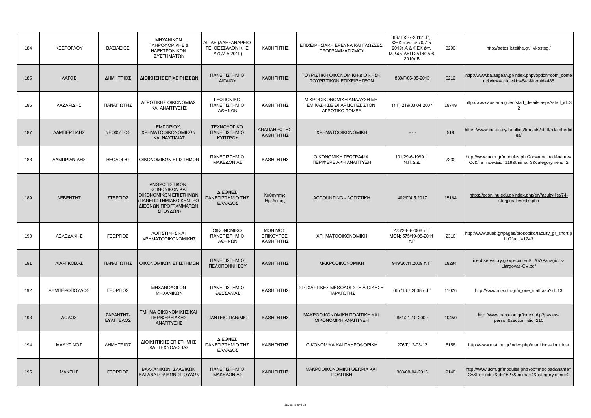| 184 | ΚΩΣΤΟΓΛΟΥ     | ΒΑΣΙΛΕΙΟΣ              | ΜΗΧΑΝΙΚΩΝ<br>ΠΛΗΡΟΦΟΡΙΚΗΣ &<br>ΗΛΕΚΤΡΟΝΙΚΩΝ<br>ΣΥΣΤΗΜΑΤΩΝ                                                               | ΔΙΠΑΕ (ΑΛΕΞΑΝΔΡΕΙΟ<br>ΤΕΙ ΘΕΣΣΑΛΟΝΙΚΗΣ<br>A70/7-5-2019) | ΚΑΘΗΓΗΤΗΣ                         | ΕΠΙΧΕΙΡΗΣΙΑΚΗ ΕΡΕΥΝΑ ΚΑΙ ΓΛΩΣΣΕΣ<br>ΠΡΟΓΡΑΜΜΑΤΙΣΜΟΥ                      | 637 Г/3-7-2012т.Г',<br>ΦΕΚ συνέργ.70/7-5-<br>2019 T.A & ΦΕΚ έντ.<br>Μελών ΔΕΠ 2516/25-6-<br>2019T.B' | 3290  | http://aetos.it.teithe.gr/~vkostogl/                                                           |
|-----|---------------|------------------------|-------------------------------------------------------------------------------------------------------------------------|---------------------------------------------------------|-----------------------------------|--------------------------------------------------------------------------|------------------------------------------------------------------------------------------------------|-------|------------------------------------------------------------------------------------------------|
| 185 | ΛΑΓΟΣ         | ΔΗΜΗΤΡΙΟΣ              | ΔΙΟΙΚΗΣΗΣ ΕΠΙΧΕΙΡΗΣΕΩΝ                                                                                                  | ΠΑΝΕΠΙΣΤΗΜΙΟ<br>ΑΙΓΑΙΟΥ                                 | ΚΑΘΗΓΗΤΗΣ                         | ΤΟΥΡΙΣΤΙΚΗ ΟΙΚΟΝΟΜΙΚΗ-ΔΙΟΙΚΗΣΗ<br>ΤΟΥΡΙΣΤΙΚΩΝ ΕΠΙΧΕΙΡΗΣΕΩΝ               | 830/Г/06-08-2013                                                                                     | 5212  | http://www.ba.aegean.gr/index.php?option=com_conte<br>nt&view=article&id=841&Itemid=488        |
| 186 | ΛΑΖΑΡΙΔΗΣ     | ΠΑΝΑΓΙΩΤΗΣ             | ΑΓΡΟΤΙΚΗΣ ΟΙΚΟΝΟΜΙΑΣ<br>ΚΑΙ ΑΝΑΠΤΥΞΗΣ                                                                                   | ΓΕΩΠΟΝΙΚΟ<br>ΠΑΝΕΠΙΣΤΗΜΙΟ<br>ΑΘΗΝΩΝ                     | ΚΑΘΗΓΗΤΗΣ                         | ΜΙΚΡΟΟΙΚΟΝΟΜΙΚΗ ΑΝΑΛΥΣΗ ΜΕ<br>ΕΜΦΑΣΗ ΣΕ ΕΦΑΡΜΟΓΕΣ ΣΤΟΝ<br>AFPOTIKO TOMEA | (т.Г) 219/03.04.2007                                                                                 | 18749 | http://www.aoa.aua.gr/en/staff_details.aspx?staff_id=3<br>2                                    |
| 187 | ΛΑΜΠΕΡΤΙΔΗΣ   | ΝΕΟΦΥΤΟΣ               | EMNOPIOY,<br>ΧΡΗΜΑΤΟΟΙΚΟΝΟΜΙΚΩΝ<br>ΚΑΙ ΝΑΥΤΙΛΙΑΣ                                                                        | ΤΕΧΝΟΛΟΓΙΚΟ<br>ΠΑΝΕΠΙΣΤΗΜΙΟ<br><b>KYNTPOY</b>           | ΑΝΑΠΛΗΡΩΤΗΣ<br>ΚΑΘΗΓΗΤΗΣ          | <b>XPHMATOOIKONOMIKH</b>                                                 | $- - -$                                                                                              | 518   | https://www.cut.ac.cy/faculties/fme/cfs/staff/n.lambertid<br>es/                               |
| 188 | ΛΑΜΠΡΙΑΝΙΔΗΣ  | ΘΕΟΛΟΓΗΣ               | ΟΙΚΟΝΟΜΙΚΩΝ ΕΠΙΣΤΗΜΩΝ                                                                                                   | ΠΑΝΕΠΙΣΤΗΜΙΟ<br>ΜΑΚΕΔΟΝΙΑΣ                              | ΚΑΘΗΓΗΤΗΣ                         | ΟΙΚΟΝΟΜΙΚΗ ΓΕΩΓΡΑΦΙΑ<br>ΠΕΡΙΦΕΡΕΙΑΚΗ ΑΝΑΠΤΥΞΗ                            | 101/29-6-1999 т.<br>$N.\Pi.\Delta.\Delta.$                                                           | 7330  | http://www.uom.gr/modules.php?op=modload&name=<br>Cv&file=index&id=119&tmima=3&categorymenu=2  |
| 189 | ΛΕΒΕΝΤΗΣ      | ΣΤΕΡΓΙΟΣ               | ΑΝΘΡΩΠΙΣΤΙΚΩΝ,<br>ΚΟΙΝΩΝΙΚΩΝ ΚΑΙ<br>ΟΙΚΟΝΟΜΙΚΩΝ ΕΠΙΣΤΗΜΩΝ<br>(ΠΑΝΕΠΙΣΤΗΜΙΑΚΟ ΚΕΝΤΡΟ<br>ΔΙΕΘΝΩΝ ΠΡΟΓΡΑΜΜΑΤΩΝ<br>ΣΠΟΥΔΩΝ) | ΔΙΕΘΝΕΣ<br>ΠΑΝΕΠΙΣΤΗΜΙΟ ΤΗΣ<br>ΕΛΛΑΔΟΣ                  | Καθηγητής<br>Ημεδαπής             | <b>ACCOUNTING - AOFIETIKH</b>                                            | 402/Г/4.5.2017                                                                                       | 15164 | https://econ.ihu.edu.gr/index.php/en/faculty-list/74-<br>stergios-leventis.php                 |
| 190 | ΛΕΛΕΔΑΚΗΣ     | ΓΕΩΡΓΙΟΣ               | ΛΟΓΙΣΤΙΚΗΣ ΚΑΙ<br>ΧΡΗΜΑΤΟΟΙΚΟΝΟΜΙΚΗΣ                                                                                    | <b>OIKONOMIKO</b><br>ΠΑΝΕΠΙΣΤΗΜΙΟ<br>ΑΘΗΝΩΝ             | ΜΟΝΙΜΟΣ<br>ΕΠΙΚΟΥΡΟΣ<br>ΚΑΘΗΓΗΤΗΣ | <b>XPHMATOOIKONOMIKH</b>                                                 | 273/28-3-2008 т.Г'<br>MON: 575/19-08-2011<br>$T.\Gamma'$                                             | 2316  | http://www.aueb.gr/pages/prosopiko/faculty_gr_short.p<br>hp?facid=1243                         |
| 191 | ΛΙΑΡΓΚΟΒΑΣ    | ΠΑΝΑΓΙΩΤΗΣ             | ΟΙΚΟΝΟΜΙΚΩΝ ΕΠΙΣΤΗΜΩΝ                                                                                                   | ΠΑΝΕΠΙΣΤΗΜΙΟ<br>ΠΕΛΟΠΟΝΝΗΣΟΥ                            | ΚΑΘΗΓΗΤΗΣ                         | <b>MAKPOOIKONOMIKH</b>                                                   | 949/26.11.2009 т. Г'                                                                                 | 18284 | ineobservatory.gr/wp-content//07/Panagiotis-<br>Liargovas-CV.pdf                               |
| 192 | ΛΥΜΠΕΡΟΠΟΥΛΟΣ | ΓΕΩΡΓΙΟΣ               | ΜΗΧΑΝΟΛΟΓΩΝ<br>ΜΗΧΑΝΙΚΩΝ                                                                                                | ΠΑΝΕΠΙΣΤΗΜΙΟ<br>ΘΕΣΣΑΛΙΑΣ                               | ΚΑΘΗΓΗΤΗΣ                         | ΣΤΟΧΑΣΤΙΚΕΣ ΜΕΘΟΔΟΙ ΣΤΗ ΔΙΟΙΚΗΣΗ<br>ΠΑΡΑΓΩΓΗΣ                            | 667/18.7.2008 / T. L'                                                                                | 11026 | http://www.mie.uth.gr/n_one_staff.asp?id=13                                                    |
| 193 | ΛΩΛΟΣ         | ΣΑΡΑΝΤΗΣ-<br>ΕΥΑΓΓΕΛΟΣ | ΤΜΗΜΑ ΟΙΚΟΝΟΜΙΚΗΣ ΚΑΙ<br>ΠΕΡΙΦΕΡΕΙΑΚΗΣ<br>ΑΝΑΠΤΥΞΗΣ                                                                     | <b><i>ΠΑΝΤΕΙΟ ΠΑΝ/ΜΙΟ</i></b>                           | ΚΑΘΗΓΗΤΗΣ                         | MAKPOOIKONOMIKH NOAITIKH KAI<br>ΟΙΚΟΝΟΜΙΚΗ ΑΝΑΠΤΥΞΗ                      | 851/21-10-2009                                                                                       | 10450 | http://www.panteion.gr/index.php?p=view-<br>person&section=&id=210                             |
| 194 | ΜΑΔΥΤΙΝΟΣ     | ΔΗΜΗΤΡΙΟΣ              | ΔΙΟΙΚΗΤΙΚΗΣ ΕΠΙΣΤΗΜΗΣ<br>ΚΑΙ ΤΕΧΝΟΛΟΓΙΑΣ                                                                                | ΔΙΕΘΝΕΣ<br>ΠΑΝΕΠΙΣΤΗΜΙΟ ΤΗΣ<br>ΕΛΛΑΔΟΣ                  | ΚΑΘΗΓΗΤΗΣ                         | ΟΙΚΟΝΟΜΙΚΑ ΚΑΙ ΠΛΗΡΟΦΟΡΙΚΗ                                               | 276/Г/12-03-12                                                                                       | 5158  | http://www.mst.ihu.gr/index.php/maditinos-dimitrios/                                           |
| 195 | ΜΑΚΡΗΣ        | ΓΕΩΡΓΙΟΣ               | ΒΑΛΚΑΝΙΚΩΝ, ΣΛΑΒΙΚΩΝ<br>ΚΑΙ ΑΝΑΤΟΛΙΚΩΝ ΣΠΟΥΔΩΝ                                                                          | ΠΑΝΕΠΙΣΤΗΜΙΟ<br>ΜΑΚΕΔΟΝΙΑΣ                              | ΚΑΘΗΓΗΤΗΣ                         | ΜΑΚΡΟΟΙΚΟΝΟΜΙΚΗ ΘΕΩΡΙΑ ΚΑΙ<br>ΠΟΛΙΤΙΚΗ                                   | 308/08-04-2015                                                                                       | 9148  | http://www.uom.gr/modules.php?op=modload&name=<br>Cv&file=index&id=1627&tmima=4&categorymenu=2 |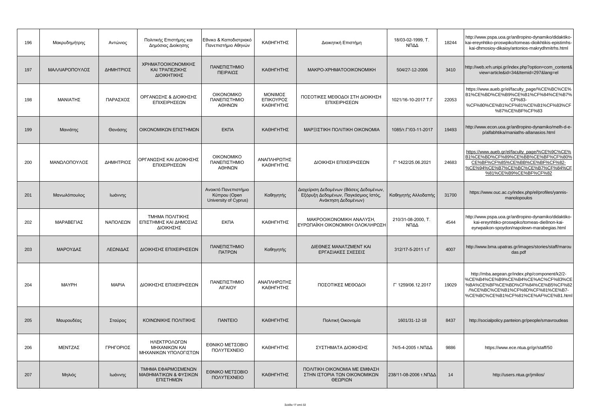| 196 | Μακρυδημήτρης  | Αντώνιος     | Πολιτικής Επιστήμης και<br>Δημόσιας Διοίκησης            | Εθνικο & Καποδιστριακό<br>Πανεπιστήμιο Αθηνών                 | ΚΑΘΗΓΗΤΗΣ                         | Διοικητική Επιστήμη                                                                                    | 18/03-02-1999, T.<br>ΝΠΔΔ  | 18244 | http://www.pspa.uoa.gr/an8ropino-dynamiko/didaktiko-<br>kai-ereynhtiko-proswpiko/tomeas-dioikhtikis-epistimhs-<br>kai-dhmosioy-dikaioy/antonios-makrydhmitrhs.html                                  |
|-----|----------------|--------------|----------------------------------------------------------|---------------------------------------------------------------|-----------------------------------|--------------------------------------------------------------------------------------------------------|----------------------------|-------|-----------------------------------------------------------------------------------------------------------------------------------------------------------------------------------------------------|
| 197 | ΜΑΛΛΙΑΡΟΠΟΥΛΟΣ | ΔΗΜΗΤΡΙΟΣ    | ΧΡΗΜΑΤΟΟΙΚΟΝΟΜΙΚΗΣ<br>ΚΑΙ ΤΡΑΠΕΖΙΚΗΣ<br>ΔΙΟΙΚΗΤΙΚΗΣ      | ΠΑΝΕΠΙΣΤΗΜΙΟ<br>ΠΕΙΡΑΙΩΣ                                      | ΚΑΘΗΓΗΤΗΣ                         | MAKPO-XPHMATOOIKONOMIKH                                                                                | 504/27-12-2006             | 3410  | http://web.xrh.unipi.gr/index.php?option=com_content&<br>view=article&id=34&Itemid=297⟨=el                                                                                                          |
| 198 | ΜΑΝΙΑΤΗΣ       | ΠΑΡΑΣΧΟΣ     | ΟΡΓΑΝΩΣΗΣ & ΔΙΟΙΚΗΣΗΣ<br>ΕΠΙΧΕΙΡΗΣΕΩΝ                    | <b>OIKONOMIKO</b><br>ΠΑΝΕΠΙΣΤΗΜΙΟ<br>ΑΘΗΝΩΝ                   | ΜΟΝΙΜΟΣ<br>ΕΠΙΚΟΥΡΟΣ<br>ΚΑΘΗΓΗΤΗΣ | ΠΟΣΟΤΙΚΕΣ ΜΕΘΟΔΟΙ ΣΤΗ ΔΙΟΙΚΗΣΗ<br>ΕΠΙΧΕΙΡΗΣΕΩΝ                                                         | 1021/16-10-2017 T.F        | 22053 | https://www.aueb.gr/el/faculty_page/%CE%BC%CE%<br>B1%CE%BD%CE%B9%CE%B1%CF%84%CE%B7%<br>CF%83-<br>%CF%80%CE%B1%CF%81%CE%B1%CF%83%CF<br>%87%CE%BF%CF%83                                               |
| 199 | Μανιάτης       | Θανάσης      | ΟΙΚΟΝΟΜΙΚΩΝ ΕΠΙΣΤΗΜΩΝ                                    | <b>EKNA</b>                                                   | ΚΑΘΗΓΗΤΗΣ                         | ΜΑΡΞΙΣΤΙΚΗ ΠΟΛΙΤΙΚΗ ΟΙΚΟΝΟΜΙΑ                                                                          | 1085/T. T'/03-11-2017      | 19493 | http://www.econ.uoa.gr/an8ropino-dynamiko/melh-d-e-<br>p/alfabhtika/maniaths-a8anasios.html                                                                                                         |
| 200 | ΜΑΝΩΛΟΠΟΥΛΟΣ   | ΔΗΜΗΤΡΙΟΣ    | ΟΡΓΑΝΩΣΗΣ ΚΑΙ ΔΙΟΙΚΗΣΗΣ<br>ΕΠΙΧΕΙΡΗΣΕΩΝ                  | <b>OIKONOMIKO</b><br>ΠΑΝΕΠΙΣΤΗΜΙΟ<br>ΑΘΗΝΩΝ                   | ΑΝΑΠΛΗΡΩΤΗΣ<br>ΚΑΘΗΓΗΤΗΣ          | ΔΙΟΙΚΗΣΗ ΕΠΙΧΕΙΡΗΣΕΩΝ                                                                                  | T' 1422/25.06.2021         | 24683 | https://www.aueb.gr/el/faculty_page/%CE%9C%CE%<br>B1%CE%BD%CF%89%CE%BB%CE%BF%CF%80%<br>CE%BF%CF%85%CE%BB%CE%BF%CF%82-<br>%CE%94%CE%B7%CE%BC%CE%B7%CF%84%CF<br>%81%CE%B9%CE%BF%CF%82                 |
| 201 | Μανωλόπουλος   | Ιωάννης      |                                                          | Ανοικτό Πανεπιστήμιο<br>Κύπρου (Open<br>University of Cyprus) | Καθηγητής                         | Διαχείριση Δεδομένων (Βάσεις Δεδομένων,<br>Εξόρυξη Δεδομένων, Παγκόσμιος Ιστός,<br>Ανάκτηση Δεδομένων) | Καθηγητής Αλλοδαπής        | 31700 | https://www.ouc.ac.cy/index.php/el/profiles/yannis-<br>manolopoulos                                                                                                                                 |
| 202 | ΜΑΡΑΒΕΓΙΑΣ     | ΝΑΠΟΛΕΩΝ     | ΤΜΗΜΑ ΠΟΛΙΤΙΚΗΣ<br>ΕΠΙΣΤΗΜΗΣ ΚΑΙ ΔΗΜΟΣΙΑΣ<br>ΔΙΟΙΚΗΣΗΣ   | <b>EKNA</b>                                                   | ΚΑΘΗΓΗΤΗΣ                         | ΜΑΚΡΟΟΙΚΟΝΟΜΙΚΗ ΑΝΑΛΥΣΗ,<br>ΕΥΡΩΠΑΪΚΗ ΟΙΚΟΝΟΜΙΚΗ ΟΛΟΚΛΗΡΩΣΗ                                            | 210/31-08-2000, T.<br>ΝΠΔΔ | 4544  | http://www.pspa.uoa.gr/an8ropino-dynamiko/didaktiko-<br>kai-ereynhtiko-proswpiko/tomeas-die8non-kai-<br>eyrwpaikon-spoydon/napolewn-marabegias.html                                                 |
| 203 | ΜΑΡΟΥΔΑΣ       | ΛΕΩΝΙΔΑΣ     | ΔΙΟΙΚΗΣΗΣ ΕΠΙΧΕΙΡΗΣΕΩΝ                                   | ΠΑΝΕΠΙΣΤΗΜΙΟ<br>ΠΑΤΡΩΝ                                        | Καθηγητής                         | ΔΙΕΘΝΕΣ ΜΑΝΑΤΖΜΕΝΤ ΚΑΙ<br>ΕΡΓΑΣΙΑΚΕΣ ΣΧΕΣΕΙΣ                                                           | 312/17-5-2011 T.F          | 4007  | http://www.bma.upatras.gr/images/stories/staff/marou<br>das.pdf                                                                                                                                     |
| 204 | <b>MAYPH</b>   | <b>MAPIA</b> | ΔΙΟΙΚΗΣΗΣ ΕΠΙΧΕΙΡΗΣΕΩΝ                                   | ΠΑΝΕΠΙΣΤΗΜΙΟ<br>ΑΙΓΑΙΟΥ                                       | ΑΝΑΠΛΗΡΩΤΗΣ<br>ΚΑΘΗΓΗΤΗΣ          | ΠΟΣΟΤΙΚΕΣ ΜΕΘΟΔΟΙ                                                                                      | Г' 1259/06.12.2017         | 19029 | http://mba.aegean.gr/index.php/component/k2/2-<br>%CE%B4%CE%B9%CE%B4%CE%AC%CF%83%CE<br>%BA%CE%BF%CE%BD%CF%84%CE%B5%CF%82<br>/%CE%BC%CE%B1%CF%8D%CF%81%CE%B7-<br>%CE%BC%CE%B1%CF%81%CE%AF%CE%B1.html |
| 205 | Μαυρουδέας     | Σταύρος      | ΚΟΙΝΩΝΙΚΗΣ ΠΟΛΙΤΙΚΗΣ                                     | <b><i><u>ITANTEIO</u></i></b>                                 | ΚΑΘΗΓΗΤΗΣ                         | Πολιτική Οικονομία                                                                                     | 1601/31-12-18              | 8437  | http://socialpolicy.panteion.gr/people/smavroudeas                                                                                                                                                  |
| 206 | ΜΕΝΤΖΑΣ        | ΓΡΗΓΟΡΙΟΣ    | ΗΛΕΚΤΡΟΛΟΓΩΝ<br>ΜΗΧΑΝΙΚΩΝ ΚΑΙ<br>ΜΗΧΑΝΙΚΩΝ ΥΠΟΛΟΓΙΣΤΩΝ   | ΕΘΝΙΚΟ ΜΕΤΣΟΒΙΟ<br><b><i>NOAYTEXNEIO</i></b>                  | ΚΑΘΗΓΗΤΗΣ                         | ΣΥΣΤΗΜΑΤΑ ΔΙΟΙΚΗΣΗΣ                                                                                    | 74/5-4-2005 τ.ΝΠΔΔ         | 9886  | https://www.ece.ntua.gr/gr/staff/50                                                                                                                                                                 |
| 207 | Μηλιός         | Ιωάννης      | ΤΜΗΜΑ ΕΦΑΡΜΟΣΜΕΝΩΝ<br>ΜΑΘΗΜΑΤΙΚΩΝ & ΦΥΣΙΚΩΝ<br>ΕΠΙΣΤΗΜΩΝ | ΕΘΝΙΚΟ ΜΕΤΣΟΒΙΟ<br><b><i>NOAYTEXNEIO</i></b>                  | ΚΑΘΗΓΗΤΗΣ                         | ΠΟΛΙΤΙΚΗ ΟΙΚΟΝΟΜΙΑ ΜΕ ΕΜΦΑΣΗ<br>ΣΤΗΝ ΙΣΤΟΡΙΑ ΤΩΝ ΟΙΚΟΝΟΜΙΚΩΝ<br>ΘΕΩΡΙΩΝ                                | 238/11-08-2006 τ.ΝΠΔΔ      | 14    | http://users.ntua.gr/jmilios/                                                                                                                                                                       |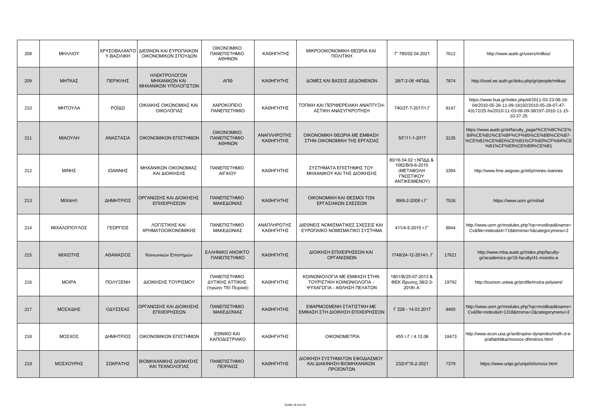| 208 | <b>MHAAIOY</b>      | ΧΡΥΣΟΒΑΛΑΝΤΟ<br>Υ-ΒΑΣΙΛΙΚΗ | ΔΙΕΘΝΩΝ ΚΑΙ ΕΥΡΩΠΑΙΚΩΝ<br>ΟΙΚΟΝΟΜΙΚΩΝ ΣΠΟΥΔΩΝ          | <b>OIKONOMIKO</b><br>ΠΑΝΕΠΙΣΤΗΜΙΟ<br>ΑΘΗΝΩΝ            | ΚΑΘΗΓΗΤΗΣ                | ΜΙΚΡΟΟΙΚΟΝΟΜΙΚΗ ΘΕΩΡΙΑ ΚΑΙ<br>ΠΟΛΙΤΙΚΗ                                                   | T' 780/02.04.2021                                                                  | 7612  | http://www.aueb.gr/users/milliou/                                                                                                                               |
|-----|---------------------|----------------------------|--------------------------------------------------------|--------------------------------------------------------|--------------------------|------------------------------------------------------------------------------------------|------------------------------------------------------------------------------------|-------|-----------------------------------------------------------------------------------------------------------------------------------------------------------------|
| 209 | ΜΗΤΚΑΣ              | ΠΕΡΙΚΛΗΣ                   | ΗΛΕΚΤΡΟΛΟΓΩΝ<br>ΜΗΧΑΝΙΚΩΝ ΚΑΙ<br>ΜΗΧΑΝΙΚΩΝ ΥΠΟΛΟΓΙΣΤΩΝ | АПӨ                                                    | ΚΑΘΗΓΗΤΗΣ                | ΔΟΜΕΣ ΚΑΙ ΒΑΣΕΙΣ ΔΕΔΟΜΕΝΩΝ                                                               | 28/7-2-06 ΤΝΠΔΔ                                                                    | 7874  | http://issel.ee.auth.gr/doku.php/gr/people/mitkas                                                                                                               |
| 210 | <b>MHTOY/A</b>      | ΡΟΪΔΩ                      | ΟΙΚΙΑΚΗΣ ΟΙΚΟΝΟΜΙΑΣ ΚΑΙ<br>ΟΙΚΟΛΟΓΙΑΣ                  | ΧΑΡΟΚΟΠΕΙΟ<br>ΠΑΝΕΠΙΣΤΗΜΙΟ                             | ΚΑΘΗΓΗΤΗΣ                | ΤΟΠΙΚΗ ΚΑΙ ΠΕΡΙΦΕΡΕΙΑΚΗ ΑΝΑΠΤΥΞΗ-<br>ΑΣΤΙΚΗ ΑΝΑΣΥΓΚΡΟΤΗΣΗ                                | 740/27-7-2017/T.F                                                                  | 9147  | https://www.hua.gr/index.php/el/2011-03-23-08-16-<br>04/2010-05-26-11-09-18192/2010-05-28-07-47-<br>43172/25-hs/2010-11-03-08-09-38/197-2010-11-15-<br>10-27-25 |
| 211 | ΜΙΑΟΥΛΗ             | ΑΝΑΣΤΑΣΙΑ                  | ΟΙΚΟΝΟΜΙΚΩΝ ΕΠΙΣΤΗΜΩΝ                                  | <b>OIKONOMIKO</b><br>ΠΑΝΕΠΙΣΤΗΜΙΟ<br>ΑΘΗΝΩΝ            | ΑΝΑΠΛΗΡΩΤΗΣ<br>ΚΑΘΗΓΗΤΗΣ | ΟΙΚΟΝΟΜΙΚΗ ΘΕΩΡΙΑ ΜΕ ΕΜΦΑΣΗ<br>ΣΤΗΝ ΟΙΚΟΝΟΜΙΚΗ ΤΗΣ ΕΡΓΑΣΙΑΣ                              | $5/\Gamma/11 - 1 - 2017$                                                           | 3135  | https://www.aueb.gr/el/faculty_page/%CE%BC%CE%<br>B9%CE%B1%CE%BF%CF%85%CE%BB%CE%B7-<br>%CE%B1%CE%BD%CE%B1%CF%83%CF%84%CE<br>%B1%CF%83%CE%B9%CE%B1               |
| 212 | ΜΙΝΗΣ               | ΙΩΑΝΝΗΣ                    | ΜΗΧΑΝΙΚΩΝ ΟΙΚΟΝΟΜΙΑΣ<br>ΚΑΙ ΔΙΟΙΚΗΣΗΣ                  | ΠΑΝΕΠΙΣΤΗΜΙΟ<br>ΑΙΓΑΙΟΥ                                | ΚΑΘΗΓΗΤΗΣ                | ΣΥΣΤΗΜΑΤΑ ΕΠΙΣΤΗΜΗΣ ΤΟΥ<br>ΜΗΧΑΝΙΚΟΥ ΚΑΙ ΤΗΣ ΔΙΟΙΚΗΣΗΣ                                   | 80/16.04.02 τ.ΝΠΔΔ &<br>1082/B/9-6-2015<br>(METABOAH<br>ΓΝΩΣΤΙΚΟΥ<br>ANTIKEIMENOY) | 3394  | http://www.fme.aegean.gr/el/p/mines-ioannes                                                                                                                     |
| 213 | <b>MIXAHA</b>       | ΔΗΜΗΤΡΙΟΣ                  | ΟΡΓΑΝΩΣΗΣ ΚΑΙ ΔΙΟΙΚΗΣΗΣ<br>ΕΠΙΧΕΙΡΗΣΕΩΝ                | ΠΑΝΕΠΙΣΤΗΜΙΟ<br>ΜΑΚΕΔΟΝΙΑΣ                             | ΚΑΘΗΓΗΤΗΣ                | ΟΙΚΟΝΟΜΙΚΗ ΚΑΙ ΘΕΣΜΟΙ ΤΩΝ<br>ΕΡΓΑΣΙΑΚΩΝ ΣΧΕΣΕΩΝ                                          | 89/6-2-2008 т.Г'                                                                   | 7526  | https://www.uom.gr/mihail                                                                                                                                       |
| 214 | <b>ΜΙΧΑΛΟΠΟΥΛΟΣ</b> | ΓΕΩΡΓΙΟΣ                   | ΛΟΓΙΣΤΙΚΗΣ ΚΑΙ<br>ΧΡΗΜΑΤΟΟΙΚΟΝΟΜΙΚΗΣ                   | ΠΑΝΕΠΙΣΤΗΜΙΟ<br>ΜΑΚΕΔΟΝΙΑΣ                             | ΑΝΑΠΛΗΡΩΤΗΣ<br>ΚΑΘΗΓΗΤΗΣ | ΔΙΕΘΝΕΙΣ ΝΟΜΙΣΜΑΤΙΚΕΣ ΣΧΕΣΕΙΣ ΚΑΙ<br>ΕΥΡΩΠΑΪΚΟ ΝΟΜΙΣΜΑΤΙΚΟ ΣΥΣΤΗΜΑ                       | 411/4-5-2015 T.F                                                                   | 8944  | http://www.uom.gr/modules.php?op=modload&name=<br>Cv&file=index&id=718&tmima=5&categorymenu=2                                                                   |
| 215 | ΜΙΧΙΩΤΗΣ            | ΑΘΑΝΑΣΙΟΣ                  | Κοινωνικών Επιστημών                                   | <b>EAAHNIKO ANOIKTO</b><br>ΠΑΝΕΠΙΣΤΗΜΙΟ                | ΚΑΘΗΓΗΤΗΣ                | ΔΙΟΙΚΗΣΗ ΕΠΙΧΕΙΡΗΣΕΩΝ ΚΑΙ<br>ΟΡΓΑΝΙΣΜΩΝ                                                  | 1748/24-12-2014/т. Г                                                               | 17621 | http://www.mba.aueb.gr/index.php/faculty-<br>gr/academics-gr/16-faculty/41-mixiotis-a                                                                           |
| 216 | <b>MOIPA</b>        | ΠΟΛΥΞΕΝΗ                   | ΔΙΟΙΚΗΣΗΣ ΤΟΥΡΙΣΜΟΥ                                    | ΠΑΝΕΠΙΣΤΗΜΙΟ<br>ΔΥΤΙΚΗΣ ΑΤΤΙΚΗΣ<br>(πρώην ΤΕΙ Πειραιά) | ΚΑΘΗΓΗΤΗΣ                | ΚΟΙΝΩΝΙΟΛΟΓΙΑ ΜΕ ΕΜΦΑΣΗ ΣΤΗΝ<br>ΤΟΥΡΙΣΤΙΚΗ ΚΟΙΝΩΝΙΟΛΟΓΙΑ -<br>ΨΥΧΑΓΩΓΙΑ - ΑΘΛΗΣΗ ΠΕΛΑΤΩΝ | 1801/B/25-07-2013 &<br>ΦΕΚ ίδρυσης 38/2-3-<br>2018T.A                              | 19792 | http://tourism.uniwa.gr/profile/moira-polyxeni/                                                                                                                 |
| 217 | <b>ΜΟΣΧΙΔΗΣ</b>     | ΟΔΥΣΣΕΑΣ                   | ΟΡΓΑΝΩΣΗΣ ΚΑΙ ΔΙΟΙΚΗΣΗΣ<br>ΕΠΙΧΕΙΡΗΣΕΩΝ                | ΠΑΝΕΠΙΣΤΗΜΙΟ<br>ΜΑΚΕΔΟΝΙΑΣ                             | ΚΑΘΗΓΗΤΗΣ                | ΕΦΑΡΜΟΣΜΕΝΗ ΣΤΑΤΙΣΤΙΚΗ ΜΕ<br>ΕΜΦΑΣΗ ΣΤΗ ΔΙΟΙΚΗΣΗ ΕΠΙΧΕΙΡΗΣΕΩΝ                            | Г 228 - 14.03.2017                                                                 | 9400  | http://www.uom.gr/modules.php?op=modload&name=<br>Cv&file=index&id=1318&tmima=2&categorymenu=2                                                                  |
| 218 | ΜΟΣΧΟΣ              | ΔΗΜΗΤΡΙΟΣ                  | ΟΙΚΟΝΟΜΙΚΩΝ ΕΠΙΣΤΗΜΩΝ                                  | EONIKO KAI<br>ΚΑΠΟΔΙΣΤΡΙΑΚΟ                            | ΚΑΘΗΓΗΤΗΣ                | <b>OIKONOMETPIA</b>                                                                      | 455 т.Г / 4.12.06                                                                  | 18473 | http://www.econ.uoa.gr/an8ropino-dynamiko/melh-d-e-<br>p/alfabhtika/mosxos-dhmitrios.html                                                                       |
| 219 | ΜΟΣΧΟΥΡΗΣ           | ΣΩΚΡΑΤΗΣ                   | ΒΙΟΜΗΧΑΝΙΚΗΣ ΔΙΟΙΚΗΣΗΣ<br>ΚΑΙ ΤΕΧΝΟΛΟΓΙΑΣ              | ΠΑΝΕΠΙΣΤΗΜΙΟ<br>ΠΕΙΡΑΙΩΣ                               | ΚΑΘΗΓΗΤΗΣ                | ΔΙΟΙΚΗΣΗ ΣΥΣΤΗΜΑΤΩΝ ΕΦΟΔΙΑΣΜΟΥ<br>ΚΑΙ ΔΙΑΚΙΝΗΣΗ ΒΙΟΜΗΧΑΝΙΚΩΝ<br>ΠΡΟΪΟΝΤΩΝ                | 232/TF'/5-2-2021                                                                   | 7379  | https://www.unipi.gr/unipi/el/smosx.html                                                                                                                        |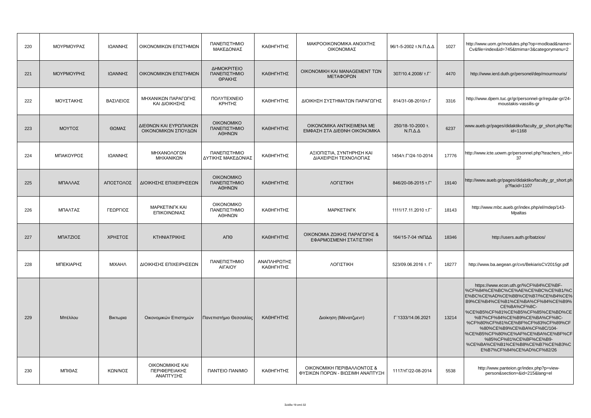| 220 | ΜΟΥΡΜΟΥΡΑΣ      | ΙΩΑΝΝΗΣ   | ΟΙΚΟΝΟΜΙΚΩΝ ΕΠΙΣΤΗΜΩΝ                         | ΠΑΝΕΠΙΣΤΗΜΙΟ<br>ΜΑΚΕΔΟΝΙΑΣ                  | ΚΑΘΗΓΗΤΗΣ                | ΜΑΚΡΟΟΙΚΟΝΟΜΙΚΑ ΑΝΟΙΧΤΗΣ<br>ΟΙΚΟΝΟΜΙΑΣ                         | 96/1-5-2002 τ.Ν.Π.Δ.Δ                      | 1027  | http://www.uom.gr/modules.php?op=modload&name=<br>Cv&file=index&id=745&tmima=3&categorymenu=2                                                                                                                                                                                                                                                                                                                                                |
|-----|-----------------|-----------|-----------------------------------------------|---------------------------------------------|--------------------------|----------------------------------------------------------------|--------------------------------------------|-------|----------------------------------------------------------------------------------------------------------------------------------------------------------------------------------------------------------------------------------------------------------------------------------------------------------------------------------------------------------------------------------------------------------------------------------------------|
| 221 | ΜΟΥΡΜΟΥΡΗΣ      | ΙΩΑΝΝΗΣ   | ΟΙΚΟΝΟΜΙΚΩΝ ΕΠΙΣΤΗΜΩΝ                         | ΔΗΜΟΚΡΙΤΕΙΟ<br>ΠΑΝΕΠΙΣΤΗΜΙΟ<br>ΘΡΑΚΗΣ       | ΚΑΘΗΓΗΤΗΣ                | ΟΙΚΟΝΟΜΙΚΗ ΚΑΙ ΜΑΝΑGEMENT ΤΩΝ<br>ΜΕΤΑΦΟΡΩΝ                     | 307/10.4.2008/ T.F                         | 4470  | http://www.ierd.duth.gr/personel/dep/mourmouris/                                                                                                                                                                                                                                                                                                                                                                                             |
| 222 | ΜΟΥΣΤΑΚΗΣ       | ΒΑΣΙΛΕΙΟΣ | ΜΗΧΑΝΙΚΩΝ ΠΑΡΑΓΩΓΗΣ<br>ΚΑΙ ΔΙΟΙΚΗΣΗΣ          | <b><i>NOAYTEXNEIO</i></b><br>ΚΡΗΤΗΣ         | ΚΑΘΗΓΗΤΗΣ                | ΔΙΟΙΚΗΣΗ ΣΥΣΤΗΜΑΤΩΝ ΠΑΡΑΓΩΓΗΣ                                  | 814/31-08-2010/T.T                         | 3316  | http://www.dpem.tuc.gr/gr/personnel-gr/regular-gr/24-<br>moustakis-vassilis-gr                                                                                                                                                                                                                                                                                                                                                               |
| 223 | ΜΟΥΤΟΣ          | ΘΩΜΑΣ     | ΔΙΕΘΝΩΝ ΚΑΙ ΕΥΡΩΠΑΙΚΩΝ<br>ΟΙΚΟΝΟΜΙΚΩΝ ΣΠΟΥΔΩΝ | <b>OIKONOMIKO</b><br>ΠΑΝΕΠΙΣΤΗΜΙΟ<br>ΑΘΗΝΩΝ | ΚΑΘΗΓΗΤΗΣ                | OIKONOMIKA ANTIKEIMENA ME<br>ΕΜΦΑΣΗ ΣΤΑ ΔΙΕΘΝΗ ΟΙΚΟΝΟΜΙΚΑ      | 250/18-10-2000 т.<br>$N.\Pi.\Delta.\Delta$ | 6237  | www.aueb.gr/pages/didaktiko/faculty_gr_short.php?fac<br>id=1168                                                                                                                                                                                                                                                                                                                                                                              |
| 224 | ΜΠΑΚΟΥΡΟΣ       | ΙΩΑΝΝΗΣ   | ΜΗΧΑΝΟΛΟΓΩΝ<br>ΜΗΧΑΝΙΚΩΝ                      | ΠΑΝΕΠΙΣΤΗΜΙΟ<br>ΔΥΤΙΚΗΣ ΜΑΚΕΔΟΝΙΑΣ          | ΚΑΘΗΓΗΤΗΣ                | ΑΞΙΟΠΙΣΤΙΑ. ΣΥΝΤΗΡΗΣΗ ΚΑΙ<br>ΔΙΑΧΕΙΡΙΣΗ ΤΕΧΝΟΛΟΓΙΑΣ            | 1454/T. L'/24-10-2014                      | 17776 | http://www.icte.uowm.gr/personnel.php?teachers_info=<br>37                                                                                                                                                                                                                                                                                                                                                                                   |
| 225 | ΜΠΑΛΛΑΣ         | ΑΠΟΣΤΟΛΟΣ | ΔΙΟΙΚΗΣΗΣ ΕΠΙΧΕΙΡΗΣΕΩΝ                        | <b>OIKONOMIKO</b><br>ΠΑΝΕΠΙΣΤΗΜΙΟ<br>ΑΘΗΝΩΝ | ΚΑΘΗΓΗΤΗΣ                | ΛΟΓΙΣΤΙΚΗ                                                      | 846/20-08-2015 T.T'                        | 19140 | http://www.aueb.gr/pages/didaktiko/faculty_gr_short.ph<br>p?facid=1107                                                                                                                                                                                                                                                                                                                                                                       |
| 226 | ΜΠΑΛΤΑΣ         | ΓΕΩΡΓΙΟΣ  | MAPKETINFK KAI<br>ΕΠΙΚΟΙΝΩΝΙΑΣ                | <b>OIKONOMIKO</b><br>ΠΑΝΕΠΙΣΤΗΜΙΟ<br>ΑΘΗΝΩΝ | ΚΑΘΗΓΗΤΗΣ                | <b>MAPKETINFK</b>                                              | 1111/17.11.2010 T.F'                       | 18143 | http://www.mbc.aueb.gr/index.php/el/mdep/143-<br><b>Mpaltas</b>                                                                                                                                                                                                                                                                                                                                                                              |
| 227 | <b>ΜΠΑΤΖΙΟΣ</b> | ΧΡΗΣΤΟΣ   | ΚΤΗΝΙΑΤΡΙΚΗΣ                                  | ΑΠΘ                                         | ΚΑΘΗΓΗΤΗΣ                | ΟΙΚΟΝΟΜΙΑ ΖΩΙΚΗΣ ΠΑΡΑΓΩΓΗΣ &<br>ΕΦΑΡΜΟΣΜΕΝΗ ΣΤΑΤΙΣΤΙΚΗ         | 164/15-7-04 τΝΠΔΔ                          | 18346 | http://users.auth.gr/batzios/                                                                                                                                                                                                                                                                                                                                                                                                                |
| 228 | ΜΠΕΚΙΑΡΗΣ       | ΜΙΧΑΗΛ    | ΔΙΟΙΚΗΣΗΣ ΕΠΙΧΕΙΡΗΣΕΩΝ                        | ΠΑΝΕΠΙΣΤΗΜΙΟ<br><b>AIFAIOY</b>              | ΑΝΑΠΛΗΡΩΤΗΣ<br>ΚΑΘΗΓΗΤΗΣ | ΛΟΓΙΣΤΙΚΗ                                                      | 523/09.06.2016 т. Г'                       | 18277 | http://www.ba.aegean.gr/cvs/BekiarisCV2015gr.pdf                                                                                                                                                                                                                                                                                                                                                                                             |
| 229 | Μπέλλου         | Βικτωρια  | Οικονομικών Επιστημών                         | Πανεπιστήμιο Θεσσαλίας                      | ΚΑΘΗΓΗΤΗΣ                | Διοίκηση (Μάνατζμεντ)                                          | T'1333/14.06.2021                          | 13214 | https://www.econ.uth.gr/%CF%84%CE%BF-<br>%CF%84%CE%BC%CE%AE%CE%BC%CE%B1/%C<br>E%BC%CE%AD%CE%BB%CE%B7/%CE%B4%CE%<br>B9%CE%B4%CE%B1%CE%BA%CF%84%CE%B9%<br>CE%BA%CF%8C-<br>%CE%B5%CF%81%CE%B5%CF%85%CE%BD%CE<br>%B7%CF%84%CE%B9%CE%BA%CF%8C-<br>%CF%80%CF%81%CE%BF%CF%83%CF%89%CF<br>%80%CE%B9%CE%BA%CF%8C/104-<br>%CE%B5%CF%80%CE%AF%CE%BA%CE%BF%CF<br>%85%CF%81%CE%BF%CE%B9-<br>%CE%BA%CE%B1%CE%B8%CE%B7%CE%B3%C<br>E%B7%CF%84%CE%AD%CF%82/26 |
| 230 | ΜΠΙΘΑΣ          | ΚΩΝ/ΝΟΣ   | ΟΙΚΟΝΟΜΙΚΗΣ ΚΑΙ<br>ΠΕΡΙΦΕΡΕΙΑΚΗΣ<br>ΑΝΑΠΤΥΞΗΣ | <b><i>NANTEIO NAN/MIO</i></b>               | ΚΑΘΗΓΗΤΗΣ                | ΟΙΚΟΝΟΜΙΚΗ ΠΕΡΙΒΑΛΛΟΝΤΟΣ &<br>ΦΥΣΙΚΩΝ ΠΟΡΩΝ - ΒΙΩΣΙΜΗ ΑΝΑΠΤΥΞΗ | 1117/TF/22-08-2014                         | 5538  | http://www.panteion.gr/index.php?p=view-<br>person&section=&id=215⟨=el                                                                                                                                                                                                                                                                                                                                                                       |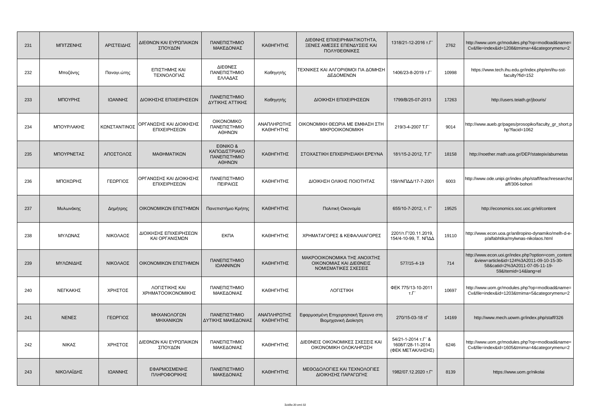| 231 | ΜΠΙΤΖΕΝΗΣ    | ΑΡΙΣΤΕΙΔΗΣ   | ΔΙΕΘΝΩΝ ΚΑΙ ΕΥΡΩΠΑΙΚΩΝ<br>ΣΠΟΥΔΩΝ        | ΠΑΝΕΠΙΣΤΗΜΙΟ<br>ΜΑΚΕΔΟΝΙΑΣ                          | ΚΑΘΗΓΗΤΗΣ                | ΔΙΕΘΝΗΣ ΕΠΙΧΕΙΡΗΜΑΤΙΚΟΤΗΤΑ,<br>ΞΕΝΕΣ ΑΜΕΣΕΣ ΕΠΕΝΔΥΣΕΙΣ ΚΑΙ<br>ΠΟΛΥΘΕΘΝΙΚΕΣ      | 1318/21-12-2016 т.Г                                          | 2762  | http://www.uom.gr/modules.php?op=modload&name=<br>Cv&file=index&id=1208&tmima=4&categorymenu=2                                                        |
|-----|--------------|--------------|------------------------------------------|-----------------------------------------------------|--------------------------|---------------------------------------------------------------------------------|--------------------------------------------------------------|-------|-------------------------------------------------------------------------------------------------------------------------------------------------------|
| 232 | Μποζάνης     | Παναγι.ώτης  | ΕΠΙΣΤΗΜΗΣ ΚΑΙ<br>ΤΕΧΝΟΛΟΓΙΑΣ             | ΔΙΕΘΝΕΣ<br>ΠΑΝΕΠΙΣΤΗΜΙΟ<br>ΕΛΛΑΔΑΣ                  | Καθηγητής                | ΤΕΧΝΙΚΕΣ ΚΑΙ ΑΛΓΟΡΙΘΜΟΙ ΓΙΑ ΔΟΜΗΣΗ<br>ΔΕΔΟΜΕΝΩΝ                                 | 1406/23-8-2019 T.F'                                          | 10998 | https://www.tech.ihu.edu.gr/index.php/en/ihu-sst-<br>faculty?fid=152                                                                                  |
| 233 | ΜΠΟΥΡΗΣ      | ΙΩΑΝΝΗΣ      | ΔΙΟΙΚΗΣΗΣ ΕΠΙΧΕΙΡΗΣΕΩΝ                   | ΠΑΝΕΠΙΣΤΗΜΙΟ<br>ΔΥΤΙΚΗΣ ΑΤΤΙΚΗΣ                     | Καθηγητής                | ΔΙΟΙΚΗΣΗ ΕΠΙΧΕΙΡΗΣΕΩΝ                                                           | 1799/B/25-07-2013                                            | 17263 | http://users.teiath.gr/jbouris/                                                                                                                       |
| 234 | ΜΠΟΥΡΛΑΚΗΣ   | ΚΩΝΣΤΑΝΤΙΝΟΣ | ΟΡΓΑΝΩΣΗΣ ΚΑΙ ΔΙΟΙΚΗΣΗΣ<br>ΕΠΙΧΕΙΡΗΣΕΩΝ  | <b>OIKONOMIKO</b><br>ΠΑΝΕΠΙΣΤΗΜΙΟ<br>ΑΘΗΝΩΝ         | ΑΝΑΠΛΗΡΩΤΗΣ<br>ΚΑΘΗΓΗΤΗΣ | ΟΙΚΟΝΟΜΙΚΗ ΘΕΩΡΙΑ ΜΕ ΕΜΦΑΣΗ ΣΤΗ<br><b>MIKPOOIKONOMIKH</b>                       | 219/3-4-2007 T.F'                                            | 9014  | http://www.aueb.gr/pages/prosopiko/faculty_gr_short.p<br>hp?facid=1062                                                                                |
| 235 | ΜΠΟΥΡΝΕΤΑΣ   | ΑΠΟΣΤΟΛΟΣ    | ΜΑΘΗΜΑΤΙΚΩΝ                              | EONIKO &<br>ΚΑΠΟΔΙΣΤΡΙΑΚΟ<br>ΠΑΝΕΠΙΣΤΗΜΙΟ<br>ΑΘΗΝΩΝ | ΚΑΘΗΓΗΤΗΣ                | ΣΤΟΧΑΣΤΙΚΗ ΕΠΙΧΕΙΡΗΣΙΑΚΗ ΕΡΕΥΝΑ                                                 | 181/15-2-2012. T.F'                                          | 18158 | http://noether.math.uoa.gr/DEP/statepix/aburnetas                                                                                                     |
| 236 | ΜΠΟΧΩΡΗΣ     | ΓΕΩΡΓΙΟΣ     | ΟΡΓΑΝΩΣΗΣ ΚΑΙ ΔΙΟΙΚΗΣΗΣ<br>ΕΠΙΧΕΙΡΗΣΕΩΝ  | ΠΑΝΕΠΙΣΤΗΜΙΟ<br>ΠΕΙΡΑΙΩΣ                            | ΚΑΘΗΓΗΤΗΣ                | ΔΙΟΙΚΗΣΗ ΟΛΙΚΗΣ ΠΟΙΟΤΗΤΑΣ                                                       | 159/τΝΠΔΔ/17-7-2001                                          | 6003  | http://www.ode.unipi.gr/index.php/staff/teachresearchst<br>aff/306-bohori                                                                             |
| 237 | Μυλωνάκης    | Δημήτρης     | ΟΙΚΟΝΟΜΙΚΩΝ ΕΠΙΣΤΗΜΩΝ                    | Πανεπιστήμιο Κρήτης                                 | ΚΑΘΗΓΗΤΗΣ                | Πολιτική Οικονομία                                                              | 655/10-7-2012, т. Г'                                         | 19525 | http://economics.soc.uoc.gr/el/content                                                                                                                |
| 238 | ΜΥΛΩΝΑΣ      | ΝΙΚΟΛΑΟΣ     | ΔΙΟΙΚΗΣΗΣ ΕΠΙΧΕΙΡΗΣΕΩΝ<br>ΚΑΙ ΟΡΓΑΝΙΣΜΩΝ | <b>EKNA</b>                                         | ΚΑΘΗΓΗΤΗΣ                | ΧΡΗΜΑΤΑΓΟΡΕΣ & ΚΕΦΑΛΑΙΑΓΟΡΕΣ                                                    | 2201/T. $\Gamma$ /20.11.2019,<br>154/4-10-99, Τ. ΝΠΔΔ        | 19110 | http://www.econ.uoa.gr/an8ropino-dynamiko/melh-d-e-<br>p/alfabhtika/mylwnas-nikolaos.html                                                             |
| 239 | ΜΥΛΩΝΙΔΗΣ    | ΝΙΚΟΛΑΟΣ     | ΟΙΚΟΝΟΜΙΚΩΝ ΕΠΙΣΤΗΜΩΝ                    | ΠΑΝΕΠΙΣΤΗΜΙΟ<br>ΙΩΑΝΝΙΝΩΝ                           | ΚΑΘΗΓΗΤΗΣ                | ΜΑΚΡΟΟΙΚΟΝΟΜΙΚΑ ΤΗΣ ΑΝΟΙΧΤΗΣ<br>ΟΙΚΟΝΟΜΙΑΣ ΚΑΙ ΔΙΕΘΝΕΙΣ<br>ΝΟΜΙΣΜΑΤΙΚΕΣ ΣΧΕΣΕΙΣ | 577/15-4-19                                                  | 714   | http://www.econ.uoi.gr/index.php?option=com_content<br>&view=article&id=124%3A2011-09-10-15-30-<br>58&catid=2%3A2011-07-05-11-19-<br>59&Itemid=14⟨=el |
| 240 | ΝΕΓΚΑΚΗΣ     | ΧΡΗΣΤΟΣ      | ΛΟΓΙΣΤΙΚΗΣ ΚΑΙ<br>ΧΡΗΜΑΤΟΟΙΚΟΝΟΜΙΚΗΣ     | ΠΑΝΕΠΙΣΤΗΜΙΟ<br>ΜΑΚΕΔΟΝΙΑΣ                          | ΚΑΘΗΓΗΤΗΣ                | ΛΟΓΙΣΤΙΚΗ                                                                       | ФЕК 775/13-10-2011<br>T.T                                    | 10697 | http://www.uom.gr/modules.php?op=modload&name=<br>Cv&file=index&id=1203&tmima=5&categorymenu=2                                                        |
| 241 | <b>NENEZ</b> | ΓΕΩΡΓΙΟΣ     | ΜΗΧΑΝΟΛΟΓΩΝ<br>ΜΗΧΑΝΙΚΩΝ                 | ΠΑΝΕΠΙΣΤΗΜΙΟ<br>ΔΥΤΙΚΗΣ ΜΑΚΕΔΟΝΙΑΣ                  | ΑΝΑΠΛΗΡΩΤΗΣ<br>ΚΑΘΗΓΗΤΗΣ | Εφαρμοσμένη Επιχειρησιακή Έρευνα στη<br>Βιομηχανική Διοίκηση                    | 270/15-03-18 тГ                                              | 14169 | http://www.mech.uowm.gr/index.php/staff/326                                                                                                           |
| 242 | ΝΙΚΑΣ        | ΧΡΗΣΤΟΣ      | ΔΙΕΘΝΩΝ ΚΑΙ ΕΥΡΩΠΑΙΚΩΝ<br>ΣΠΟΥΔΩΝ        | ΠΑΝΕΠΙΣΤΗΜΙΟ<br>ΜΑΚΕΔΟΝΙΑΣ                          | ΚΑΘΗΓΗΤΗΣ                | ΔΙΕΘΝΕΙΣ ΟΙΚΟΝΟΜΙΚΕΣ ΣΧΕΣΕΙΣ ΚΑΙ<br>ΟΙΚΟΝΟΜΙΚΗ ΟΛΟΚΛΗΡΩΣΗ                       | 54/21-1-2014 T.F' &<br>1608/F/28-11-2014<br>(ΦΕΚ ΜΕΤΑΚΛΗΣΗΣ) | 6246  | http://www.uom.gr/modules.php?op=modload&name=<br>Cv&file=index&id=1605&tmima=4&categorymenu=2                                                        |
| 243 | ΝΙΚΟΛΑΪΔΗΣ   | ΙΩΑΝΝΗΣ      | ΕΦΑΡΜΟΣΜΕΝΗΣ<br>ΠΛΗΡΟΦΟΡΙΚΗΣ             | ΠΑΝΕΠΙΣΤΗΜΙΟ<br>ΜΑΚΕΔΟΝΙΑΣ                          | ΚΑΘΗΓΗΤΗΣ                | ΜΕΘΟΔΟΛΟΓΙΕΣ ΚΑΙ ΤΕΧΝΟΛΟΓΙΕΣ<br>ΔΙΟΙΚΗΣΗΣ ΠΑΡΑΓΩΓΗΣ                             | 1982/07.12.2020 T.F'                                         | 8139  | https://www.uom.gr/nikolai                                                                                                                            |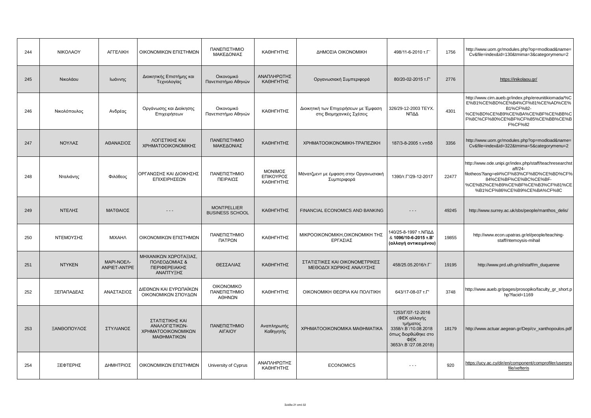| 244 | ΝΙΚΟΛΑΟΥ      | <b>ALLEVIKH</b>            | ΟΙΚΟΝΟΜΙΚΩΝ ΕΠΙΣΤΗΜΩΝ                                                  | ΠΑΝΕΠΙΣΤΗΜΙΟ<br>ΜΑΚΕΔΟΝΙΑΣ                   | ΚΑΘΗΓΗΤΗΣ                         | ΔΗΜΟΣΙΑ ΟΙΚΟΝΟΜΙΚΗ                                                 | 498/11-6-2010 т.Г'                                                                                                           | 1756  | http://www.uom.gr/modules.php?op=modload&name=<br>Cv&file=index&id=130&tmima=3&categorymenu=2                                                                                                               |
|-----|---------------|----------------------------|------------------------------------------------------------------------|----------------------------------------------|-----------------------------------|--------------------------------------------------------------------|------------------------------------------------------------------------------------------------------------------------------|-------|-------------------------------------------------------------------------------------------------------------------------------------------------------------------------------------------------------------|
| 245 | Νικολάου      | Ιωάννης                    | Διοικητικής Επιστήμης και<br>Τεχνολογίας                               | Οικονομικό<br>Πανεπιστήμιο Αθηνών            | ΑΝΑΠΛΗΡΩΤΗΣ<br>ΚΑΘΗΓΗΤΗΣ          | Οργανωσιακή Συμπεριφορά                                            | 80/20-02-2015 T.F'                                                                                                           | 2776  | https://inikolaou.gr/                                                                                                                                                                                       |
| 246 | Νικολόπουλος  | Ανδρέας                    | Οργάνωσης και Διοίκησης<br>Επιχειρήσεων                                | Οικονομικό<br>Πανεπιστήμιο Αθηνών            | ΚΑΘΗΓΗΤΗΣ                         | Διοικητική των Επιχειρήσεων με Έμφαση<br>στις Βιομηχανικές Σχέσεις | 326/29-12-2003 TEYX.<br>ΝΠΔΔ                                                                                                 | 4301  | http://www.cirn.aueb.gr/index.php/ereunitikiomada/%C<br>E%B1%CE%BD%CE%B4%CF%81%CE%AD%CE%<br>B1%CF%82-<br>%CE%BD%CE%B9%CE%BA%CE%BF%CE%BB%C<br>F%8C%CF%80%CE%BF%CF%85%CE%BB%CE%B<br>F%CF%82                   |
| 247 | ΝΟΥΛΑΣ        | ΑΘΑΝΑΣΙΟΣ                  | ΛΟΓΙΣΤΙΚΗΣ ΚΑΙ<br>ΧΡΗΜΑΤΟΟΙΚΟΝΟΜΙΚΗΣ                                   | ΠΑΝΕΠΙΣΤΗΜΙΟ<br>ΜΑΚΕΔΟΝΙΑΣ                   | ΚΑΘΗΓΗΤΗΣ                         | XPHMATOOIKONOMIKH-TPANEZIKH                                        | 187/3-8-2005 τ. νπδδ                                                                                                         | 3356  | http://www.uom.gr/modules.php?op=modload&name=<br>Cv&file=index&id=322&tmima=5&categorymenu=2                                                                                                               |
| 248 | Νταλιάνης     | Φιλόθεος                   | ΟΡΓΑΝΩΣΗΣ ΚΑΙ ΔΙΟΙΚΗΣΗΣ<br>ΕΠΙΧΕΙΡΗΣΕΩΝ                                | ΠΑΝΕΠΙΣΤΗΜΙΟ<br>ΠΕΙΡΑΙΩΣ                     | ΜΟΝΙΜΟΣ<br>ΕΠΙΚΟΥΡΟΣ<br>ΚΑΘΗΓΗΤΗΣ | Μάνατζμεντ με έμφαση στην Οργανωσιακή<br>Συμπεριφορά               | 1390/T. L'/29-12-2017                                                                                                        | 22477 | http://www.ode.unipi.gr/index.php/staff/teachresearchst<br>aff/24-<br>filotheos?lang=el#%CF%83%CF%8D%CE%BD%CF%<br>84%CE%BF%CE%BC%CE%BF-<br>%CE%B2%CE%B9%CE%BF%CE%B3%CF%81%CE<br>%B1%CF%86%CE%B9%CE%BA%CF%8C |
| 249 | ΝΤΕΛΗΣ        | ΜΑΤΘΑΙΟΣ                   | $- - -$                                                                | <b>MONTPELLIER</b><br><b>BUSINESS SCHOOL</b> | ΚΑΘΗΓΗΤΗΣ                         | FINANCIAL ECONOMICS AND BANKING                                    | $- - -$                                                                                                                      | 49245 | http://www.surrey.ac.uk/sbs/people/manthos_delis/                                                                                                                                                           |
| 250 | ΝΤΕΜΟΥΣΗΣ     | <b>MIXAHA</b>              | ΟΙΚΟΝΟΜΙΚΩΝ ΕΠΙΣΤΗΜΩΝ                                                  | ΠΑΝΕΠΙΣΤΗΜΙΟ<br>ΠΑΤΡΩΝ                       | ΚΑΘΗΓΗΤΗΣ                         | ΜΙΚΡΟΟΙΚΟΝΟΜΙΚΗ, ΟΙΚΟΝΟΜΙΚΗ ΤΗΣ<br>ΕΡΓΑΣΙΑΣ                        | 140/25-8-1997 τ.ΝΠΔΔ<br>& 1096/10-6-2015 т.В'<br>(αλλαγή αντικειμένου)                                                       | 19855 | http://www.econ.upatras.gr/el/people/teaching-<br>staff/ntemoysis-mihail                                                                                                                                    |
| 251 | <b>NTYKEN</b> | MAPI-NOEA-<br>ANPIET-ANTPE | ΜΗΧΑΝΙΚΩΝ ΧΩΡΟΤΑΞΙΑΣ,<br>ΠΟΛΕΟΔΟΜΙΑΣ &<br>ΠΕΡΙΦΕΡΕΙΑΚΗΣ<br>ΑΝΑΠΤΥΞΗΣ   | ΘΕΣΣΑΛΙΑΣ                                    | ΚΑΘΗΓΗΤΗΣ                         | ΣΤΑΤΙΣΤΙΚΕΣ ΚΑΙ ΟΙΚΟΝΟΜΕΤΡΙΚΕΣ<br>ΜΕΘΟΔΟΙ ΧΩΡΙΚΗΣ ΑΝΑΛΥΣΗΣ         | 458/25.05.2016/T.F                                                                                                           | 19195 | http://www.prd.uth.gr/el/staff/m_duquenne                                                                                                                                                                   |
| 252 | ΞΕΠΑΠΑΔΕΑΣ    | ΑΝΑΣΤΑΣΙΟΣ                 | ΔΙΕΘΝΩΝ ΚΑΙ ΕΥΡΩΠΑΪΚΩΝ<br>ΟΙΚΟΝΟΜΙΚΩΝ ΣΠΟΥΔΩΝ                          | <b>OIKONOMIKO</b><br>ΠΑΝΕΠΙΣΤΗΜΙΟ<br>ΑΘΗΝΩΝ  | ΚΑΘΗΓΗΤΗΣ                         | ΟΙΚΟΝΟΜΙΚΗ ΘΕΩΡΙΑ ΚΑΙ ΠΟΛΙΤΙΚΗ                                     | 643/17-08-07 T.F'                                                                                                            | 3748  | http://www.aueb.gr/pages/prosopiko/faculty_gr_short.p<br>hp?facid=1169                                                                                                                                      |
| 253 | ΞΑΝΘΟΠΟΥΛΟΣ   | ΣΤΥΛΙΑΝΟΣ                  | ΣΤΑΤΙΣΤΙΚΗΣ ΚΑΙ<br>ΑΝΑΛΟΓΙΣΤΙΚΩΝ-<br>ΧΡΗΜΑΤΟΟΙΚΟΝΟΜΙΚΩΝ<br>ΜΑΘΗΜΑΤΙΚΩΝ | ΠΑΝΕΠΙΣΤΗΜΙΟ<br>ΑΙΓΑΙΟΥ                      | Αναπληρωτής<br>Καθηγητής          | XPHMATOOIKONOMIKA MAOHMATIKA                                       | 1253/Г/07-12-2016<br>(ΦΕΚ αλλαγής<br>τμήματος<br>3358/T.B'/10.08.2018<br>όπως διορθώθηκε στο<br>ΦEK<br>3653/T.B'/27.08.2018) | 18179 | http://www.actuar.aegean.gr/Dep/cv_xanthopoulos.pdf                                                                                                                                                         |
| 254 | ΞΕΦΤΕΡΗΣ      | ΔΗΜΗΤΡΙΟΣ                  | ΟΙΚΟΝΟΜΙΚΩΝ ΕΠΙΣΤΗΜΩΝ                                                  | University of Cyprus                         | ΑΝΑΠΛΗΡΩΤΗΣ<br>ΚΑΘΗΓΗΤΗΣ          | <b>ECONOMICS</b>                                                   | $- - -$                                                                                                                      | 920   | https://ucy.ac.cy/dir/en/component/comprofiler/userpro<br>file/xefteris                                                                                                                                     |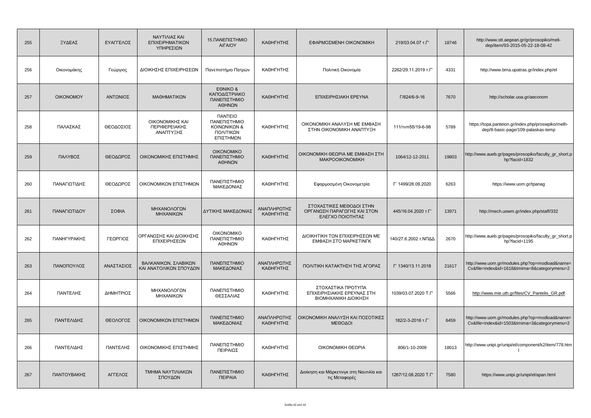| 255 | ΞΥΔΕΑΣ           | ΕΥΑΓΓΕΛΟΣ  | ΝΑΥΤΙΛΙΑΣ ΚΑΙ<br>ΕΠΙΧΕΙΡΗΜΑΤΙΚΩΝ<br>ΥΠΗΡΕΣΙΩΝ  | 15.ΠΑΝΕΠΙΣΤΗΜΙΟ<br>ΑΙΓΑΙΟΥ                                                      | ΚΑΘΗΓΗΤΗΣ                | ΕΦΑΡΜΟΣΜΕΝΗ ΟΙΚΟΝΟΜΙΚΗ                                                      | 219/03.04.07 T.F'    | 18746 | http://www.stt.aegean.gr/gr/prosopiko/meli-<br>dep/item/93-2015-05-22-18-08-42                 |
|-----|------------------|------------|------------------------------------------------|---------------------------------------------------------------------------------|--------------------------|-----------------------------------------------------------------------------|----------------------|-------|------------------------------------------------------------------------------------------------|
| 256 | Οικονομάκης      | Γεώργιος   | ΔΙΟΙΚΗΣΗΣ ΕΠΙΧΕΙΡΗΣΕΩΝ                         | Πανεπιστήμιο Πατρών                                                             | ΚΑΘΗΓΗΤΗΣ                | Πολιτική Οικονομία                                                          | 2262/29.11.2019 T.F' | 4331  | http://www.bma.upatras.gr/index.php/el                                                         |
| 257 | <b>OIKONOMOY</b> | ΑΝΤΩΝΙΟΣ   | ΜΑΘΗΜΑΤΙΚΩΝ                                    | EONIKO &<br>ΚΑΠΟΔΙΣΤΡΙΑΚΟ<br>ΠΑΝΕΠΙΣΤΗΜΙΟ<br>ΑΘΗΝΩΝ                             | ΚΑΘΗΓΗΤΗΣ                | ΕΠΙΧΕΙΡΗΣΙΑΚΗ ΕΡΕΥΝΑ                                                        | Г/824/6-9-16         | 7670  | http://scholar.uoa.gr/aeconom                                                                  |
| 258 | ΠΑΛΑΣΚΑΣ         | ΘΕΟΔΟΣΙΟΣ  | ΟΙΚΟΝΟΜΙΚΗΣ ΚΑΙ<br>ΠΕΡΙΦΕΡΕΙΑΚΗΣ<br>ΑΝΑΠΤΥΞΗΣ  | <b><i>NANTEIO</i></b><br>ΠΑΝΕΠΙΣΤΗΜΙΟ<br>ΚΟΙΝΩΝΙΚΩΝ &<br>ΠΟΛΙΤΙΚΩΝ<br>ΕΠΙΣΤΗΜΩΝ | ΚΑΘΗΓΗΤΗΣ                | ΟΙΚΟΝΟΜΙΚΗ ΑΝΑΛΥΣΗ ΜΕ ΕΜΦΑΣΗ<br>ΣΤΗΝ ΟΙΚΟΝΟΜΙΚΗ ΑΝΑΠΤΥΞΗ                    | 111/τνπδδ/19-6-98    | 5789  | https://topa.panteion.gr/index.php/proswpiko/melh-<br>dep/8-basic-page/109-palaskas-temp       |
| 259 | ΠΑΛΥΒΟΣ          | ΘΕΟΔΩΡΟΣ   | ΟΙΚΟΝΟΜΙΚΗΣ ΕΠΙΣΤΗΜΗΣ                          | <b>OIKONOMIKO</b><br>ΠΑΝΕΠΙΣΤΗΜΙΟ<br>ΑΘΗΝΩΝ                                     | ΚΑΘΗΓΗΤΗΣ                | ΟΙΚΟΝΟΜΙΚΗ ΘΕΩΡΙΑ ΜΕ ΕΜΦΑΣΗ ΣΤΗ<br><b>MAKPOOIKONOMIKH</b>                   | 1064/12-12-2011      | 19803 | http://www.aueb.gr/pages/prosopiko/faculty_gr_short.p<br>hp?facid=1832                         |
| 260 | ΠΑΝΑΓΙΩΤΙΔΗΣ     | ΘΕΟΔΩΡΟΣ   | ΟΙΚΟΝΟΜΙΚΩΝ ΕΠΙΣΤΗΜΩΝ                          | ΠΑΝΕΠΙΣΤΗΜΙΟ<br>ΜΑΚΕΔΟΝΙΑΣ                                                      | ΚΑΘΗΓΗΤΗΣ                | Εφαρμοσμένη Οικονομετρία                                                    | Г' 1499/28.09.2020   | 6263  | https://www.uom.gr/tpanag                                                                      |
| 261 | ΠΑΝΑΓΙΩΤΙΔΟΥ     | ΣΟΦΙΑ      | ΜΗΧΑΝΟΛΟΓΩΝ<br>ΜΗΧΑΝΙΚΩΝ                       | ΔΥΤΙΚΗΣ ΜΑΚΕΔΟΝΙΑΣ                                                              | ΑΝΑΠΛΗΡΩΤΗΣ<br>ΚΑΘΗΓΗΤΗΣ | ΣΤΟΧΑΣΤΙΚΕΣ ΜΕΘΟΔΟΙ ΣΤΗΝ<br>ΟΡΓΑΝΩΣΗ ΠΑΡΑΓΩΓΗΣ ΚΑΙ ΣΤΟΝ<br>ΕΛΕΓΧΟ ΠΟΙΟΤΗΤΑΣ | 445/16.04.2020 т.Г'  | 13971 | http://mech.uowm.gr/index.php/staff/332                                                        |
| 262 | ΠΑΝΗΓΥΡΑΚΗΣ      | ΓΕΩΡΓΙΟΣ   | ΟΡΓΑΝΩΣΗΣ ΚΑΙ ΔΙΟΙΚΗΣΗΣ<br>ΕΠΙΧΕΙΡΗΣΕΩΝ        | <b>OIKONOMIKO</b><br>ΠΑΝΕΠΙΣΤΗΜΙΟ<br>ΑΘΗΝΩΝ                                     | ΚΑΘΗΓΗΤΗΣ                | ΔΙΟΙΚΗΤΙΚΗ ΤΩΝ ΕΠΙΧΕΙΡΗΣΕΩΝ ΜΕ<br>ΕΜΦΑΣΗ ΣΤΟ ΜΑΡΚΕΤΙΝΓΚ                     | 140/27.6.2002 τ.ΝΠΔΔ | 2670  | http://www.aueb.gr/pages/prosopiko/faculty_gr_short.p<br>hp?facid=1195                         |
| 263 | ΠΑΝΟΠΟΥΛΟΣ       | ΑΝΑΣΤΑΣΙΟΣ | ΒΑΛΚΑΝΙΚΩΝ, ΣΛΑΒΙΚΩΝ<br>ΚΑΙ ΑΝΑΤΟΛΙΚΩΝ ΣΠΟΥΔΩΝ | ΠΑΝΕΠΙΣΤΗΜΙΟ<br>ΜΑΚΕΔΟΝΙΑΣ                                                      | ΑΝΑΠΛΗΡΩΤΗΣ<br>ΚΑΘΗΓΗΤΗΣ | ΠΟΛΙΤΙΚΗ ΚΑΤΑΚΤΗΣΗ ΤΗΣ ΑΓΟΡΑΣ                                               | Г' 1340/13.11.2018   | 21617 | http://www.uom.gr/modules.php?op=modload&name=<br>Cv&file=index&id=1618&tmima=8&categorymenu=2 |
| 264 | ΠΑΝΤΕΛΗΣ         | ΔΗΜΗΤΡΙΟΣ  | ΜΗΧΑΝΟΛΟΓΩΝ<br>ΜΗΧΑΝΙΚΩΝ                       | ΠΑΝΕΠΙΣΤΗΜΙΟ<br>ΘΕΣΣΑΛΙΑΣ                                                       | ΚΑΘΗΓΗΤΗΣ                | ΣΤΟΧΑΣΤΙΚΑ ΠΡΟΤΥΠΑ<br>ΕΠΙΧΕΙΡΗΣΙΑΚΗΣ ΕΡΕΥΝΑΣ ΣΤΗ<br>ΒΙΟΜΗΧΑΝΙΚΗ ΔΙΟΙΚΗΣΗ    | 1039/03.07.2020 T.F  | 5566  | http://www.mie.uth.gr/files/CV_Pantelis_GR.pdf                                                 |
| 265 | ΠΑΝΤΕΛΙΔΗΣ       | ΘΕΟΛΟΓΟΣ   | ΟΙΚΟΝΟΜΙΚΩΝ ΕΠΙΣΤΗΜΩΝ                          | ΠΑΝΕΠΙΣΤΗΜΙΟ<br>ΜΑΚΕΔΟΝΙΑΣ                                                      | ΑΝΑΠΛΗΡΩΤΗΣ<br>ΚΑΘΗΓΗΤΗΣ | ΟΙΚΟΝΟΜΙΚΗ ΑΝΑΛΥΣΗ ΚΑΙ ΠΟΣΟΤΙΚΕΣ<br>ΜΕΘΟΔΟΙ                                 | 182/2-3-2016 т.Г'    | 6459  | http://www.uom.gr/modules.php?op=modload&name=<br>Cv&file=index&id=1503&tmima=3&categorymenu=2 |
| 266 | ΠΑΝΤΕΛΙΔΗΣ       | ΠΑΝΤΕΛΗΣ   | ΟΙΚΟΝΟΜΙΚΗΣ ΕΠΙΣΤΗΜΗΣ                          | ΠΑΝΕΠΙΣΤΗΜΙΟ<br>ΠΕΙΡΑΙΩΣ                                                        | ΚΑΘΗΓΗΤΗΣ                | ΟΙΚΟΝΟΜΙΚΗ ΘΕΩΡΙΑ                                                           | 806/1-10-2009        | 18013 | http://www.unipi.gr/unipi/el/component/k2/item/778.htm<br>$\mathbf{I}$                         |
| 267 | ΠΑΝΤΟΥΒΑΚΗΣ      | ΑΓΓΕΛΟΣ    | ΤΜΗΜΑ ΝΑΥΤΙΛΙΑΚΩΝ<br>ΣΠΟΥΔΩΝ                   | ΠΑΝΕΠΙΣΤΗΜΙΟ<br><b><i><u>TEIPAIA</u></i></b>                                    | ΚΑΘΗΓΗΤΗΣ                | Διοίκηση και Μάρκετινγκ στη Ναυτιλία και<br>τις Μεταφορές                   | 1267/12.08.2020 T.F  | 7580  | https://www.unipi.gr/unipi/el/apan.html                                                        |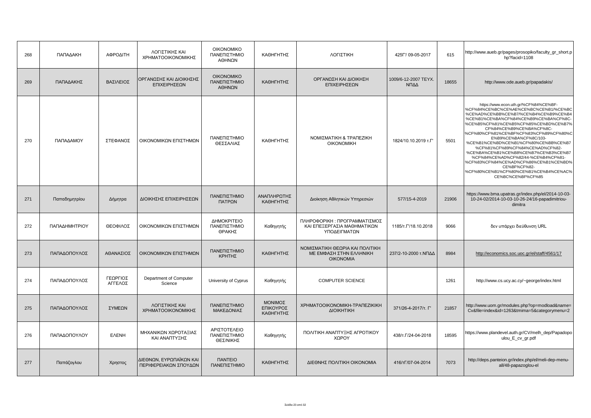| 268 | ΠΑΠΑΔΑΚΗ      | ΑΦΡΟΔΙΤΗ            | ΛΟΓΙΣΤΙΚΗΣ ΚΑΙ<br>ΧΡΗΜΑΤΟΟΙΚΟΝΟΜΙΚΗΣ             | <b>OIKONOMIKO</b><br>ΠΑΝΕΠΙΣΤΗΜΙΟ<br>ΑΘΗΝΩΝ   | ΚΑΘΗΓΗΤΗΣ                         | ΛΟΓΙΣΤΙΚΗ                                                                      | 425F'/09-05-2017             | 615   | http://www.aueb.gr/pages/prosopiko/faculty_gr_short.p<br>hp?facid=1108                                                                                                                                                                                                                                                                                                                                                                                                                                                                                                                    |
|-----|---------------|---------------------|--------------------------------------------------|-----------------------------------------------|-----------------------------------|--------------------------------------------------------------------------------|------------------------------|-------|-------------------------------------------------------------------------------------------------------------------------------------------------------------------------------------------------------------------------------------------------------------------------------------------------------------------------------------------------------------------------------------------------------------------------------------------------------------------------------------------------------------------------------------------------------------------------------------------|
| 269 | ΠΑΠΑΔΑΚΗΣ     | ΒΑΣΙΛΕΙΟΣ           | ΟΡΓΑΝΩΣΗΣ ΚΑΙ ΔΙΟΙΚΗΣΗΣ<br>ΕΠΙΧΕΙΡΗΣΕΩΝ          | <b>OIKONOMIKO</b><br>ΠΑΝΕΠΙΣΤΗΜΙΟ<br>ΑΘΗΝΩΝ   | ΚΑΘΗΓΗΤΗΣ                         | ΟΡΓΑΝΩΣΗ ΚΑΙ ΔΙΟΙΚΗΣΗ<br>ΕΠΙΧΕΙΡΗΣΕΩΝ                                          | 1009/6-12-2007 TEYX.<br>ΝΠΔΔ | 18655 | http://www.ode.aueb.gr/papadakis/                                                                                                                                                                                                                                                                                                                                                                                                                                                                                                                                                         |
| 270 | ΠΑΠΑΔΑΜΟΥ     | ΣΤΕΦΑΝΟΣ            | ΟΙΚΟΝΟΜΙΚΩΝ ΕΠΙΣΤΗΜΩΝ                            | ΠΑΝΕΠΙΣΤΗΜΙΟ<br>ΘΕΣΣΑΛΙΑΣ                     | ΚΑΘΗΓΗΤΗΣ                         | ΝΟΜΙΣΜΑΤΙΚΗ & ΤΡΑΠΕΖΙΚΗ<br><b>OIKONOMIKH</b>                                   | 1824/10.10.2019 T.F'         | 5501  | https://www.econ.uth.gr/%CF%84%CE%BF-<br>%CF%84%CE%BC%CE%AE%CE%BC%CE%B1/%CE%B0<br>%CE%AD%CE%BB%CE%B7/%CE%B4%CE%B9%CE%B4<br>%CE%B1%CE%BA%CF%84%CE%B9%CE%BA%CF%8C-<br>%CE%B5%CF%81%CE%B5%CF%85%CE%BD%CE%B7%<br>CF%84%CE%B9%CE%BA%CF%8C-<br>%CF%80%CF%81%CE%BF%CF%83%CF%89%CF%80%C<br>E%B9%CE%BA%CF%8C/103-<br>%CE%B1%CE%BD%CE%B1%CF%80%CE%BB%CE%B7<br>%CF%81%CF%89%CF%84%CE%AD%CF%82-<br>%CE%BA%CE%B1%CE%B8%CE%B7%CE%B3%CE%B7<br>%CF%84%CE%AD%CF%82/44-%CE%B4%CF%81-<br>%CF%83%CF%84%CE%AD%CF%86%CE%B1%CE%BD%<br>CE%BF%CF%82-<br>%CF%80%CE%B1%CF%80%CE%B1%CE%B4%CE%AC%<br>CE%BC%CE%BF%CF%85 |
| 271 | Παπαδημητρίου | Δήμητρα             | ΔΙΟΙΚΗΣΗΣ ΕΠΙΧΕΙΡΗΣΕΩΝ                           | ΠΑΝΕΠΙΣΤΗΜΙΟ<br>ΠΑΤΡΩΝ                        | ΑΝΑΠΛΗΡΩΤΗΣ<br>ΚΑΘΗΓΗΤΗΣ          | Διοίκηση Αθλητικών Υπηρεσιών                                                   | 577/15-4-2019                | 21906 | https://www.bma.upatras.gr/index.php/el/2014-10-03-<br>10-24-02/2014-10-03-10-26-24/16-papadimitriou-<br>dimitra                                                                                                                                                                                                                                                                                                                                                                                                                                                                          |
| 272 | ΠΑΠΑΔΗΜΗΤΡΙΟΥ | ΘΕΟΦΙΛΟΣ            | ΟΙΚΟΝΟΜΙΚΩΝ ΕΠΙΣΤΗΜΩΝ                            | ΔΗΜΟΚΡΙΤΕΙΟ<br>ΠΑΝΕΠΙΣΤΗΜΙΟ<br>ΘΡΑΚΗΣ         | Καθηγητής                         | ΠΛΗΡΟΦΟΡΙΚΗ: ΠΡΟΓΡΑΜΜΑΤΙΣΜΟΣ<br>ΚΑΙ ΕΠΕΞΕΡΓΑΣΙΑ ΜΑΘΗΜΑΤΙΚΩΝ<br>ΥΠΟΔΕΙΓΜΑΤΩΝ    | 1185/T. L'/18.10.2018        | 9066  | δεν υπάρχει διεύθυνση URL                                                                                                                                                                                                                                                                                                                                                                                                                                                                                                                                                                 |
| 273 | ΠΑΠΑΔΟΠΟΥΛΟΣ  | ΑΘΑΝΑΣΙΟΣ           | ΟΙΚΟΝΟΜΙΚΩΝ ΕΠΙΣΤΗΜΩΝ                            | ΠΑΝΕΠΙΣΤΗΜΙΟ<br>ΚΡΗΤΗΣ                        | ΚΑΘΗΓΗΤΗΣ                         | ΝΟΜΙΣΜΑΤΙΚΗ ΘΕΩΡΙΑ ΚΑΙ ΠΟΛΙΤΙΚΗ<br>ΜΕ ΕΜΦΑΣΗ ΣΤΗΝ ΕΛΛΗΝΙΚΗ<br><b>OIKONOMIA</b> | 237/2-10-2000 τ.ΝΠΔΔ         | 8984  | http://economics.soc.uoc.gr/el/staff/4561/17                                                                                                                                                                                                                                                                                                                                                                                                                                                                                                                                              |
| 274 | ΠΑΠΑΔΟΠΟΥΛΟΣ  | ΓΕΩΡΓΙΟΣ<br>ΑΓΓΕΛΟΣ | Department of Computer<br>Science                | University of Cyprus                          | Καθηγητής                         | <b>COMPUTER SCIENCE</b>                                                        |                              | 1261  | http://www.cs.ucy.ac.cy/~george/index.html                                                                                                                                                                                                                                                                                                                                                                                                                                                                                                                                                |
| 275 | ΠΑΠΑΔΟΠΟΥΛΟΣ  | ΣΥΜΕΩΝ              | ΛΟΓΙΣΤΙΚΗΣ ΚΑΙ<br>ΧΡΗΜΑΤΟΟΙΚΟΝΟΜΙΚΗΣ             | ΠΑΝΕΠΙΣΤΗΜΙΟ<br>ΜΑΚΕΔΟΝΙΑΣ                    | ΜΟΝΙΜΟΣ<br>ΕΠΙΚΟΥΡΟΣ<br>ΚΑΘΗΓΗΤΗΣ | XPHMATOOIKONOMIKH-TPANEZIKIKH<br>ΔΙΟΙΚΗΤΙΚΗ                                    | 371/26-4-2017/т. Г'          | 21857 | http://www.uom.gr/modules.php?op=modload&name=<br>Cv&file=index&id=1263&tmima=5&categorymenu=2                                                                                                                                                                                                                                                                                                                                                                                                                                                                                            |
| 276 | ΠΑΠΑΔΟΠΟΥΛΟΥ  | <b>EAENH</b>        | ΜΗΧΑΝΙΚΩΝ ΧΩΡΟΤΑΞΙΑΣ<br>ΚΑΙ ΑΝΑΠΤΥΞΗΣ            | ΑΡΙΣΤΟΤΕΛΕΙΟ<br>ΠΑΝΕΠΙΣΤΗΜΙΟ<br>ΘΕΣ/ΝΙΚΗΣ     | Καθηγητής                         | ΠΟΛΙΤΙΚΗ ΑΝΑΠΤΥΞΗΣ ΑΓΡΟΤΙΚΟΥ<br>ΧΩΡΟΥ                                          | 438/T. [24-04-2018]          | 18595 | https://www.plandevel.auth.gr/CV/melh_dep/Papadopo<br>ulou_E_cv_gr.pdf                                                                                                                                                                                                                                                                                                                                                                                                                                                                                                                    |
| 277 | Παπάζογλου    | Χρηστος             | ΔΙΕΘΝΩΝ, ΕΥΡΩΠΑΪΚΩΝ ΚΑΙ<br>ΠΕΡΙΦΕΡΕΙΑΚΩΝ ΣΠΟΥΔΩΝ | <b><i><u>ITANTEIO</u></i></b><br>ΠΑΝΕΠΙΣΤΗΜΙΟ | ΚΑΘΗΓΗΤΗΣ                         | ΔΙΕΘΝΗΣ ΠΟΛΙΤΙΚΗ ΟΙΚΟΝΟΜΙΑ                                                     | 416/τΓ/07-04-2014            | 7073  | http://deps.panteion.gr/index.php/el/meli-dep-menu-<br>all/48-papazoglou-el                                                                                                                                                                                                                                                                                                                                                                                                                                                                                                               |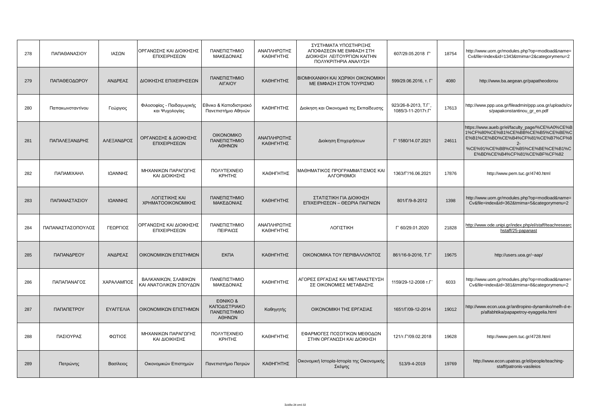| 278 | ΠΑΠΑΘΑΝΑΣΙΟΥ      | ΙΑΣΩΝ      | ΟΡΓΑΝΩΣΗΣ ΚΑΙ ΔΙΟΙΚΗΣΗΣ<br>ΕΠΙΧΕΙΡΗΣΕΩΝ        | ΠΑΝΕΠΙΣΤΗΜΙΟ<br>ΜΑΚΕΔΟΝΙΑΣ                          | ΑΝΑΠΛΗΡΩΤΗΣ<br>ΚΑΘΗΓΗΤΗΣ | ΣΥΣΤΗΜΑΤΑ ΥΠΟΣΤΗΡΙΞΗΣ<br>ΑΠΟΦΑΣΕΩΝ ΜΕ ΕΜΦΑΣΗ ΣΤΗ<br>ΔΙΟΙΚΗΣΗ ΛΕΙΤΟΥΡΓΙΩΝ ΚΑΙΤΗΝ<br>ΠΟΛΥΚΡΙΤΗΡΙΑ ΑΝΑΛΥΣΗ | 607/29.05.2018 F                           | 18754 | http://www.uom.gr/modules.php?op=modload&name=<br>Cv&file=index&id=1343&tmima=2&categorymenu=2                                                                                                         |
|-----|-------------------|------------|------------------------------------------------|-----------------------------------------------------|--------------------------|---------------------------------------------------------------------------------------------------------|--------------------------------------------|-------|--------------------------------------------------------------------------------------------------------------------------------------------------------------------------------------------------------|
| 279 | ΠΑΠΑΘΕΟΔΩΡΟΥ      | ΑΝΔΡΕΑΣ    | ΔΙΟΙΚΗΣΗΣ ΕΠΙΧΕΙΡΗΣΕΩΝ                         | ΠΑΝΕΠΙΣΤΗΜΙΟ<br><b>AIFAIOY</b>                      | ΚΑΘΗΓΗΤΗΣ                | ΒΙΟΜΗΧΑΝΙΚΗ ΚΑΙ ΧΩΡΙΚΗ ΟΙΚΟΝΟΜΙΚΗ<br>ΜΕ ΕΜΦΑΣΗ ΣΤΟΝ ΤΟΥΡΙΣΜΟ                                            | 599/29.06.2016. т. Г'                      | 4080  | http://www.ba.aegean.gr/papatheodorou                                                                                                                                                                  |
| 280 | Παπακωνσταντίνου  | Γεώργιος   | Φιλοσοφίας - Παιδαγωγικής<br>και Ψυχολογίας    | Εθνικο & Καποδιστριακό<br>Πανεπιστήμιο Αθηνών       | ΚΑΘΗΓΗΤΗΣ                | Διοίκηση και Οικονομικά της Εκπαίδευσης                                                                 | 923/26-8-2013, T.F',<br>1085/3-11-2017T.F' | 17613 | http://www.ppp.uoa.gr/fileadmin/ppp.uoa.gr/uploads/cv<br>s/papakonstantinou_gr_en.pdf                                                                                                                  |
| 281 | ΠΑΠΑΛΕΞΑΝΔΡΗΣ     | ΑΛΕΞΑΝΔΡΟΣ | ΟΡΓΑΝΩΣΗΣ & ΔΙΟΙΚΗΣΗΣ<br>ΕΠΙΧΕΙΡΗΣΕΩΝ          | <b>OIKONOMIKO</b><br>ΠΑΝΕΠΙΣΤΗΜΙΟ<br>ΑΘΗΝΩΝ         | ΑΝΑΠΛΗΡΩΤΗΣ<br>ΚΑΘΗΓΗΤΗΣ | Διοίκηση Επιχειρήσεων                                                                                   | Г' 1580/14.07.2021                         | 24611 | https://www.aueb.gr/el/faculty_page/%CE%A0%CE%B<br>1%CF%80%CE%B1%CE%BB%CE%B5%CE%BE%C<br>E%B1%CE%BD%CE%B4%CF%81%CE%B7%CF%8<br>$2 -$<br>%CE%91%CE%BB%CE%B5%CE%BE%CE%B1%C<br>E%BD%CE%B4%CF%81%CE%BF%CF%82 |
| 282 | ΠΑΠΑΜΙΧΑΗΛ        | ΙΩΑΝΝΗΣ    | ΜΗΧΑΝΙΚΩΝ ΠΑΡΑΓΩΓΗΣ<br>ΚΑΙ ΔΙΟΙΚΗΣΗΣ           | <b><i>NOAYTEXNEIO</i></b><br>ΚΡΗΤΗΣ                 | ΚΑΘΗΓΗΤΗΣ                | ΜΑΘΗΜΑΤΙΚΟΣ ΠΡΟΓΡΑΜΜΑΤΙΣΜΟΣ ΚΑΙ<br>ΑΛΓΟΡΙΘΜΟΙ                                                           | 1363/Г/16.06.2021                          | 17876 | http://www.pem.tuc.gr/4740.html                                                                                                                                                                        |
| 283 | ΠΑΠΑΝΑΣΤΑΣΙΟΥ     | ΙΩΑΝΝΗΣ    | ΛΟΓΙΣΤΙΚΗΣ ΚΑΙ<br>ΧΡΗΜΑΤΟΟΙΚΟΝΟΜΙΚΗΣ           | ΠΑΝΕΠΙΣΤΗΜΙΟ<br>ΜΑΚΕΔΟΝΙΑΣ                          | ΚΑΘΗΓΗΤΗΣ                | ΣΤΑΤΙΣΤΙΚΗ ΓΙΑ ΔΙΟΙΚΗΣΗ<br>ΕΠΙΧΕΙΡΗΣΕΩΝ - ΘΕΩΡΙΑ ΠΑΙΓΝΙΩΝ                                               | 801/Г/9-8-2012                             | 1398  | http://www.uom.gr/modules.php?op=modload&name=<br>Cv&file=index&id=362&tmima=5&categorymenu=2                                                                                                          |
| 284 | ΠΑΠΑΝΑΣΤΑΣΟΠΟΥΛΟΣ | ΓΕΩΡΓΙΟΣ   | ΟΡΓΑΝΩΣΗΣ ΚΑΙ ΔΙΟΙΚΗΣΗΣ<br>ΕΠΙΧΕΙΡΗΣΕΩΝ        | ΠΑΝΕΠΙΣΤΗΜΙΟ<br>ΠΕΙΡΑΙΩΣ                            | ΑΝΑΠΛΗΡΩΤΗΣ<br>ΚΑΘΗΓΗΤΗΣ | ΛΟΓΙΣΤΙΚΗ                                                                                               | F' 60/29.01.2020                           | 21828 | http://www.ode.unipi.gr/index.php/el/staff/teachresearc<br>hstaff/25-papanast                                                                                                                          |
| 285 | ΠΑΠΑΝΔΡΕΟΥ        | ΑΝΔΡΕΑΣ    | ΟΙΚΟΝΟΜΙΚΩΝ ΕΠΙΣΤΗΜΩΝ                          | <b>EKNA</b>                                         | ΚΑΘΗΓΗΤΗΣ                | ΟΙΚΟΝΟΜΙΚΑ ΤΟΥ ΠΕΡΙΒΑΛΛΟΝΤΟΣ                                                                            | 861/16-9-2016. T.F'                        | 19675 | http://users.uoa.gr/~aap/                                                                                                                                                                              |
| 286 | ΠΑΠΑΠΑΝΑΓΟΣ       | ΧΑΡΑΛΑΜΠΟΣ | ΒΑΛΚΑΝΙΚΩΝ, ΣΛΑΒΙΚΩΝ<br>ΚΑΙ ΑΝΑΤΟΛΙΚΩΝ ΣΠΟΥΔΩΝ | ΠΑΝΕΠΙΣΤΗΜΙΟ<br>ΜΑΚΕΔΟΝΙΑΣ                          | ΚΑΘΗΓΗΤΗΣ                | ΑΓΟΡΕΣ ΕΡΓΑΣΙΑΣ ΚΑΙ ΜΕΤΑΝΑΣΤΕΥΣΗ<br>ΣΕ ΟΙΚΟΝΟΜΙΕΣ ΜΕΤΑΒΑΣΗΣ                                             | 1159/29-12-2008 т.Г                        | 6033  | http://www.uom.gr/modules.php?op=modload&name=<br>Cv&file=index&id=381&tmima=8&categorymenu=2                                                                                                          |
| 287 | ΠΑΠΑΠΕΤΡΟΥ        | ΕΥΑΓΓΕΛΙΑ  | ΟΙΚΟΝΟΜΙΚΩΝ ΕΠΙΣΤΗΜΩΝ                          | EONIKO &<br>ΚΑΠΟΔΙΣΤΡΙΑΚΟ<br>ΠΑΝΕΠΙΣΤΗΜΙΟ<br>ΑΘΗΝΩΝ | Καθηγητής                | ΟΙΚΟΝΟΜΙΚΗ ΤΗΣ ΕΡΓΑΣΙΑΣ                                                                                 | 1651/Г/09-12-2014                          | 19012 | http://www.econ.uoa.gr/an8ropino-dynamiko/melh-d-e-<br>p/alfabhtika/papapetroy-eyaggelia.html                                                                                                          |
| 288 | ΠΑΣΙΟΥΡΑΣ         | ΦΩΤΙΟΣ     | ΜΗΧΑΝΙΚΩΝ ΠΑΡΑΓΩΓΗΣ<br>ΚΑΙ ΔΙΟΙΚΗΣΗΣ           | <b><i>NOAYTEXNEIO</i></b><br>ΚΡΗΤΗΣ                 | ΚΑΘΗΓΗΤΗΣ                | ΕΦΑΡΜΟΓΕΣ ΠΟΣΟΤΙΚΩΝ ΜΕΘΟΔΩΝ<br>ΣΤΗΝ ΟΡΓΑΝΩΣΗ ΚΑΙ ΔΙΟΙΚΗΣΗ                                               | 121/T. L'/09.02.2018                       | 19628 | http://www.pem.tuc.gr/4728.html                                                                                                                                                                        |
| 289 | Πατρώνης          | Βασίλειος  | Οικονομικών Επιστημών                          | Πανεπιστήμιο Πατρών                                 | ΚΑΘΗΓΗΤΗΣ                | Οικονομική Ιστορία-Ιστορία της Οικονομικής<br>Σκέψης                                                    | 513/9-4-2019                               | 19769 | http://www.econ.upatras.gr/el/people/teaching-<br>staff/patronis-vasileios                                                                                                                             |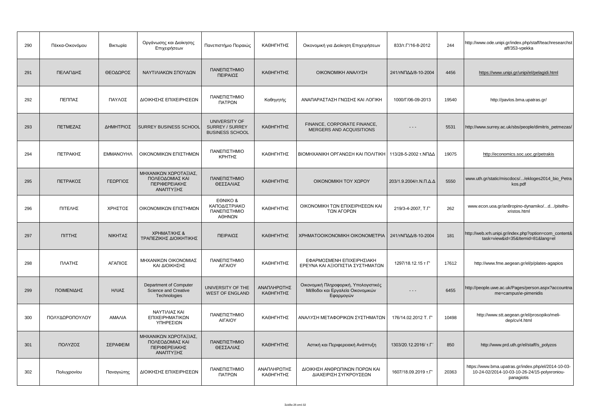| 290 | Πέκκα-Οικονόμου | Βικτωρία   | Οργάνωσης και Διοίκησης<br>Επιχειρήσεων                                | Πανεπιστήμιο Πειραιώς                                      | ΚΑΘΗΓΗΤΗΣ                | Οικονομική για Διοίκηση Επιχειρήσεων                                                   | 833/T. 1/16-8-2012     | 244   | http://www.ode.unipi.gr/index.php/staff/teachresearchst<br>aff/353-vpekka                                         |
|-----|-----------------|------------|------------------------------------------------------------------------|------------------------------------------------------------|--------------------------|----------------------------------------------------------------------------------------|------------------------|-------|-------------------------------------------------------------------------------------------------------------------|
| 291 | ΠΕΛΑΓΙΔΗΣ       | ΘΕΟΔΩΡΟΣ   | ΝΑΥΤΙΛΙΑΚΩΝ ΣΠΟΥΔΩΝ                                                    | ΠΑΝΕΠΙΣΤΗΜΙΟ<br>ΠΕΙΡΑΙΩΣ                                   | ΚΑΘΗΓΗΤΗΣ                | ΟΙΚΟΝΟΜΙΚΗ ΑΝΑΛΥΣΗ                                                                     | 241/τΝΠΔΔ/8-10-2004    | 4456  | https://www.unipi.gr/unipi/el/pelagidi.html                                                                       |
| 292 | ΠΕΠΠΑΣ          | ΠΑΥΛΟΣ     | ΔΙΟΙΚΗΣΗΣ ΕΠΙΧΕΙΡΗΣΕΩΝ                                                 | ΠΑΝΕΠΙΣΤΗΜΙΟ<br>ΠΑΤΡΩΝ                                     | Καθηγητής                | ΑΝΑΠΑΡΑΣΤΑΣΗ ΓΝΩΣΗΣ ΚΑΙ ΛΟΓΙΚΗ                                                         | 1000/Г/06-09-2013      | 19540 | http://pavlos.bma.upatras.gr/                                                                                     |
| 293 | ΠΕΤΜΕΖΑΣ        | ΔΗΜΗΤΡΙΟΣ  | SURREY BUSINESS SCHOOL                                                 | UNIVERSITY OF<br>SURREY / SURREY<br><b>BUSINESS SCHOOL</b> | ΚΑΘΗΓΗΤΗΣ                | FINANCE, CORPORATE FINANCE.<br>MERGERS AND ACQUISITIONS                                | - - -                  | 5531  | http://www.surrey.ac.uk/sbs/people/dimitris_petmezas/                                                             |
| 294 | ΠΕΤΡΑΚΗΣ        | ΕΜΜΑΝΟΥΗΛ  | ΟΙΚΟΝΟΜΙΚΩΝ ΕΠΙΣΤΗΜΩΝ                                                  | ΠΑΝΕΠΙΣΤΗΜΙΟ<br>ΚΡΗΤΗΣ                                     | ΚΑΘΗΓΗΤΗΣ                | ΒΙΟΜΗΧΑΝΙΚΗ ΟΡΓΑΝΩΣΗ ΚΑΙ ΠΟΛΙΤΙΚΗ                                                      | 113/28-5-2002 τ.ΝΠΔΔ   | 19075 | http://economics.soc.uoc.gr/petrakis                                                                              |
| 295 | ΠΕΤΡΑΚΟΣ        | ΓΕΩΡΓΙΟΣ   | ΜΗΧΑΝΙΚΩΝ ΧΩΡΟΤΑΞΙΑΣ,<br>ΠΟΛΕΟΔΟΜΙΑΣ ΚΑΙ<br>ΠΕΡΙΦΕΡΕΙΑΚΗΣ<br>ΑΝΑΠΤΥΞΗΣ | ΠΑΝΕΠΙΣΤΗΜΙΟ<br>ΘΕΣΣΑΛΙΑΣ                                  | ΚΑΘΗΓΗΤΗΣ                | ΟΙΚΟΝΟΜΙΚΗ ΤΟΥ ΧΩΡΟΥ                                                                   | 203/1.9.2004/τ.Ν.Π.Δ.Δ | 5550  | www.uth.gr/static/miscdocs//ekloges2014_bio_Petra<br>kos.pdf                                                      |
| 296 | ΠΙΤΕΛΗΣ         | ΧΡΗΣΤΟΣ    | ΟΙΚΟΝΟΜΙΚΩΝ ΕΠΙΣΤΗΜΩΝ                                                  | EONIKO &<br>ΚΑΠΟΔΙΣΤΡΙΑΚΟ<br>ΠΑΝΕΠΙΣΤΗΜΙΟ<br>ΑΘΗΝΩΝ        | ΚΑΘΗΓΗΤΗΣ                | ΟΙΚΟΝΟΜΙΚΗ ΤΩΝ ΕΠΙΧΕΙΡΗΣΕΩΝ ΚΑΙ<br>ΤΩΝ ΑΓΟΡΩΝ                                          | 219/3-4-2007, T.F'     | 262   | www.econ.uoa.gr/an8ropino-dynamiko/d/pitelhs-<br>xristos.html                                                     |
| 297 | ΠΙΤΤΗΣ          | ΝΙΚΗΤΑΣ    | ΧΡΗΜΑΤ/ΚΗΣ &<br>ΤΡΑΠΕΖΙΚΗΣ ΔΙΟΙΚΗΤΙΚΗΣ                                 | ΠΕΙΡΑΙΩΣ                                                   | ΚΑΘΗΓΗΤΗΣ                | XPHMATOOIKONOMIKH OIKONOMETPIA                                                         | 241/τΝΠΔΔ/8-10-2004    | 181   | http://web.xrh.unipi.gr/index.php?option=com_content&<br>task=view&id=35&Itemid=81⟨=el                            |
| 298 | ΠΛΑΤΗΣ          | ΑΓΑΠΙΟΣ    | ΜΗΧΑΝΙΚΩΝ ΟΙΚΟΝΟΜΙΑΣ<br>ΚΑΙ ΔΙΟΙΚΗΣΗΣ                                  | ΠΑΝΕΠΙΣΤΗΜΙΟ<br>ΑΙΓΑΙΟΥ                                    | ΚΑΘΗΓΗΤΗΣ                | ΕΦΑΡΜΟΣΜΕΝΗ ΕΠΙΧΕΙΡΗΣΙΑΚΗ<br>ΕΡΕΥΝΑ ΚΑΙ ΑΞΙΟΠΙΣΤΙΑ ΣΥΣΤΗΜΑΤΩΝ                          | 1297/18.12.15 т Г'     | 17612 | http://www.fme.aegean.gr/el/p/plates-agapios                                                                      |
| 299 | ΠΟΙΜΕΝΙΔΗΣ      | ΗΛΙΑΣ      | Department of Computer<br>Science and Creative<br>Technologies         | UNIVERSITY OF THE<br><b>WEST OF ENGLAND</b>                | ΑΝΑΠΛΗΡΩΤΗΣ<br>ΚΑΘΗΓΗΤΗΣ | Οικονομική Πληροφορική, Υπολογιστικές<br>Μέθοδοι και Εργαλεία Οικονομικών<br>Εφαρμογών | .                      | 6455  | http://people.uwe.ac.uk/Pages/person.aspx?accountna<br>me=campus\e-pimenidis                                      |
| 300 | ΠΟΛΥΔΩΡΟΠΟΥΛΟΥ  | ΑΜΑΛΙΑ     | ΝΑΥΤΙΛΙΑΣ ΚΑΙ<br>ΕΠΙΧΕΙΡΗΜΑΤΙΚΩΝ<br>ΥΠΗΡΕΣΙΩΝ                          | ΠΑΝΕΠΙΣΤΗΜΙΟ<br><b>AIFAIOY</b>                             | ΚΑΘΗΓΗΤΗΣ                | ΑΝΑΛΥΣΗ ΜΕΤΑΦΟΡΙΚΩΝ ΣΥΣΤΗΜΑΤΩΝ                                                         | 176/14.02.2012 T. L'   | 10498 | http://www.stt.aegean.gr/el/prosopiko/meli-<br>dep/cv/4.html                                                      |
| 301 | ΠΟΛΥΖΟΣ         | ΣΕΡΑΦΕΙΜ   | ΜΗΧΑΝΙΚΩΝ ΧΩΡΟΤΑΞΙΑΣ.<br>ΠΟΛΕΟΔΟΜΙΑΣ ΚΑΙ<br>ΠΕΡΙΦΕΡΕΙΑΚΗΣ<br>ΑΝΑΠΤΥΞΗΣ | ΠΑΝΕΠΙΣΤΗΜΙΟ<br>ΘΕΣΣΑΛΙΑΣ                                  | ΚΑΘΗΓΗΤΗΣ                | Αστική και Περιφερειακή Ανάπτυξη                                                       | 1303/20.12.2016/ т.Г   | 850   | http://www.prd.uth.gr/el/staff/s_polyzos                                                                          |
| 302 | Πολυχρονίου     | Παναγιώτης | ΔΙΟΙΚΗΣΗΣ ΕΠΙΧΕΙΡΗΣΕΩΝ                                                 | ΠΑΝΕΠΙΣΤΗΜΙΟ<br>ΠΑΤΡΩΝ                                     | ΑΝΑΠΛΗΡΩΤΗΣ<br>ΚΑΘΗΓΗΤΗΣ | ΔΙΟΙΚΗΣΗ ΑΝΘΡΩΠΙΝΩΝ ΠΟΡΩΝ ΚΑΙ<br>ΔΙΑΧΕΙΡΙΣΗ ΣΥΓΚΡΟΥΣΕΩΝ                                | 1607/18.09.2019 T.F'   | 20363 | https://www.bma.upatras.gr/index.php/el/2014-10-03-<br>10-24-02/2014-10-03-10-26-24/15-polyxroniou-<br>panagiotis |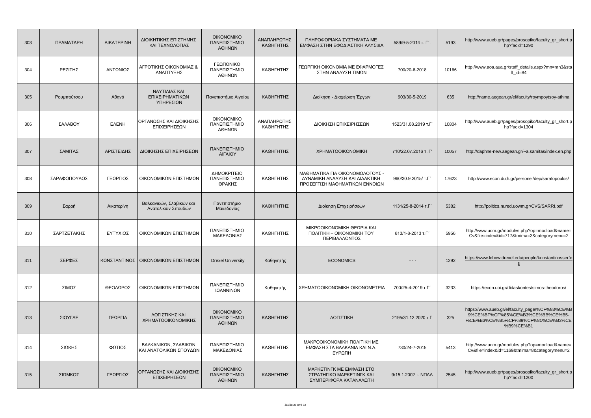| 303 | <b>ПРАМАТАРН</b> | <b>AIKATEPINH</b> | ΔΙΟΙΚΗΤΙΚΗΣ ΕΠΙΣΤΗΜΗΣ<br>ΚΑΙ ΤΕΧΝΟΛΟΓΙΑΣ       | <b>OIKONOMIKO</b><br>ΠΑΝΕΠΙΣΤΗΜΙΟ<br>ΑΘΗΝΩΝ | ΑΝΑΠΛΗΡΩΤΗΣ<br>ΚΑΘΗΓΗΤΗΣ | ΠΛΗΡΟΦΟΡΙΑΚΑ ΣΥΣΤΗΜΑΤΑ ΜΕ<br>ΕΜΦΑΣΗ ΣΤΗΝ ΕΦΟΔΙΑΣΤΙΚΗ ΑΛΥΣΙΔΑ                                        | 589/9-5-2014 т. Г'.  | 5193  | http://www.aueb.gr/pages/prosopiko/faculty_gr_short.p<br>hp?facid=1290                                                                |
|-----|------------------|-------------------|------------------------------------------------|---------------------------------------------|--------------------------|-----------------------------------------------------------------------------------------------------|----------------------|-------|---------------------------------------------------------------------------------------------------------------------------------------|
| 304 | <b>ΡΕΖΙΤΗΣ</b>   | ΑΝΤΩΝΙΟΣ          | ΑΓΡΟΤΙΚΗΣ ΟΙΚΟΝΟΜΙΑΣ &<br>ΑΝΑΠΤΥΞΗΣ            | ΓΕΩΠΟΝΙΚΟ<br>ΠΑΝΕΠΙΣΤΗΜΙΟ<br>ΑΘΗΝΩΝ         | ΚΑΘΗΓΗΤΗΣ                | ΓΕΩΡΓΙΚΗ ΟΙΚΟΝΟΜΙΑ ΜΕ ΕΦΑΡΜΟΓΕΣ<br>ΣΤΗΝ ΑΝΑΛΥΣΗ ΤΙΜΩΝ                                               | 700/20-6-2018        | 10166 | http://www.aoa.aua.gr/staff_details.aspx?mn=mn3&sta<br>$ff_id=84$                                                                     |
| 305 | Ρουμπούτσου      | Αθηνά             | ΝΑΥΤΙΛΙΑΣ ΚΑΙ<br>ΕΠΙΧΕΙΡΗΜΑΤΙΚΩΝ<br>ΥΠΗΡΕΣΙΩΝ  | Πανεπιστήμιο Αιγαίου                        | ΚΑΘΗΓΗΤΗΣ                | Διοίκηση - Διαχείριση Έργων                                                                         | 903/30-5-2019        | 635   | http://name.aegean.gr/el/faculty/roympoytsoy-athina                                                                                   |
| 306 | ΣΑΛΑΒΟΥ          | <b>EAENH</b>      | ΟΡΓΑΝΩΣΗΣ ΚΑΙ ΔΙΟΙΚΗΣΗΣ<br>ΕΠΙΧΕΙΡΗΣΕΩΝ        | <b>OIKONOMIKO</b><br>ΠΑΝΕΠΙΣΤΗΜΙΟ<br>ΑΘΗΝΩΝ | ΑΝΑΠΛΗΡΩΤΗΣ<br>ΚΑΘΗΓΗΤΗΣ | ΔΙΟΙΚΗΣΗ ΕΠΙΧΕΙΡΗΣΕΩΝ                                                                               | 1523/31.08.2019 T.F' | 10804 | http://www.aueb.gr/pages/prosopiko/faculty_gr_short.p<br>hp?facid=1304                                                                |
| 307 | ΣΑΜΙΤΑΣ          | ΑΡΙΣΤΕΙΔΗΣ        | ΔΙΟΙΚΗΣΗΣ ΕΠΙΧΕΙΡΗΣΕΩΝ                         | ΠΑΝΕΠΙΣΤΗΜΙΟ<br>ΑΙΓΑΙΟΥ                     | ΚΑΘΗΓΗΤΗΣ                | <b>XPHMATOOIKONOMIKH</b>                                                                            | 710/22.07.2016 T.T   | 10057 | http://daphne-new.aegean.gr/~a.samitas/index.en.php                                                                                   |
| 308 | ΣΑΡΑΦΟΠΟΥΛΟΣ     | ΓΕΩΡΓΙΟΣ          | ΟΙΚΟΝΟΜΙΚΩΝ ΕΠΙΣΤΗΜΩΝ                          | ΔΗΜΟΚΡΙΤΕΙΟ<br>ΠΑΝΕΠΙΣΤΗΜΙΟ<br>ΘΡΑΚΗΣ       | ΚΑΘΗΓΗΤΗΣ                | ΜΑΘΗΜΑΤΙΚΑ ΓΙΑ ΟΙΚΟΝΟΜΟΛΟΓΟΥΣ -<br>ΔΥΝΑΜΙΚΗ ΑΝΑΛΥΣΗ ΚΑΙ ΔΙΔΑΚΤΙΚΗ<br>ΠΡΟΣΕΓΓΙΣΗ ΜΑΘΗΜΑΤΙΚΩΝ ΕΝΝΟΙΩΝ | 960/30.9.2015/ T.F'  | 17623 | http://www.econ.duth.gr/personel/dep/sarafopoulos/                                                                                    |
| 309 | Σαρρή            | Αικατερίνη        | Βαλκανικών, Σλαβικών και<br>Ανατολικών Σπουδών | Πανεπιστήμιο<br>Μακεδονίας                  | ΚΑΘΗΓΗΤΗΣ                | Διοίκηση Επιχειρήσεων                                                                               | 1131/25-8-2014 т.Г'  | 5382  | http://politics.nured.uowm.gr/CVS/SARRI.pdf                                                                                           |
| 310 | ΣΑΡΤΖΕΤΑΚΗΣ      | ΕΥΤΥΧΙΟΣ          | ΟΙΚΟΝΟΜΙΚΩΝ ΕΠΙΣΤΗΜΩΝ                          | ΠΑΝΕΠΙΣΤΗΜΙΟ<br>ΜΑΚΕΔΟΝΙΑΣ                  | ΚΑΘΗΓΗΤΗΣ                | ΜΙΚΡΟΟΙΚΟΝΟΜΙΚΗ ΘΕΩΡΙΑ ΚΑΙ<br><b><i>NOAITIKH - OIKONOMIKH TOY</i></b><br>ΠΕΡΙΒΑΛΛΟΝΤΟΣ              | 813/1-8-2013 т.Г'    | 5956  | http://www.uom.gr/modules.php?op=modload&name=<br>Cv&file=index&id=717&tmima=3&categorymenu=2                                         |
| 311 | ΣΕΡΦΕΣ           |                   | ΚΩΝΣΤΑΝΤΙΝΟΣ   ΟΙΚΟΝΟΜΙΚΩΝ ΕΠΙΣΤΗΜΩΝ           | <b>Drexel University</b>                    | Καθηγητής                | <b>ECONOMICS</b>                                                                                    | $- - -$              | 1292  | https://www.lebow.drexel.edu/people/konstantinosserfe<br>s                                                                            |
| 312 | ΣΙΜΟΣ            | ΘΕΟΔΩΡΟΣ          | ΟΙΚΟΝΟΜΙΚΩΝ ΕΠΙΣΤΗΜΩΝ                          | ΠΑΝΕΠΙΣΤΗΜΙΟ<br>ΙΩΑΝΝΙΝΩΝ                   | Καθηγητής                | XPHMATOOIKONOMIKH OIKONOMETPIA                                                                      | 700/25-4-2019 т.Г'   | 3233  | https://econ.uoi.gr/didaskontes/simos-theodoros/                                                                                      |
| 313 | ΣΙΟΥΓΛΕ          | ΓΕΩΡΓΙΑ           | ΛΟΓΙΣΤΙΚΗΣ ΚΑΙ<br>ΧΡΗΜΑΤΟΟΙΚΟΝΟΜΙΚΗΣ           | <b>OIKONOMIKO</b><br>ΠΑΝΕΠΙΣΤΗΜΙΟ<br>ΑΘΗΝΩΝ | ΚΑΘΗΓΗΤΗΣ                | ΛΟΓΙΣΤΙΚΗ                                                                                           | 2195/31.12.2020 т Г  | 325   | https://www.aueb.gr/el/faculty_page/%CF%83%CE%B<br>9%CE%BF%CF%85%CE%B3%CE%BB%CE%B5-<br>%CE%B3%CE%B5%CF%89%CF%81%CE%B3%CE<br>%B9%CE%B1 |
| 314 | ΣΙΩΚΗΣ           | ΦΩΤΙΟΣ            | ΒΑΛΚΑΝΙΚΩΝ, ΣΛΑΒΙΚΩΝ<br>ΚΑΙ ΑΝΑΤΟΛΙΚΩΝ ΣΠΟΥΔΩΝ | ΠΑΝΕΠΙΣΤΗΜΙΟ<br>ΜΑΚΕΔΟΝΙΑΣ                  | ΚΑΘΗΓΗΤΗΣ                | ΜΑΚΡΟΟΙΚΟΝΟΜΙΚΗ ΠΟΛΙΤΙΚΗ ΜΕ<br>ΕΜΦΑΣΗ ΣΤΑ ΒΑΛΚΑΝΙΑ ΚΑΙ Ν.Α.<br>ΕΥΡΩΠΗ                               | 730/24-7-2015        | 5413  | http://www.uom.gr/modules.php?op=modload&name=<br>Cv&file=index&id=1169&tmima=8&categorymenu=2                                        |
| 315 | ΣΙΩΜΚΟΣ          | ΓΕΩΡΓΙΟΣ          | ΟΡΓΑΝΩΣΗΣ ΚΑΙ ΔΙΟΙΚΗΣΗΣ<br>ΕΠΙΧΕΙΡΗΣΕΩΝ        | <b>OIKONOMIKO</b><br>ΠΑΝΕΠΙΣΤΗΜΙΟ<br>ΑΘΗΝΩΝ | ΚΑΘΗΓΗΤΗΣ                | ΜΑΡΚΕΤΙΝΓΚ ΜΕ ΕΜΦΑΣΗ ΣΤΟ<br>ΣΤΡΑΤΗΓΙΚΟ ΜΑΡΚΕΤΙΝΓΚ ΚΑΙ<br>ΣΥΜΠΕΡΙΦΟΡΑ ΚΑΤΑΝΑΛΩΤΗ                     | 9/15.1.2002 τ. ΝΠΔΔ  | 2545  | http://www.aueb.gr/pages/prosopiko/faculty_gr_short.p<br>hp?facid=1200                                                                |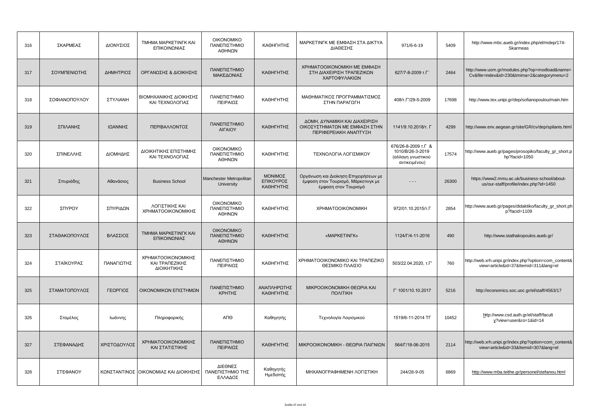| 316 | ΣΚΑΡΜΕΑΣ      | ΔΙΟΝΥΣΙΟΣ    | TMHMA MAPKETINFK KAI<br>ΕΠΙΚΟΙΝΩΝΙΑΣ                | <b>OIKONOMIKO</b><br>ΠΑΝΕΠΙΣΤΗΜΙΟ<br>ΑΘΗΝΩΝ | ΚΑΘΗΓΗΤΗΣ                         | ΜΑΡΚΕΤΙΝΓΚ ΜΕ ΕΜΦΑΣΗ ΣΤΑ ΔΙΚΤΥΑ<br>ΔΙΑΘΕΣΗΣ                                                          | 971/6-6-19                                                                    | 5409  | http://www.mbc.aueb.gr/index.php/el/mdep/174-<br>Skarmeas                                     |
|-----|---------------|--------------|-----------------------------------------------------|---------------------------------------------|-----------------------------------|------------------------------------------------------------------------------------------------------|-------------------------------------------------------------------------------|-------|-----------------------------------------------------------------------------------------------|
| 317 | ΣΟΥΜΠΕΝΙΩΤΗΣ  | ΔΗΜΗΤΡΙΟΣ    | ΟΡΓΑΝΩΣΗΣ & ΔΙΟΙΚΗΣΗΣ                               | ΠΑΝΕΠΙΣΤΗΜΙΟ<br>ΜΑΚΕΔΟΝΙΑΣ                  | ΚΑΘΗΓΗΤΗΣ                         | ΧΡΗΜΑΤΟΟΙΚΟΝΟΜΙΚΗ ΜΕ ΕΜΦΑΣΗ<br>ΣΤΗ ΔΙΑΧΕΙΡΙΣΗ ΤΡΑΠΕΖΙΚΩΝ<br>ΧΑΡΤΟΦΥΛΑΚΙΩΝ                            | 627/7-8-2009 т.Г'                                                             | 2464  | http://www.uom.gr/modules.php?op=modload&name=<br>Cv&file=index&id=230&tmima=2&categorymenu=2 |
| 318 | ΣΟΦΙΑΝΟΠΟΥΛΟΥ | ΣΤΥΛΙΑΝΗ     | ΒΙΟΜΗΧΑΝΙΚΗΣ ΔΙΟΙΚΗΣΗΣ<br>ΚΑΙ ΤΕΧΝΟΛΟΓΙΑΣ           | ΠΑΝΕΠΙΣΤΗΜΙΟ<br>ΠΕΙΡΑΙΩΣ                    | ΚΑΘΗΓΗΤΗΣ                         | ΜΑΘΗΜΑΤΙΚΟΣ ΠΡΟΓΡΑΜΜΑΤΙΣΜΟΣ<br>ΣΤΗΝ ΠΑΡΑΓΩΓΗ                                                         | 408/т.Г'/29-5-2009                                                            | 17698 | http://www.tex.unipi.gr/dep/sofianopoulou/main.htm                                            |
| 319 | ΣΠΙΛΑΝΗΣ      | ΙΩΑΝΝΗΣ      | ΠΕΡΙΒΑΛΛΟΝΤΟΣ                                       | ΠΑΝΕΠΙΣΤΗΜΙΟ<br><b>AIFAIOY</b>              | ΚΑΘΗΓΗΤΗΣ                         | ΔΟΜΗ, ΔΥΝΑΜΙΚΗ ΚΑΙ ΔΙΑΧΕΙΡΙΣΗ<br>ΟΙΚΟΣΥΣΤΗΜΑΤΩΝ ΜΕ ΕΜΦΑΣΗ ΣΤΗΝ<br>ΠΕΡΙΦΕΡΕΙΑΚΗ ΑΝΑΠΤΥΞΗ              | 1141/9.10.2018/т. Г                                                           | 4299  | http://www.env.aegean.gr/site/GR/cv/dep/spilanis.html                                         |
| 320 | ΣΠΙΝΕΛΛΗΣ     | ΔΙΟΜΗΔΗΣ     | ΔΙΟΙΚΗΤΙΚΗΣ ΕΠΙΣΤΗΜΗΣ<br>ΚΑΙ ΤΕΧΝΟΛΟΓΙΑΣ            | <b>OIKONOMIKO</b><br>ΠΑΝΕΠΙΣΤΗΜΙΟ<br>ΑΘΗΝΩΝ | ΚΑΘΗΓΗΤΗΣ                         | ΤΕΧΝΟΛΟΓΙΑ ΛΟΓΙΣΜΙΚΟΥ                                                                                | 676/26-8-2009 т.Г &<br>1010/B/26-3-2019<br>(αλλαγη γνωστικού<br>αντικειμένου) | 17574 | http://www.aueb.gr/pages/prosopiko/faculty_gr_short.p<br>hp?facid=1050                        |
| 321 | Σπυριάδης     | Αθανάσιος    | <b>Business School</b>                              | Manchester Metropolitan<br>University       | ΜΟΝΙΜΟΣ<br>ΕΠΙΚΟΥΡΟΣ<br>ΚΑΘΗΓΗΤΗΣ | Οργάνωση και Διοίκηση Επιχειρήσεων με<br>έμφαση στον Τουρισμό, Μάρκετινγκ με<br>έμφαση στον Τουρισμό | - - -                                                                         | 26300 | https://www2.mmu.ac.uk/business-school/about-<br>us/our-staff/profile/index.php?id=1450       |
| 322 | ΣΠΥΡΟΥ        | ΣΠΥΡΙΔΩΝ     | ΛΟΓΙΣΤΙΚΗΣ ΚΑΙ<br>ΧΡΗΜΑΤΟΟΙΚΟΝΟΜΙΚΗΣ                | <b>OIKONOMIKO</b><br>ΠΑΝΕΠΙΣΤΗΜΙΟ<br>ΑΘΗΝΩΝ | ΚΑΘΗΓΗΤΗΣ                         | <b>XPHMATOOIKONOMIKH</b>                                                                             | 972/01.10.2015/т.Г                                                            | 2854  | http://www.aueb.gr/pages/didaktiko/faculty_gr_short.ph<br>p?facid=1109                        |
| 323 | ΣΤΑΘΑΚΟΠΟΥΛΟΣ | ΒΛΑΣΣΙΟΣ     | <b>TMHMA MAPKETINFK KAI</b><br>ΕΠΙΚΟΙΝΩΝΙΑΣ         | <b>OIKONOMIKO</b><br>ΠΑΝΕΠΙΣΤΗΜΙΟ<br>ΑΘΗΝΩΝ | ΚΑΘΗΓΗΤΗΣ                         | «MAPKETINFK»                                                                                         | 1124/Г/4-11-2016                                                              | 490   | http://www.stathakopoulos.aueb.gr/                                                            |
| 324 | ΣΤΑΪΚΟΥΡΑΣ    | ΠΑΝΑΓΙΩΤΗΣ   | ΧΡΗΜΑΤΟΟΙΚΟΝΟΜΙΚΗΣ<br>ΚΑΙ ΤΡΑΠΕΖΙΚΗΣ<br>ΔΙΟΙΚΗΤΙΚΗΣ | ΠΑΝΕΠΙΣΤΗΜΙΟ<br>ΠΕΙΡΑΙΩΣ                    | ΚΑΘΗΓΗΤΗΣ                         | ΧΡΗΜΑΤΟΟΙΚΟΝΟΜΙΚΟ ΚΑΙ ΤΡΑΠΕΖΙΚΟ<br>ΘΕΣΜΙΚΟ ΠΛΑΙΣΙΟ                                                   | 503/22.04.2020, т.Г'                                                          | 760   | http://web.xrh.unipi.gr/index.php?option=com_content&<br>view=article&id=37&Itemid=311⟨=el    |
| 325 | ΣΤΑΜΑΤΟΠΟΥΛΟΣ | ΓΕΩΡΓΙΟΣ     | ΟΙΚΟΝΟΜΙΚΩΝ ΕΠΙΣΤΗΜΩΝ                               | ΠΑΝΕΠΙΣΤΗΜΙΟ<br>ΚΡΗΤΗΣ                      | ΑΝΑΠΛΗΡΩΤΗΣ<br>ΚΑΘΗΓΗΤΗΣ          | ΜΙΚΡΟΟΙΚΟΝΟΜΙΚΗ ΘΕΩΡΙΑ ΚΑΙ<br><b><i><u>NOVITIKH</u></i></b>                                          | Г' 1001/10.10.2017                                                            | 5216  | http://economics.soc.uoc.gr/el/staff/4563/17                                                  |
| 326 | Σταμέλος      | Ιωάννης      | Πληροφορικής                                        | ΑΠΘ                                         | Καθηγητής                         | Τεχνολογία Λογισμικού                                                                                | 1519/6-11-2014 TF                                                             | 10452 | http://www.csd.auth.gr/el/staff/facult<br>y?view=user&ro=1&id=14                              |
| 327 | ΣΤΕΦΑΝΑΔΗΣ    | ΧΡΙΣΤΟΔΟΥΛΟΣ | ΧΡΗΜΑΤΟΟΙΚΟΝΟΜΙΚΗΣ<br>ΚΑΙ ΣΤΑΤΙΣΤΙΚΗΣ               | ΠΑΝΕΠΙΣΤΗΜΙΟ<br>ΠΕΙΡΑΙΩΣ                    | ΚΑΘΗΓΗΤΗΣ                         | ΜΙΚΡΟΟΙΚΟΝΟΜΙΚΗ - ΘΕΩΡΙΑ ΠΑΙΓΝΙΩΝ                                                                    | 564/Г/18-06-2015                                                              | 2114  | http://web.xrh.unipi.gr/index.php?option=com_content&<br>view=article&id=33&Itemid=307⟨=el    |
| 328 | ΣΤΕΦΑΝΟΥ      |              | ΚΩΝΣΤΑΝΤΙΝΟΣ ΟΙΚΟΝΟΜΙΑΣ ΚΑΙ ΔΙΟΙΚΗΣΗΣ               | ΔΙΕΘΝΕΣ<br>ΠΑΝΕΠΙΣΤΗΜΙΟ ΤΗΣ<br>ΕΛΛΑΔΟΣ      | Καθηγητής<br>Ημεδαπής             | ΜΗΧΑΝΟΓΡΑΦΗΜΕΝΗ ΛΟΓΙΣΤΙΚΗ                                                                            | 244/28-9-05                                                                   | 6869  | http://www.mba.teithe.gr/personel/stefanou.html                                               |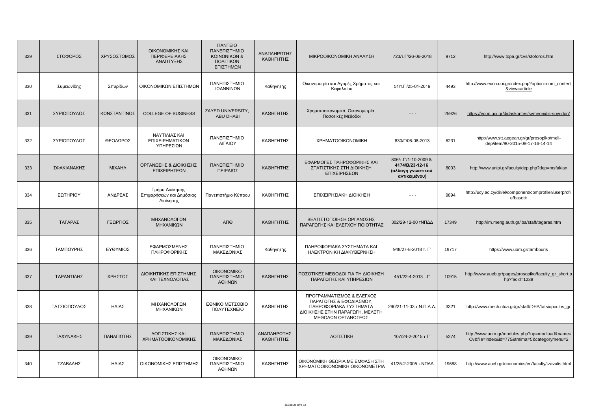| 329 | ΣΤΟΦΟΡΟΣ     | ΧΡΥΣΟΣΤΟΜΟΣ   | ΟΙΚΟΝΟΜΙΚΗΣ ΚΑΙ<br>ΠΕΡΙΦΕΡΕΙΑΚΗΣ<br>ΑΝΑΠΤΥΞΗΣ             | <b><i><u>INNTEIO</u></i></b><br>ΠΑΝΕΠΙΣΤΗΜΙΟ<br>ΚΟΙΝΩΝΙΚΩΝ &<br>ΠΟΛΙΤΙΚΩΝ<br>ΕΠΙΣΤΗΜΩΝ | ΑΝΑΠΛΗΡΩΤΗΣ<br>ΚΑΘΗΓΗΤΗΣ | ΜΙΚΡΟΟΙΚΟΝΟΜΙΚΗ ΑΝΑΛΥΣΗ                                                                                                                  | 723/T. 1/26-06-2018                                                           | 9712  | http://www.topa.gr/cvs/stoforos.htm                                                           |
|-----|--------------|---------------|-----------------------------------------------------------|----------------------------------------------------------------------------------------|--------------------------|------------------------------------------------------------------------------------------------------------------------------------------|-------------------------------------------------------------------------------|-------|-----------------------------------------------------------------------------------------------|
| 330 | Συμεωνίδης   | Σπυρίδων      | ΟΙΚΟΝΟΜΙΚΩΝ ΕΠΙΣΤΗΜΩΝ                                     | ΠΑΝΕΠΙΣΤΗΜΙΟ<br>ΙΩΑΝΝΙΝΩΝ                                                              | Καθηγητής                | Οικονομετρία και Αγορές Χρήματος και<br>Κεφαλαίου                                                                                        | 51/T. T'/25-01-2019                                                           | 4493  | http://www.econ.uoi.gr/index.php?option=com_content<br>&view=article                          |
| 331 | ΣΥΡΙΟΠΟΥΛΟΣ  | ΚΩΝΣΤΑΝΤΙΝΟΣ  | <b>COLLEGE OF BUSINESS</b>                                | ZAYED UNIVERSITY,<br><b>ABU DHABI</b>                                                  | ΚΑΘΗΓΗΤΗΣ                | Χρηματοοικονομικά, Οικονομετρία,<br>Ποσοτικές Μέθοδοι                                                                                    | $- - -$                                                                       | 25926 | https://econ.uoi.gr/didaskontes/symeonidis-spyridon/                                          |
| 332 | ΣΥΡΙΟΠΟΥΛΟΣ  | ΘΕΟΔΩΡΟΣ      | ΝΑΥΤΙΛΙΑΣ ΚΑΙ<br>ΕΠΙΧΕΙΡΗΜΑΤΙΚΩΝ<br>ΥΠΗΡΕΣΙΩΝ             | ΠΑΝΕΠΙΣΤΗΜΙΟ<br>ΑΙΓΑΙΟΥ                                                                | ΚΑΘΗΓΗΤΗΣ                | <b>XPHMATOOIKONOMIKH</b>                                                                                                                 | 830/Г/06-08-2013                                                              | 6231  | http://www.stt.aegean.gr/gr/prosopiko/meli-<br>dep/item/90-2015-08-17-16-14-14                |
| 333 | ΣΦΑΚΙΑΝΑΚΗΣ  | <b>MIXAHA</b> | ΟΡΓΑΝΩΣΗΣ & ΔΙΟΙΚΗΣΗΣ<br>ΕΠΙΧΕΙΡΗΣΕΩΝ                     | ΠΑΝΕΠΙΣΤΗΜΙΟ<br>ΠΕΙΡΑΙΩΣ                                                               | ΚΑΘΗΓΗΤΗΣ                | ΕΦΑΡΜΟΓΕΣ ΠΛΗΡΟΦΟΡΙΚΗΣ ΚΑΙ<br>ΣΤΑΤΙΣΤΙΚΗΣ ΣΤΗ ΔΙΟΙΚΗΣΗ<br>ΕΠΙΧΕΙΡΗΣΕΩΝ                                                                   | 806/т.Г'/1-10-2009 &<br>4174/B/23-12-16<br>(αλλαγη γνωστικού<br>αντικειμένου) | 8003  | http://www.unipi.gr/faculty/dep.php?dep=msfakian                                              |
| 334 | ΣΩΤΗΡΙΟΥ     | ΑΝΔΡΕΑΣ       | Τμήμα Διοίκησης<br>Επιχειρήσεων και Δημόσιας<br>Διοίκησης | Πανεπιστήμιο Κύπρου                                                                    | ΚΑΘΗΓΗΤΗΣ                | ΕΠΙΧΕΙΡΗΣΙΑΚΗ ΔΙΟΙΚΗΣΗ                                                                                                                   | $- - -$                                                                       | 9894  | http://ucy.ac.cy/dir/el/component/comprofiler/userprofil<br>e/basotir                         |
| 335 | ΤΑΓΑΡΑΣ      | ΓΕΩΡΓΙΟΣ      | ΜΗΧΑΝΟΛΟΓΩΝ<br>ΜΗΧΑΝΙΚΩΝ                                  | АПӨ                                                                                    | ΚΑΘΗΓΗΤΗΣ                | ΒΕΛΤΙΣΤΟΠΟΙΗΣΗ ΟΡΓΑΝΩΣΗΣ<br>ΠΑΡΑΓΩΓΗΣ ΚΑΙ ΕΛΕΓΧΟΥ ΠΟΙΟΤΗΤΑΣ                                                                              | 302/29-12-00 ΤΝΠΔΔ                                                            | 17349 | http://im.meng.auth.gr/lba/staff/tagaras.htm                                                  |
| 336 | ΤΑΜΠΟΥΡΗΣ    | ΕΥΘΥΜΙΟΣ      | ΕΦΑΡΜΟΣΜΕΝΗΣ<br>ΠΛΗΡΟΦΟΡΙΚΗΣ                              | ΠΑΝΕΠΙΣΤΗΜΙΟ<br>ΜΑΚΕΔΟΝΙΑΣ                                                             | Καθηγητής                | ΠΛΗΡΟΦΟΡΙΑΚΑ ΣΥΣΤΗΜΑΤΑ ΚΑΙ<br>ΗΛΕΚΤΡΟΝΙΚΗ ΔΙΑΚΥΒΕΡΝΗΣΗ                                                                                   | 948/27-8-2018 т. Г'                                                           | 19717 | https://www.uom.gr/tambouris                                                                  |
| 337 | ΤΑΡΑΝΤΙΛΗΣ   | ΧΡΗΣΤΟΣ       | ΔΙΟΙΚΗΤΙΚΗΣ ΕΠΙΣΤΗΜΗΣ<br>ΚΑΙ ΤΕΧΝΟΛΟΓΙΑΣ                  | <b>OIKONOMIKO</b><br>ΠΑΝΕΠΙΣΤΗΜΙΟ<br>ΑΘΗΝΩΝ                                            | ΚΑΘΗΓΗΤΗΣ                | ΠΟΣΟΤΙΚΕΣ ΜΕΘΟΔΟΙ ΓΙΑ ΤΗ ΔΙΟΙΚΗΣΗ<br>ΠΑΡΑΓΩΓΗΣ ΚΑΙ ΥΠΗΡΕΣΙΩΝ                                                                             | 451/22-4-2013 т.Г'                                                            | 10915 | http://www.aueb.gr/pages/prosopiko/faculty_gr_short.p<br>hp?facid=1238                        |
| 338 | ΤΑΤΣΙΟΠΟΥΛΟΣ | ΗΛΙΑΣ         | ΜΗΧΑΝΟΛΟΓΩΝ<br>ΜΗΧΑΝΙΚΩΝ                                  | ΕΘΝΙΚΟ ΜΕΤΣΟΒΙΟ<br><b><i>NOAYTEXNEIO</i></b>                                           | ΚΑΘΗΓΗΤΗΣ                | ΠΡΟΓΡΑΜΜΑΤΙΣΜΟΣ & ΕΛΕΓΧΟΣ<br>ΠΑΡΑΓΩΓΗΣ & ΕΦΟΔΙΑΣΜΟΥ,<br>ΠΛΗΡΟΦΟΡΙΑΚΑ ΣΥΣΤΗΜΑΤΑ<br>ΔΙΟΙΚΗΣΗΣ ΣΤΗΝ ΠΑΡΑΓΩΓΗ, ΜΕΛΕΤΗ<br>ΜΕΘΟΔΩΝ ΟΡΓΑΝΩΣΕΩΣ. | 290/21-11-03 τ.Ν.Π.Δ.Δ.                                                       | 3321  | http://www.mech.ntua.gr/gr/staff/DEP/tatsiopoulos_gr                                          |
| 339 | ΤΑΧΥΝΑΚΗΣ    | ΠΑΝΑΓΙΩΤΗΣ    | ΛΟΓΙΣΤΙΚΗΣ ΚΑΙ<br>ΧΡΗΜΑΤΟΟΙΚΟΝΟΜΙΚΗΣ                      | ΠΑΝΕΠΙΣΤΗΜΙΟ<br>ΜΑΚΕΔΟΝΙΑΣ                                                             | ΑΝΑΠΛΗΡΩΤΗΣ<br>ΚΑΘΗΓΗΤΗΣ | ΛΟΓΙΣΤΙΚΗ                                                                                                                                | 107/24-2-2015 т.Г'                                                            | 5274  | http://www.uom.gr/modules.php?op=modload&name=<br>Cv&file=index&id=775&tmima=5&categorymenu=2 |
| 340 | ΤΖΑΒΑΛΗΣ     | ΗΛΙΑΣ         | ΟΙΚΟΝΟΜΙΚΗΣ ΕΠΙΣΤΗΜΗΣ                                     | <b>OIKONOMIKO</b><br>ΠΑΝΕΠΙΣΤΗΜΙΟ<br>ΑΘΗΝΩΝ                                            | ΚΑΘΗΓΗΤΗΣ                | ΟΙΚΟΝΟΜΙΚΗ ΘΕΩΡΙΑ ΜΕ ΕΜΦΑΣΗ ΣΤΗ<br>XPHMATOOIKONOMIKH OIKONOMETPIA                                                                        | 41/25-2-2005 τ.ΝΠΔΔ                                                           | 19688 | http://www.aueb.gr/economics/en/faculty/tzavalis.html                                         |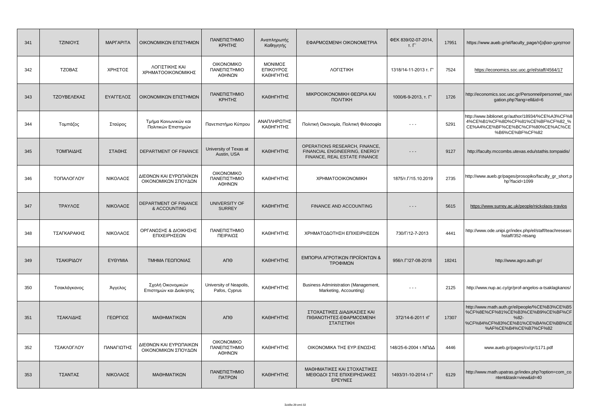| 341 | ΤΖΙΝΙΟΥΣ     | <b>MAPFAPITA</b> | ΟΙΚΟΝΟΜΙΚΩΝ ΕΠΙΣΤΗΜΩΝ                         | ΠΑΝΕΠΙΣΤΗΜΙΟ<br>ΚΡΗΤΗΣ                      | Αναπληρωτής<br>Καθηγητής          | ΕΦΑΡΜΟΣΜΕΝΗ ΟΙΚΟΝΟΜΕΤΡΙΑ                                                                       | ФЕК 839/02-07-2014,<br>т. Г' | 17951 | https://www.aueb.gr/el/faculty_page/τζοβασ-χρηστοσ                                                                                                          |
|-----|--------------|------------------|-----------------------------------------------|---------------------------------------------|-----------------------------------|------------------------------------------------------------------------------------------------|------------------------------|-------|-------------------------------------------------------------------------------------------------------------------------------------------------------------|
| 342 | ΤΖΟΒΑΣ       | ΧΡΗΣΤΟΣ          | ΛΟΓΙΣΤΙΚΗΣ ΚΑΙ<br>ΧΡΗΜΑΤΟΟΙΚΟΝΟΜΙΚΗΣ          | <b>OIKONOMIKO</b><br>ΠΑΝΕΠΙΣΤΗΜΙΟ<br>ΑΘΗΝΩΝ | ΜΟΝΙΜΟΣ<br>ΕΠΙΚΟΥΡΟΣ<br>ΚΑΘΗΓΗΤΗΣ | ΛΟΓΙΣΤΙΚΗ                                                                                      | 1318/14-11-2013 т. Г'        | 7524  | https://economics.soc.uoc.gr/el/staff/4564/17                                                                                                               |
| 343 | ΤΖΟΥΒΕΛΕΚΑΣ  | ΕΥΑΓΓΕΛΟΣ        | ΟΙΚΟΝΟΜΙΚΩΝ ΕΠΙΣΤΗΜΩΝ                         | ΠΑΝΕΠΙΣΤΗΜΙΟ<br>ΚΡΗΤΗΣ                      | ΚΑΘΗΓΗΤΗΣ                         | ΜΙΚΡΟΟΙΚΟΝΟΜΙΚΗ ΘΕΩΡΙΑ ΚΑΙ<br><b><i><u>NONITIKH</u></i></b>                                    | 1000/6-9-2013, т. Г'         | 1726  | http://economics.soc.uoc.gr/Personnel/personnel_navi<br>gation.php?lang=ell&id=6                                                                            |
| 344 | Τομπάζος     | Σταύρος          | Τμήμα Κοινωνικών και<br>Πολιτικών Επιστημών   | Πανεπιστήμιο Κύπρου                         | ΑΝΑΠΛΗΡΩΤΗΣ<br>ΚΑΘΗΓΗΤΗΣ          | Πολιτική Οικονομία, Πολιτική Φιλοσοφία                                                         |                              | 5291  | http://www.biblionet.gr/author/18934/%CE%A3%CF%8<br>4%CE%B1%CF%8D%CF%81%CE%BF%CF%82_%<br>CE%A4%CE%BF%CE%BC%CF%80%CE%AC%CE<br>%B6%CE%BF%CF%82                |
| 345 | ΤΟΜΠΑΙΔΗΣ    | ΣΤΑΘΗΣ           | DEPARTMENT OF FINANCE                         | University of Texas at<br>Austin, USA       | ΚΑΘΗΓΗΤΗΣ                         | OPERATIONS RESEARCH, FINANCE,<br>FINANCIAL ENGINEERING, ENERGY<br>FINANCE, REAL ESTATE FINANCE | $- - -$                      | 9127  | http://faculty.mccombs.utexas.edu/stathis.tompaidis/                                                                                                        |
| 346 | ΤΟΠΑΛΟΓΛΟΥ   | ΝΙΚΟΛΑΟΣ         | ΔΙΕΘΝΩΝ ΚΑΙ ΕΥΡΩΠΑΪΚΩΝ<br>ΟΙΚΟΝΟΜΙΚΩΝ ΣΠΟΥΔΩΝ | <b>OIKONOMIKO</b><br>ΠΑΝΕΠΙΣΤΗΜΙΟ<br>ΑΘΗΝΩΝ | ΚΑΘΗΓΗΤΗΣ                         | <b>XPHMATOOIKONOMIKH</b>                                                                       | 1875/T. T/15. 10. 2019       | 2735  | http://www.aueb.gr/pages/prosopiko/faculty_gr_short.p<br>hp?facid=1099                                                                                      |
| 347 | ΤΡΑΥΛΟΣ      | ΝΙΚΟΛΑΟΣ         | DEPARTMENT OF FINANCE<br>& ACCOUNTING         | UNIVERSITY OF<br><b>SURREY</b>              | ΚΑΘΗΓΗΤΗΣ                         | FINANCE AND ACCOUNTING                                                                         | - - -                        | 5615  | https://www.surrey.ac.uk/people/nickolaos-travlos                                                                                                           |
| 348 | ΤΣΑΓΚΑΡΑΚΗΣ  | ΝΙΚΟΛΑΟΣ         | ΟΡΓΑΝΩΣΗΣ & ΔΙΟΙΚΗΣΗΣ<br>ΕΠΙΧΕΙΡΗΣΕΩΝ         | ΠΑΝΕΠΙΣΤΗΜΙΟ<br>ΠΕΙΡΑΙΩΣ                    | ΚΑΘΗΓΗΤΗΣ                         | ΧΡΗΜΑΤΟΔΟΤΗΣΗ ΕΠΙΧΕΙΡΗΣΕΩΝ                                                                     | 730/Г/12-7-2013              | 4441  | http://www.ode.unipi.gr/index.php/el/staff/teachresearc<br>hstaff/352-ntsang                                                                                |
| 349 | ΤΣΑΚΙΡΙΔΟΥ   | ΕΥΘΥΜΙΑ          | ΤΜΗΜΑ ΓΕΩΠΟΝΙΑΣ                               | АПӨ                                         | ΚΑΘΗΓΗΤΗΣ                         | ΕΜΠΟΡΙΑ ΑΓΡΟΤΙΚΩΝ ΠΡΟΪΟΝΤΩΝ &<br>ΤΡΟΦΙΜΩΝ                                                      | 956/T. L'/27-08-2018         | 18241 | http://www.agro.auth.gr/                                                                                                                                    |
| 350 | Τσακλάγκανος | Άγγελος          | Σχολή Οικονομικών<br>Επιστημών και Διοίκησης  | University of Neapolis,<br>Pafos, Cyprus    | ΚΑΘΗΓΗΤΗΣ                         | Business Administration (Management,<br>Marketing, Accounting)                                 |                              | 2125  | http://www.nup.ac.cy/gr/prof-angelos-a-tsaklagkanos/                                                                                                        |
| 351 | ΤΣΑΚΛΙΔΗΣ    | ΓΕΩΡΓΙΟΣ         | ΜΑΘΗΜΑΤΙΚΩΝ                                   | ΑΠΘ                                         | ΚΑΘΗΓΗΤΗΣ                         | ΣΤΟΧΑΣΤΙΚΕΣ ΔΙΑΔΙΚΑΣΙΕΣ ΚΑΙ<br>ΠΙΘΑΝΟΤΗΤΕΣ-ΕΦΑΡΜΟΣΜΕΝΗ<br>ΣΤΑΤΙΣΤΙΚΗ                           | 372/14-6-2011 тГ             | 17307 | http://www.math.auth.gr/el/people/%CE%B3%CE%B5<br>%CF%8E%CF%81%CE%B3%CE%B9%CE%BF%CF<br>$%82-$<br>%CF%84%CF%83%CE%B1%CE%BA%CE%BB%CE<br>%AF%CE%B4%CE%B7%CF%82 |
| 352 | ΤΣΑΚΛΟΓΛΟΥ   | ΠΑΝΑΓΙΩΤΗΣ       | ΔΙΕΘΝΩΝ ΚΑΙ ΕΥΡΩΠΑΙΚΩΝ<br>ΟΙΚΟΝΟΜΙΚΩΝ ΣΠΟΥΔΩΝ | <b>OIKONOMIKO</b><br>ΠΑΝΕΠΙΣΤΗΜΙΟ<br>ΑΘΗΝΩΝ | ΚΑΘΗΓΗΤΗΣ                         | ΟΙΚΟΝΟΜΙΚΑ ΤΗΣ ΕΥΡ.ΕΝΩΣΗΣ                                                                      | 148/25-6-2004 τ.ΝΠΔΔ         | 4446  | www.aueb.gr/pages/cv/gr/1171.pdf                                                                                                                            |
| 353 | ΤΣΑΝΤΑΣ      | ΝΙΚΟΛΑΟΣ         | ΜΑΘΗΜΑΤΙΚΩΝ                                   | ΠΑΝΕΠΙΣΤΗΜΙΟ<br>ΠΑΤΡΩΝ                      | ΚΑΘΗΓΗΤΗΣ                         | ΜΑΘΗΜΑΤΙΚΕΣ ΚΑΙ ΣΤΟΧΑΣΤΙΚΕΣ<br>ΜΕΘΟΔΟΙ ΣΤΙΣ ΕΠΙΧΕΙΡΗΣΙΑΚΕΣ<br>ΕΡΕΥΝΕΣ                          | 1493/31-10-2014 т.Г'         | 6129  | http://www.math.upatras.gr/index.php?option=com_co<br>ntent&task=view&id=40                                                                                 |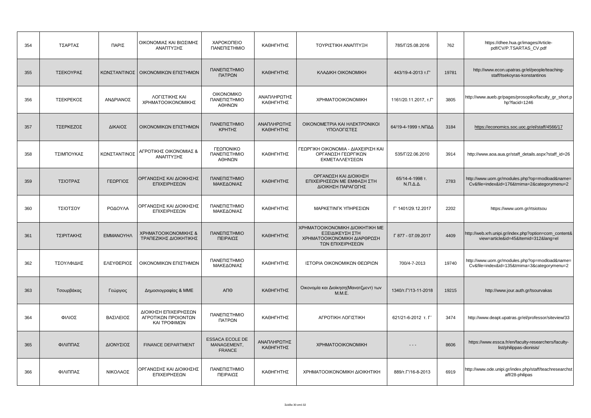| 354 | ΤΣΑΡΤΑΣ    | ΠΑΡΙΣ        | ΟΙΚΟΝΟΜΙΑΣ ΚΑΙ ΒΙΩΣΙΜΗΣ<br>ΑΝΑΠΤΥΞΗΣ                         | ΧΑΡΟΚΟΠΕΙΟ<br>ΠΑΝΕΠΙΣΤΗΜΙΟ                             | ΚΑΘΗΓΗΤΗΣ                | ΤΟΥΡΙΣΤΙΚΗ ΑΝΑΠΤΥΞΗ                                                                                   | 785/Г/25.08.2016                          | 762   | https://dhee.hua.gr/images/Article-<br>pdf/CV/P.TSARTAS_CV.pdf                                |
|-----|------------|--------------|--------------------------------------------------------------|--------------------------------------------------------|--------------------------|-------------------------------------------------------------------------------------------------------|-------------------------------------------|-------|-----------------------------------------------------------------------------------------------|
| 355 | ΤΣΕΚΟΥΡΑΣ  |              | ΚΩΝΣΤΑΝΤΙΝΟΣ ΟΙΚΟΝΟΜΙΚΩΝ ΕΠΙΣΤΗΜΩΝ                           | ΠΑΝΕΠΙΣΤΗΜΙΟ<br>ΠΑΤΡΩΝ                                 | ΚΑΘΗΓΗΤΗΣ                | ΚΛΑΔΙΚΗ ΟΙΚΟΝΟΜΙΚΗ                                                                                    | 443/19-4-2013 т.Г'                        | 19781 | http://www.econ.upatras.gr/el/people/teaching-<br>staff/tsekoyras-konstantinos                |
| 356 | ΤΣΕΚΡΕΚΟΣ  | ΑΝΔΡΙΑΝΟΣ    | ΛΟΓΙΣΤΙΚΗΣ ΚΑΙ<br>ΧΡΗΜΑΤΟΟΙΚΟΝΟΜΙΚΗΣ                         | <b>OIKONOMIKO</b><br>ΠΑΝΕΠΙΣΤΗΜΙΟ<br>ΑΘΗΝΩΝ            | ΑΝΑΠΛΗΡΩΤΗΣ<br>ΚΑΘΗΓΗΤΗΣ | <b>XPHMATOOIKONOMIKH</b>                                                                              | 1161/20.11.2017, T.T'                     | 3805  | http://www.aueb.gr/pages/prosopiko/faculty_gr_short.p<br>hp?facid=1246                        |
| 357 | ΤΣΕΡΚΕΖΟΣ  | ΔΙΚΑΙΟΣ      | ΟΙΚΟΝΟΜΙΚΩΝ ΕΠΙΣΤΗΜΩΝ                                        | ΠΑΝΕΠΙΣΤΗΜΙΟ<br>ΚΡΗΤΗΣ                                 | ΑΝΑΠΛΗΡΩΤΗΣ<br>ΚΑΘΗΓΗΤΗΣ | OIKONOMETPIA KAI HAEKTPONIKOI<br>ΥΠΟΛΟΓΙΣΤΕΣ                                                          | 64/19-4-1999 τ.ΝΠΔΔ                       | 3184  | https://economics.soc.uoc.gr/el/staff/4566/17                                                 |
| 358 | ΤΣΙΜΠΟΥΚΑΣ | ΚΩΝΣΤΑΝΤΙΝΟΣ | ΑΓΡΟΤΙΚΗΣ ΟΙΚΟΝΟΜΙΑΣ &<br>ΑΝΑΠΤΥΞΗΣ                          | ΓΕΩΠΟΝΙΚΟ<br>ΠΑΝΕΠΙΣΤΗΜΙΟ<br>ΑΘΗΝΩΝ                    | ΚΑΘΗΓΗΤΗΣ                | ΓΕΩΡΓΙΚΗ ΟΙΚΟΝΟΜΙΑ - ΔΙΑΧΕΙΡΙΣΗ ΚΑΙ<br>ΟΡΓΑΝΩΣΗ ΓΕΩΡΓΙΚΩΝ<br>ΕΚΜΕΤΑΛΛΕΥΣΕΩΝ                           | 535/Г/22.06.2010                          | 3914  | http://www.aoa.aua.gr/staff_details.aspx?staff_id=26                                          |
| 359 | ΤΣΙΟΤΡΑΣ   | ΓΕΩΡΓΙΟΣ     | ΟΡΓΑΝΩΣΗΣ ΚΑΙ ΔΙΟΙΚΗΣΗΣ<br>ΕΠΙΧΕΙΡΗΣΕΩΝ                      | ΠΑΝΕΠΙΣΤΗΜΙΟ<br>ΜΑΚΕΔΟΝΙΑΣ                             | ΚΑΘΗΓΗΤΗΣ                | ΟΡΓΑΝΩΣΗ ΚΑΙ ΔΙΟΙΚΗΣΗ<br>ΕΠΙΧΕΙΡΗΣΕΩΝ ΜΕ ΕΜΦΑΣΗ ΣΤΗ<br>ΔΙΟΙΚΗΣΗ ΠΑΡΑΓΩΓΗΣ                             | 65/14-4-1998 т.<br>$N.\Pi.\Delta.\Delta.$ | 2783  | http://www.uom.gr/modules.php?op=modload&name=<br>Cv&file=index&id=176&tmima=2&categorymenu=2 |
| 360 | ΤΣΙΟΤΣΟΥ   | ΡΟΔΟΥΛΑ      | ΟΡΓΑΝΩΣΗΣ ΚΑΙ ΔΙΟΙΚΗΣΗΣ<br>ΕΠΙΧΕΙΡΗΣΕΩΝ                      | ΠΑΝΕΠΙΣΤΗΜΙΟ<br>ΜΑΚΕΔΟΝΙΑΣ                             | ΚΑΘΗΓΗΤΗΣ                | ΜΑΡΚΕΤΙΝΓΚ ΥΠΗΡΕΣΙΩΝ                                                                                  | F' 1401/29.12.2017                        | 2202  | https://www.uom.gr/rtsiotsou                                                                  |
| 361 | ΤΣΙΡΙΤΑΚΗΣ | ΕΜΜΑΝΟΥΗΛ    | ΧΡΗΜΑΤΟΟΙΚΟΝΟΜΙΚΗΣ &<br>ΤΡΑΠΕΖΙΚΗΣ ΔΙΟΙΚΗΤΙΚΗΣ               | ΠΑΝΕΠΙΣΤΗΜΙΟ<br>ΠΕΙΡΑΙΩΣ                               | ΚΑΘΗΓΗΤΗΣ                | ΧΡΗΜΑΤΟΟΙΚΟΝΟΜΙΚΗ ΔΙΟΙΚΗΤΙΚΗ ΜΕ<br>ΕΞΕΙΔΙΚΕΥΣΗ ΣΤΗ<br>ΧΡΗΜΑΤΟΟΙΚΟΝΟΜΙΚΗ ΔΙΑΡΘΡΩΣΗ<br>ΤΩΝ ΕΠΙΧΕΙΡΗΣΕΩΝ | Г 877 - 07.09.2017                        | 4409  | http://web.xrh.unipi.gr/index.php?option=com_content&<br>view=article&id=45&Itemid=312⟨=el    |
| 362 | ΤΣΟΥΛΦΙΔΗΣ | ΕΛΕΥΘΕΡΙΟΣ   | ΟΙΚΟΝΟΜΙΚΩΝ ΕΠΙΣΤΗΜΩΝ                                        | ΠΑΝΕΠΙΣΤΗΜΙΟ<br>ΜΑΚΕΔΟΝΙΑΣ                             | ΚΑΘΗΓΗΤΗΣ                | ΙΣΤΟΡΙΑ ΟΙΚΟΝΟΜΙΚΩΝ ΘΕΩΡΙΩΝ                                                                           | 700/4-7-2013                              | 19740 | http://www.uom.gr/modules.php?op=modload&name=<br>Cv&file=index&id=135&tmima=3&categorymenu=2 |
| 363 | Τσουρβάκας | Γεώργιος     | Δημοσιογραφίας & ΜΜΕ                                         | АПӨ                                                    | ΚΑΘΗΓΗΤΗΣ                | Οικονομία και Διοίκηση (Μανατζμεντ) των<br>M.M.E.                                                     | 1340/т.Г/13-11-2018                       | 19215 | http://www.jour.auth.gr/tsourvakas                                                            |
| 364 | ΦΙΛΙΟΣ     | ΒΑΣΙΛΕΙΟΣ    | ΔΙΟΙΚΗΣΗ ΕΠΙΧΕΙΡΗΣΕΩΝ<br>ΑΓΡΟΤΙΚΩΝ ΠΡΟΙΟΝΤΩΝ<br>ΚΑΙ ΤΡΟΦΙΜΩΝ | ΠΑΝΕΠΙΣΤΗΜΙΟ<br>ΠΑΤΡΩΝ                                 | ΚΑΘΗΓΗΤΗΣ                | ΑΓΡΟΤΙΚΗ ΛΟΓΙΣΤΙΚΗ                                                                                    | 621/21-6-2012 т. Г'                       | 3474  | http://www.deapt.upatras.gr/el/professor/siteview/33                                          |
| 365 | ΦΙΛΙΠΠΑΣ   | ΔΙΟΝΥΣΙΟΣ    | <b>FINANCE DEPARTMENT</b>                                    | <b>ESSACA ECOLE DE</b><br>MANAGEMENT,<br><b>FRANCE</b> | ΑΝΑΠΛΗΡΩΤΗΣ<br>ΚΑΘΗΓΗΤΗΣ | <b>XPHMATOOIKONOMIKH</b>                                                                              | $- - -$                                   | 8606  | https://www.essca.fr/en/faculty-researchers/faculty-<br>list/philippas-dionisis/              |
| 366 | ΦΙΛΙΠΠΑΣ   | ΝΙΚΟΛΑΟΣ     | ΟΡΓΑΝΩΣΗΣ ΚΑΙ ΔΙΟΙΚΗΣΗΣ<br>ΕΠΙΧΕΙΡΗΣΕΩΝ                      | ΠΑΝΕΠΙΣΤΗΜΙΟ<br>ΠΕΙΡΑΙΩΣ                               | ΚΑΘΗΓΗΤΗΣ                | ΧΡΗΜΑΤΟΟΙΚΟΝΟΜΙΚΗ ΔΙΟΙΚΗΤΙΚΗ                                                                          | 889/T. L'/16-8-2013                       | 6919  | http://www.ode.unipi.gr/index.php/staff/teachresearchst<br>aff/28-philipas                    |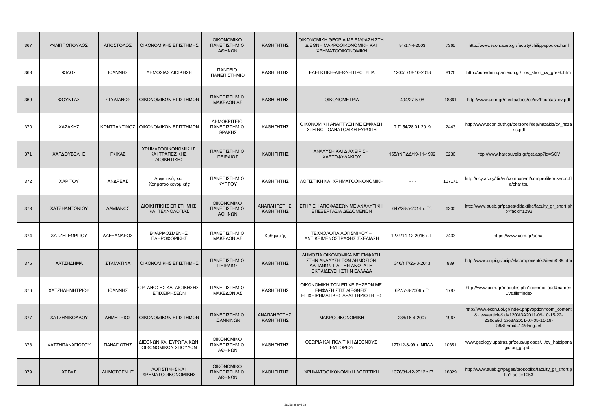| 367 | ΦΙΛΙΠΠΟΠΟΥΛΟΣ   | ΑΠΟΣΤΟΛΟΣ  | ΟΙΚΟΝΟΜΙΚΗΣ ΕΠΙΣΤΗΜΗΣ                               | <b>OIKONOMIKO</b><br>ΠΑΝΕΠΙΣΤΗΜΙΟ<br>ΑΘΗΝΩΝ   | ΚΑΘΗΓΗΤΗΣ                | ΟΙΚΟΝΟΜΙΚΗ ΘΕΩΡΙΑ ΜΕ ΕΜΦΑΣΗ ΣΤΗ<br>ΔΙΕΘΝΗ ΜΑΚΡΟΟΙΚΟΝΟΜΙΚΗ ΚΑΙ<br><b>XPHMATOOIKONOMIKH</b>                      | 84/17-4-2003          | 7365   | http://www.econ.aueb.gr/faculty/philippopoulos.html                                                                                                   |
|-----|-----------------|------------|-----------------------------------------------------|-----------------------------------------------|--------------------------|----------------------------------------------------------------------------------------------------------------|-----------------------|--------|-------------------------------------------------------------------------------------------------------------------------------------------------------|
| 368 | ΦΙΛΟΣ           | ΙΩΑΝΝΗΣ    | ΔΗΜΟΣΙΑΣ ΔΙΟΙΚΗΣΗ                                   | <b><i><u>ITANTEIO</u></i></b><br>ΠΑΝΕΠΙΣΤΗΜΙΟ | ΚΑΘΗΓΗΤΗΣ                | ΕΛΕΓΚΤΙΚΗ-ΔΙΕΘΝΗ ΠΡΟΤΥΠΑ                                                                                       | 1200/Г/18-10-2018     | 8126   | http://pubadmin.panteion.gr/filos_short_cv_greek.htm                                                                                                  |
| 369 | ΦΟΥΝΤΑΣ         | ΣΤΥΛΙΑΝΟΣ  | ΟΙΚΟΝΟΜΙΚΩΝ ΕΠΙΣΤΗΜΩΝ                               | ΠΑΝΕΠΙΣΤΗΜΙΟ<br>ΜΑΚΕΔΟΝΙΑΣ                    | ΚΑΘΗΓΗΤΗΣ                | <b>OIKONOMETPIA</b>                                                                                            | 494/27-5-08           | 18361  | http://www.uom.gr/media/docs/oe/cv/Fountas_cv.pdf                                                                                                     |
| 370 | ΧΑΖΑΚΗΣ         |            | ΚΩΝΣΤΑΝΤΙΝΟΣ   ΟΙΚΟΝΟΜΙΚΩΝ ΕΠΙΣΤΗΜΩΝ                | ΔΗΜΟΚΡΙΤΕΙΟ<br>ΠΑΝΕΠΙΣΤΗΜΙΟ<br>ΘΡΑΚΗΣ         | ΚΑΘΗΓΗΤΗΣ                | ΟΙΚΟΝΟΜΙΚΗ ΑΝΑΠΤΥΞΗ ΜΕ ΕΜΦΑΣΗ<br>ΣΤΗ ΝΟΤΙΟΑΝΑΤΟΛΙΚΗ ΕΥΡΩΠΗ                                                     | T.F' 54/28.01.2019    | 2443   | http://www.econ.duth.gr/personel/dep/hazakis/cv_haza<br>kis.pdf                                                                                       |
| 371 | ΧΑΡΔΟΥΒΕΛΗΣ     | ΓΚΙΚΑΣ     | ΧΡΗΜΑΤΟΟΙΚΟΝΟΜΙΚΗΣ<br>ΚΑΙ ΤΡΑΠΕΖΙΚΗΣ<br>ΔΙΟΙΚΗΤΙΚΗΣ | ΠΑΝΕΠΙΣΤΗΜΙΟ<br>ΠΕΙΡΑΙΩΣ                      | ΚΑΘΗΓΗΤΗΣ                | ΑΝΑΛΥΣΗ ΚΑΙ ΔΙΑΧΕΙΡΙΣΗ<br>ΧΑΡΤΟΦΥΛΑΚΙΟΥ                                                                        | 165/τΝΠΔΔ/19-11-1992  | 6236   | http://www.hardouvelis.gr/get.asp?id=SCV                                                                                                              |
| 372 | <b>XAPITOY</b>  | ΑΝΔΡΕΑΣ    | Λογιστικής και<br>Χρηματοοικονομικής                | ΠΑΝΕΠΙΣΤΗΜΙΟ<br><b>KYNPOY</b>                 | ΚΑΘΗΓΗΤΗΣ                | ΛΟΓΙΣΤΙΚΗ ΚΑΙ ΧΡΗΜΑΤΟΟΙΚΟΝΟΜΙΚΗ                                                                                | $- - -$               | 117171 | http://ucy.ac.cy/dir/en/component/comprofiler/userprofil<br>e/charitou                                                                                |
| 373 | ΧΑΤΖΗΑΝΤΩΝΙΟΥ   | ΔΑΜΙΑΝΟΣ   | ΔΙΟΙΚΗΤΙΚΗΣ ΕΠΙΣΤΗΜΗΣ<br>ΚΑΙ ΤΕΧΝΟΛΟΓΙΑΣ            | <b>OIKONOMIKO</b><br>ΠΑΝΕΠΙΣΤΗΜΙΟ<br>ΑΘΗΝΩΝ   | ΑΝΑΠΛΗΡΩΤΗΣ<br>ΚΑΘΗΓΗΤΗΣ | ΣΤΗΡΙΞΗ ΑΠΟΦΑΣΕΩΝ ΜΕ ΑΝΑΛΥΤΙΚΗ<br>ΕΠΕΞΕΡΓΑΣΙΑ ΔΕΔΟΜΕΝΩΝ                                                        | 647/28-5-2014 т. Г'.  | 6300   | http://www.aueb.gr/pages/didaktiko/faculty_gr_short.ph<br>p?facid=1292                                                                                |
| 374 | ΧΑΤΖΗΓΕΩΡΓΙΟΥ   | ΑΛΕΞΑΝΔΡΟΣ | ΕΦΑΡΜΟΣΜΕΝΗΣ<br>ΠΛΗΡΟΦΟΡΙΚΗΣ                        | ΠΑΝΕΠΙΣΤΗΜΙΟ<br>ΜΑΚΕΔΟΝΙΑΣ                    | Καθηγητής                | ΤΕΧΝΟΛΟΓΙΑ ΛΟΓΙΣΜΙΚΟΥ -<br>ΑΝΤΙΚΕΙΜΕΝΟΣΤΡΑΦΗΣ ΣΧΕΔΙΑΣΗ                                                         | 1274/14-12-2016 т. Г' | 7433   | https://www.uom.gr/achat                                                                                                                              |
| 375 | ΧΑΤΖΗΔΗΜΑ       | ΣΤΑΜΑΤΙΝΑ  | ΟΙΚΟΝΟΜΙΚΗΣ ΕΠΙΣΤΗΜΗΣ                               | ΠΑΝΕΠΙΣΤΗΜΙΟ<br>ΠΕΙΡΑΙΩΣ                      | ΚΑΘΗΓΗΤΗΣ                | ΔΗΜΟΣΙΑ ΟΙΚΟΝΟΜΙΚΑ ΜΕ ΕΜΦΑΣΗ<br>ΣΤΗΝ ΑΝΑΛΥΣΗ ΤΩΝ ΔΗΜΟΣΙΩΝ<br>ΔΑΠΑΝΩΝ ΓΙΑ ΤΗΝ ΑΝΩΤΑΤΗ<br>ΕΚΠΑΙΔΕΥΣΗ ΣΤΗΝ ΕΛΛΑΔΑ | 346/T. L'/26-3-2013   | 889    | http://www.unipi.gr/unipi/el/component/k2/item/539.htm                                                                                                |
| 376 | ΧΑΤΖΗΔΗΜΗΤΡΙΟΥ  | ΙΩΑΝΝΗΣ    | ΟΡΓΑΝΩΣΗΣ ΚΑΙ ΔΙΟΙΚΗΣΗΣ<br>ΕΠΙΧΕΙΡΗΣΕΩΝ             | ΠΑΝΕΠΙΣΤΗΜΙΟ<br>ΜΑΚΕΔΟΝΙΑΣ                    | ΚΑΘΗΓΗΤΗΣ                | ΟΙΚΟΝΟΜΙΚΗ ΤΩΝ ΕΠΙΧΕΙΡΗΣΕΩΝ ΜΕ<br>ΕΜΦΑΣΗ ΣΤΙΣ ΔΙΕΘΝΕΙΣ<br>ΕΠΙΧΕΙΡΗΜΑΤΙΚΕΣ ΔΡΑΣΤΗΡΙΟΤΗΤΕΣ                       | 627/7-8-2009 T.L'     | 1787   | http://www.uom.gr/modules.php?op=modload&name=<br>Cv&file=index                                                                                       |
| 377 | ΧΑΤΖΗΝΙΚΟΛΑΟΥ   | ΔΗΜΗΤΡΙΟΣ  | ΟΙΚΟΝΟΜΙΚΩΝ ΕΠΙΣΤΗΜΩΝ                               | ΠΑΝΕΠΙΣΤΗΜΙΟ<br>ΙΩΑΝΝΙΝΩΝ                     | ΑΝΑΠΛΗΡΩΤΗΣ<br>ΚΑΘΗΓΗΤΗΣ | <b>MAKPOOIKONOMIKH</b>                                                                                         | 236/16-4-2007         | 1967   | http://www.econ.uoi.gr/index.php?option=com_content<br>&view=article&id=120%3A2011-09-10-15-22-<br>23&catid=2%3A2011-07-05-11-19-<br>59&Itemid=14⟨=el |
| 378 | ΧΑΤΖΗΠΑΝΑΓΙΩΤΟΥ | ΠΑΝΑΓΙΩΤΗΣ | ΔΙΕΘΝΩΝ ΚΑΙ ΕΥΡΩΠΑΙΚΩΝ<br>ΟΙΚΟΝΟΜΙΚΩΝ ΣΠΟΥΔΩΝ       | <b>OIKONOMIKO</b><br>ΠΑΝΕΠΙΣΤΗΜΙΟ<br>ΑΘΗΝΩΝ   | ΚΑΘΗΓΗΤΗΣ                | ΘΕΩΡΙΑ ΚΑΙ ΠΟΛΙΤΙΚΗ ΔΙΕΘΝΟΥΣ<br><b>EMNOPIOY</b>                                                                | 127/12-8-99 τ. ΝΠΔΔ   | 10351  | www.geology.upatras.gr/zeus/uploads//cv_hatzipana<br>giotou_gr.pd                                                                                     |
| 379 | ΧΕΒΑΣ           | ΔΗΜΟΣΘΕΝΗΣ | ΛΟΓΙΣΤΙΚΗΣ ΚΑΙ<br>ΧΡΗΜΑΤΟΟΙΚΟΝΟΜΙΚΗΣ                | <b>OIKONOMIKO</b><br>ΠΑΝΕΠΙΣΤΗΜΙΟ<br>ΑΘΗΝΩΝ   | ΚΑΘΗΓΗΤΗΣ                | ΧΡΗΜΑΤΟΟΙΚΟΝΟΜΙΚΗ ΛΟΓΙΣΤΙΚΗ                                                                                    | 1376/31-12-2012 т.Г'  | 18829  | http://www.aueb.gr/pages/prosopiko/faculty_gr_short.p<br>hp?facid=1053                                                                                |